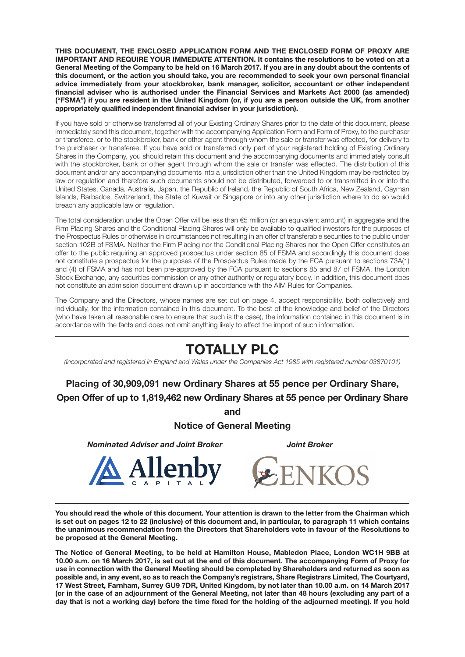**THIS DOCUMENT, THE ENCLOSED APPLICATION FORM AND THE ENCLOSED FORM OF PROXY ARE IMPORTANT AND REQUIRE YOUR IMMEDIATE ATTENTION. It contains the resolutions to be voted on at a General Meeting of the Company to be held on 16 March 2017. If you are in any doubt about the contents of this document, or the action you should take, you are recommended to seek your own personal financial advice immediately from your stockbroker, bank manager, solicitor, accountant or other independent financial adviser who is authorised under the Financial Services and Markets Act 2000 (as amended) ("FSMA") if you are resident in the United Kingdom (or, if you are a person outside the UK, from another appropriately qualified independent financial adviser in your jurisdiction).**

If you have sold or otherwise transferred all of your Existing Ordinary Shares prior to the date of this document, please immediately send this document, together with the accompanying Application Form and Form of Proxy, to the purchaser or transferee, or to the stockbroker, bank or other agent through whom the sale or transfer was effected, for delivery to the purchaser or transferee. If you have sold or transferred only part of your registered holding of Existing Ordinary Shares in the Company, you should retain this document and the accompanying documents and immediately consult with the stockbroker, bank or other agent through whom the sale or transfer was effected. The distribution of this document and/or any accompanying documents into a jurisdiction other than the United Kingdom may be restricted by law or regulation and therefore such documents should not be distributed, forwarded to or transmitted in or into the United States, Canada, Australia, Japan, the Republic of Ireland, the Republic of South Africa, New Zealand, Cayman Islands, Barbados, Switzerland, the State of Kuwait or Singapore or into any other jurisdiction where to do so would breach any applicable law or regulation.

The total consideration under the Open Offer will be less than €5 million (or an equivalent amount) in aggregate and the Firm Placing Shares and the Conditional Placing Shares will only be available to qualified investors for the purposes of the Prospectus Rules or otherwise in circumstances not resulting in an offer of transferable securities to the public under section 102B of FSMA. Neither the Firm Placing nor the Conditional Placing Shares nor the Open Offer constitutes an offer to the public requiring an approved prospectus under section 85 of FSMA and accordingly this document does not constitute a prospectus for the purposes of the Prospectus Rules made by the FCA pursuant to sections 73A(1) and (4) of FSMA and has not been pre-approved by the FCA pursuant to sections 85 and 87 of FSMA, the London Stock Exchange, any securities commission or any other authority or regulatory body. In addition, this document does not constitute an admission document drawn up in accordance with the AIM Rules for Companies.

The Company and the Directors, whose names are set out on page 4, accept responsibility, both collectively and individually, for the information contained in this document. To the best of the knowledge and belief of the Directors (who have taken all reasonable care to ensure that such is the case), the information contained in this document is in accordance with the facts and does not omit anything likely to affect the import of such information.

# **TOTALLY PLC**

*(Incorporated and registered in England and Wales under the Companies Act 1985 with registered number 03870101)*

**Placing of 30,909,091 new Ordinary Shares at 55 pence per Ordinary Share, Open Offer of up to 1,819,462 new Ordinary Shares at 55 pence per Ordinary Share**

**and**

**Notice of General Meeting**

*Nominated Adviser and Joint Broker Joint Broker*





**You should read the whole of this document. Your attention is drawn to the letter from the Chairman which is set out on pages 12 to 22 (inclusive) of this document and, in particular, to paragraph 11 which contains the unanimous recommendation from the Directors that Shareholders vote in favour of the Resolutions to be proposed at the General Meeting.**

**The Notice of General Meeting, to be held at Hamilton House, Mabledon Place, London WC1H 9BB at 10.00 a.m. on 16 March 2017, is set out at the end of this document. The accompanying Form of Proxy for use in connection with the General Meeting should be completed by Shareholders and returned as soon as possible and, in any event, so as to reach the Company's registrars, Share Registrars Limited, The Courtyard, 17 West Street, Farnham, Surrey GU9 7DR, United Kingdom, by not later than 10.00 a.m. on 14 March 2017 (or in the case of an adjournment of the General Meeting, not later than 48 hours (excluding any part of a day that is not a working day) before the time fixed for the holding of the adjourned meeting). If you hold**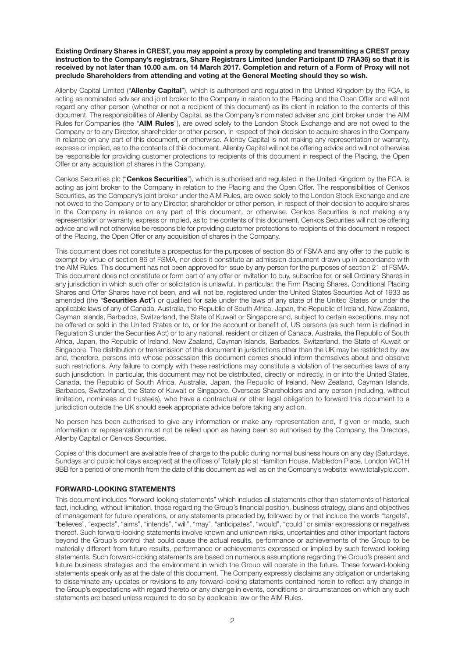#### **Existing Ordinary Shares in CREST, you may appoint a proxy by completing and transmitting a CREST proxy instruction to the Company's registrars, Share Registrars Limited (under Participant ID 7RA36) so that it is received by not later than 10.00 a.m. on 14 March 2017. Completion and return of a Form of Proxy will not preclude Shareholders from attending and voting at the General Meeting should they so wish.**

Allenby Capital Limited ("**Allenby Capital**"), which is authorised and regulated in the United Kingdom by the FCA, is acting as nominated adviser and joint broker to the Company in relation to the Placing and the Open Offer and will not regard any other person (whether or not a recipient of this document) as its client in relation to the contents of this document. The responsibilities of Allenby Capital, as the Company's nominated adviser and joint broker under the AIM Rules for Companies (the "**AIM Rules**"), are owed solely to the London Stock Exchange and are not owed to the Company or to any Director, shareholder or other person, in respect of their decision to acquire shares in the Company in reliance on any part of this document, or otherwise. Allenby Capital is not making any representation or warranty, express or implied, as to the contents of this document. Allenby Capital will not be offering advice and will not otherwise be responsible for providing customer protections to recipients of this document in respect of the Placing, the Open Offer or any acquisition of shares in the Company.

Cenkos Securities plc ("**Cenkos Securities**"), which is authorised and regulated in the United Kingdom by the FCA, is acting as joint broker to the Company in relation to the Placing and the Open Offer. The responsibilities of Cenkos Securities, as the Company's joint broker under the AIM Rules, are owed solely to the London Stock Exchange and are not owed to the Company or to any Director, shareholder or other person, in respect of their decision to acquire shares in the Company in reliance on any part of this document, or otherwise. Cenkos Securities is not making any representation or warranty, express or implied, as to the contents of this document. Cenkos Securities will not be offering advice and will not otherwise be responsible for providing customer protections to recipients of this document in respect of the Placing, the Open Offer or any acquisition of shares in the Company.

This document does not constitute a prospectus for the purposes of section 85 of FSMA and any offer to the public is exempt by virtue of section 86 of FSMA, nor does it constitute an admission document drawn up in accordance with the AIM Rules. This document has not been approved for issue by any person for the purposes of section 21 of FSMA. This document does not constitute or form part of any offer or invitation to buy, subscribe for, or sell Ordinary Shares in any jurisdiction in which such offer or solicitation is unlawful. In particular, the Firm Placing Shares, Conditional Placing Shares and Offer Shares have not been, and will not be, registered under the United States Securities Act of 1933 as amended (the "**Securities Act**") or qualified for sale under the laws of any state of the United States or under the applicable laws of any of Canada, Australia, the Republic of South Africa, Japan, the Republic of Ireland, New Zealand, Cayman Islands, Barbados, Switzerland, the State of Kuwait or Singapore and, subject to certain exceptions, may not be offered or sold in the United States or to, or for the account or benefit of, US persons (as such term is defined in Regulation S under the Securities Act) or to any national, resident or citizen of Canada, Australia, the Republic of South Africa, Japan, the Republic of Ireland, New Zealand, Cayman Islands, Barbados, Switzerland, the State of Kuwait or Singapore. The distribution or transmission of this document in jurisdictions other than the UK may be restricted by law and, therefore, persons into whose possession this document comes should inform themselves about and observe such restrictions. Any failure to comply with these restrictions may constitute a violation of the securities laws of any such jurisdiction. In particular, this document may not be distributed, directly or indirectly, in or into the United States, Canada, the Republic of South Africa, Australia, Japan, the Republic of Ireland, New Zealand, Cayman Islands, Barbados, Switzerland, the State of Kuwait or Singapore. Overseas Shareholders and any person (including, without limitation, nominees and trustees), who have a contractual or other legal obligation to forward this document to a jurisdiction outside the UK should seek appropriate advice before taking any action.

No person has been authorised to give any information or make any representation and, if given or made, such information or representation must not be relied upon as having been so authorised by the Company, the Directors, Allenby Capital or Cenkos Securities.

Copies of this document are available free of charge to the public during normal business hours on any day (Saturdays, Sundays and public holidays excepted) at the offices of Totally plc at Hamilton House, Mabledon Place, London WC1H 9BB for a period of one month from the date of this document as well as on the Company's website: www.totallyplc.com.

#### **FORWARD-LOOKING STATEMENTS**

This document includes "forward-looking statements" which includes all statements other than statements of historical fact, including, without limitation, those regarding the Group's financial position, business strategy, plans and objectives of management for future operations, or any statements preceded by, followed by or that include the words "targets", "believes", "expects", "aims", "intends", "will", "may", "anticipates", "would", "could" or similar expressions or negatives thereof. Such forward-looking statements involve known and unknown risks, uncertainties and other important factors beyond the Group's control that could cause the actual results, performance or achievements of the Group to be materially different from future results, performance or achievements expressed or implied by such forward-looking statements. Such forward-looking statements are based on numerous assumptions regarding the Group's present and future business strategies and the environment in which the Group will operate in the future. These forward-looking statements speak only as at the date of this document. The Company expressly disclaims any obligation or undertaking to disseminate any updates or revisions to any forward-looking statements contained herein to reflect any change in the Group's expectations with regard thereto or any change in events, conditions or circumstances on which any such statements are based unless required to do so by applicable law or the AIM Rules.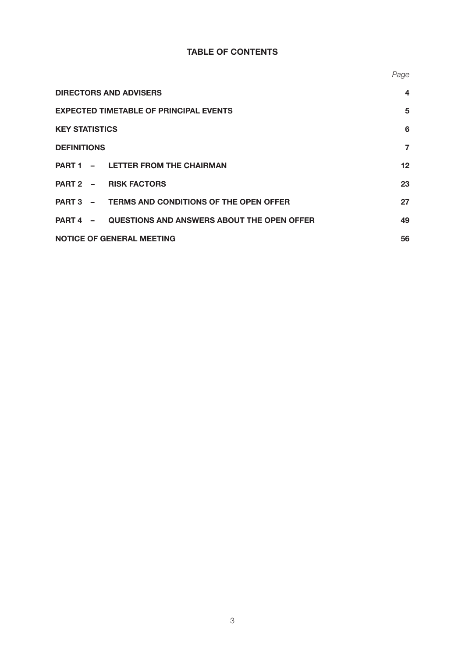# **TABLE OF CONTENTS**

|                                                            | Page             |
|------------------------------------------------------------|------------------|
| <b>DIRECTORS AND ADVISERS</b>                              | $\boldsymbol{4}$ |
| <b>EXPECTED TIMETABLE OF PRINCIPAL EVENTS</b>              | 5                |
| <b>KEY STATISTICS</b>                                      | 6                |
| <b>DEFINITIONS</b>                                         | $\overline{7}$   |
| - LETTER FROM THE CHAIRMAN<br><b>PART 1</b>                | 12               |
| PART 2 - RISK FACTORS                                      | 23               |
| PART 3 - TERMS AND CONDITIONS OF THE OPEN OFFER            | 27               |
| <b>PART 4 - QUESTIONS AND ANSWERS ABOUT THE OPEN OFFER</b> | 49               |
| <b>NOTICE OF GENERAL MEETING</b>                           | 56               |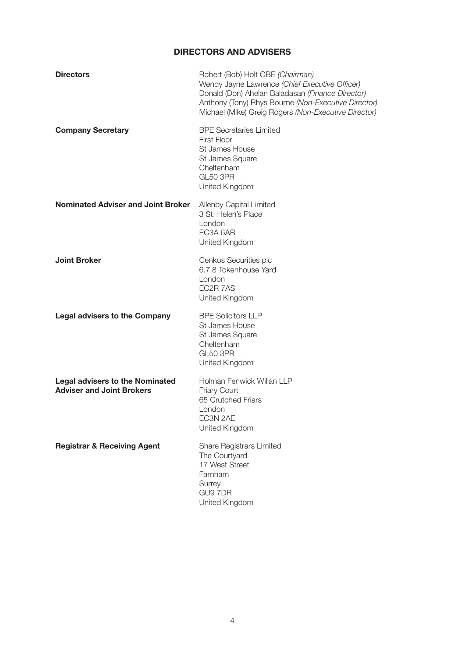# **DIRECTORS AND ADVISERS**

| <b>BPE Secretaries Limited</b><br><b>Company Secretary</b><br>First Floor<br>St James House<br>St James Square<br>Cheltenham<br><b>GL50 3PR</b><br>United Kingdom<br><b>Nominated Adviser and Joint Broker</b><br>Allenby Capital Limited<br>3 St. Helen's Place<br>London<br>EC3A 6AB<br>United Kingdom<br><b>Joint Broker</b><br>Cenkos Securities plc<br>6.7.8 Tokenhouse Yard<br>London<br>EC2R 7AS<br>United Kingdom<br><b>BPE Solicitors LLP</b><br><b>Legal advisers to the Company</b><br>St James House<br>St James Square<br>Cheltenham<br><b>GL50 3PR</b><br>United Kingdom<br>Holman Fenwick Willan LLP<br><b>Legal advisers to the Nominated</b><br><b>Adviser and Joint Brokers</b><br>Friary Court<br>65 Crutched Friars<br>London<br>EC3N 2AE<br>United Kingdom<br><b>Registrar &amp; Receiving Agent</b><br><b>Share Registrars Limited</b><br>The Courtyard<br>17 West Street<br>Farnham<br>Surrey<br>GU9 7DR<br>United Kingdom | <b>Directors</b> | Robert (Bob) Holt OBE (Chairman)<br>Wendy Jayne Lawrence (Chief Executive Officer)<br>Donald (Don) Ahelan Baladasan (Finance Director)<br>Anthony (Tony) Rhys Bourne (Non-Executive Director)<br>Michael (Mike) Greig Rogers (Non-Executive Director) |
|---------------------------------------------------------------------------------------------------------------------------------------------------------------------------------------------------------------------------------------------------------------------------------------------------------------------------------------------------------------------------------------------------------------------------------------------------------------------------------------------------------------------------------------------------------------------------------------------------------------------------------------------------------------------------------------------------------------------------------------------------------------------------------------------------------------------------------------------------------------------------------------------------------------------------------------------------|------------------|-------------------------------------------------------------------------------------------------------------------------------------------------------------------------------------------------------------------------------------------------------|
|                                                                                                                                                                                                                                                                                                                                                                                                                                                                                                                                                                                                                                                                                                                                                                                                                                                                                                                                                   |                  |                                                                                                                                                                                                                                                       |
|                                                                                                                                                                                                                                                                                                                                                                                                                                                                                                                                                                                                                                                                                                                                                                                                                                                                                                                                                   |                  |                                                                                                                                                                                                                                                       |
|                                                                                                                                                                                                                                                                                                                                                                                                                                                                                                                                                                                                                                                                                                                                                                                                                                                                                                                                                   |                  |                                                                                                                                                                                                                                                       |
|                                                                                                                                                                                                                                                                                                                                                                                                                                                                                                                                                                                                                                                                                                                                                                                                                                                                                                                                                   |                  |                                                                                                                                                                                                                                                       |
|                                                                                                                                                                                                                                                                                                                                                                                                                                                                                                                                                                                                                                                                                                                                                                                                                                                                                                                                                   |                  |                                                                                                                                                                                                                                                       |
|                                                                                                                                                                                                                                                                                                                                                                                                                                                                                                                                                                                                                                                                                                                                                                                                                                                                                                                                                   |                  |                                                                                                                                                                                                                                                       |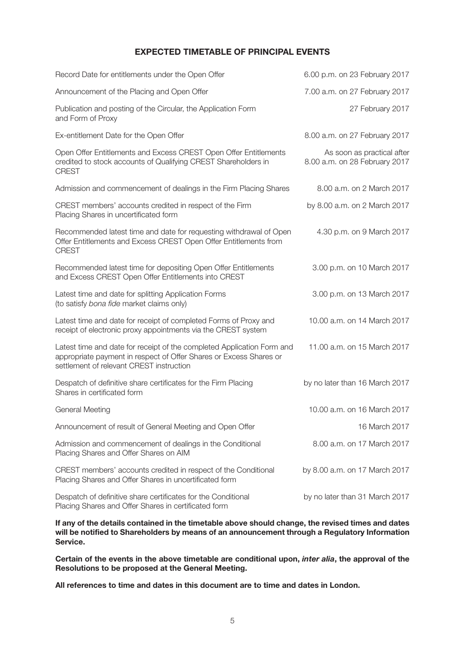### **EXPECTED TIMETABLE OF PRINCIPAL EVENTS**

| Record Date for entitlements under the Open Offer                                                                                                                                        | 6.00 p.m. on 23 February 2017                               |
|------------------------------------------------------------------------------------------------------------------------------------------------------------------------------------------|-------------------------------------------------------------|
| Announcement of the Placing and Open Offer                                                                                                                                               | 7.00 a.m. on 27 February 2017                               |
| Publication and posting of the Circular, the Application Form<br>and Form of Proxy                                                                                                       | 27 February 2017                                            |
| Ex-entitlement Date for the Open Offer                                                                                                                                                   | 8.00 a.m. on 27 February 2017                               |
| Open Offer Entitlements and Excess CREST Open Offer Entitlements<br>credited to stock accounts of Qualifying CREST Shareholders in<br><b>CREST</b>                                       | As soon as practical after<br>8.00 a.m. on 28 February 2017 |
| Admission and commencement of dealings in the Firm Placing Shares                                                                                                                        | 8.00 a.m. on 2 March 2017                                   |
| CREST members' accounts credited in respect of the Firm<br>Placing Shares in uncertificated form                                                                                         | by 8.00 a.m. on 2 March 2017                                |
| Recommended latest time and date for requesting withdrawal of Open<br>Offer Entitlements and Excess CREST Open Offer Entitlements from<br><b>CREST</b>                                   | 4.30 p.m. on 9 March 2017                                   |
| Recommended latest time for depositing Open Offer Entitlements<br>and Excess CREST Open Offer Entitlements into CREST                                                                    | 3.00 p.m. on 10 March 2017                                  |
| Latest time and date for splitting Application Forms<br>(to satisfy bona fide market claims only)                                                                                        | 3.00 p.m. on 13 March 2017                                  |
| Latest time and date for receipt of completed Forms of Proxy and<br>receipt of electronic proxy appointments via the CREST system                                                        | 10.00 a.m. on 14 March 2017                                 |
| Latest time and date for receipt of the completed Application Form and<br>appropriate payment in respect of Offer Shares or Excess Shares or<br>settlement of relevant CREST instruction | 11.00 a.m. on 15 March 2017                                 |
| Despatch of definitive share certificates for the Firm Placing<br>Shares in certificated form                                                                                            | by no later than 16 March 2017                              |
| General Meeting                                                                                                                                                                          | 10.00 a.m. on 16 March 2017                                 |
| Announcement of result of General Meeting and Open Offer                                                                                                                                 | 16 March 2017                                               |
| Admission and commencement of dealings in the Conditional<br>Placing Shares and Offer Shares on AIM                                                                                      | 8.00 a.m. on 17 March 2017                                  |
| CREST members' accounts credited in respect of the Conditional<br>Placing Shares and Offer Shares in uncertificated form                                                                 | by 8.00 a.m. on 17 March 2017                               |
| Despatch of definitive share certificates for the Conditional<br>Placing Shares and Offer Shares in certificated form                                                                    | by no later than 31 March 2017                              |

**If any of the details contained in the timetable above should change, the revised times and dates will be notified to Shareholders by means of an announcement through a Regulatory Information Service.**

**Certain of the events in the above timetable are conditional upon,** *inter alia***, the approval of the Resolutions to be proposed at the General Meeting.**

**All references to time and dates in this document are to time and dates in London.**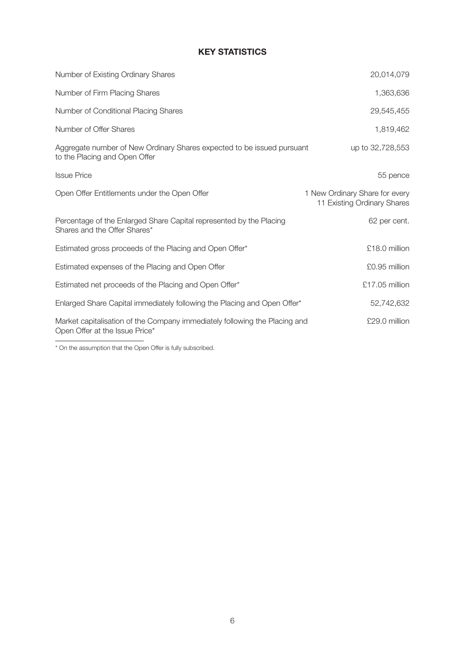# **KEY STATISTICS**

| Number of Existing Ordinary Shares                                                                           | 20,014,079                                                    |
|--------------------------------------------------------------------------------------------------------------|---------------------------------------------------------------|
| Number of Firm Placing Shares                                                                                | 1,363,636                                                     |
| Number of Conditional Placing Shares                                                                         | 29,545,455                                                    |
| Number of Offer Shares                                                                                       | 1,819,462                                                     |
| Aggregate number of New Ordinary Shares expected to be issued pursuant<br>to the Placing and Open Offer      | up to 32,728,553                                              |
| <b>Issue Price</b>                                                                                           | 55 pence                                                      |
| Open Offer Entitlements under the Open Offer                                                                 | 1 New Ordinary Share for every<br>11 Existing Ordinary Shares |
| Percentage of the Enlarged Share Capital represented by the Placing<br>Shares and the Offer Shares*          | 62 per cent.                                                  |
| Estimated gross proceeds of the Placing and Open Offer*                                                      | £18.0 million                                                 |
| Estimated expenses of the Placing and Open Offer                                                             | £0.95 million                                                 |
| Estimated net proceeds of the Placing and Open Offer*                                                        | £17.05 million                                                |
| Enlarged Share Capital immediately following the Placing and Open Offer*                                     | 52,742,632                                                    |
| Market capitalisation of the Company immediately following the Placing and<br>Open Offer at the Issue Price* | £29.0 million                                                 |

\* On the assumption that the Open Offer is fully subscribed.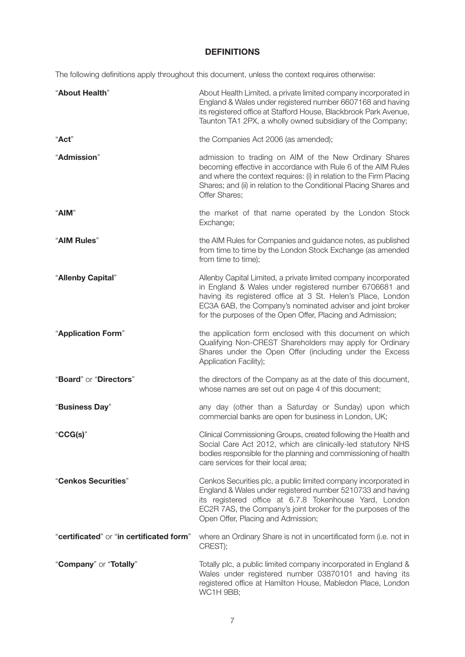# **DEFINITIONS**

The following definitions apply throughout this document, unless the context requires otherwise:

| "About Health"                           | About Health Limited, a private limited company incorporated in<br>England & Wales under registered number 6607168 and having<br>its registered office at Stafford House, Blackbrook Park Avenue,<br>Taunton TA1 2PX, a wholly owned subsidiary of the Company;                                                      |
|------------------------------------------|----------------------------------------------------------------------------------------------------------------------------------------------------------------------------------------------------------------------------------------------------------------------------------------------------------------------|
| "Act"                                    | the Companies Act 2006 (as amended);                                                                                                                                                                                                                                                                                 |
| "Admission"                              | admission to trading on AIM of the New Ordinary Shares<br>becoming effective in accordance with Rule 6 of the AIM Rules<br>and where the context requires: (i) in relation to the Firm Placing<br>Shares; and (ii) in relation to the Conditional Placing Shares and<br>Offer Shares;                                |
| "AIM"                                    | the market of that name operated by the London Stock<br>Exchange;                                                                                                                                                                                                                                                    |
| "AIM Rules"                              | the AIM Rules for Companies and guidance notes, as published<br>from time to time by the London Stock Exchange (as amended<br>from time to time);                                                                                                                                                                    |
| "Allenby Capital"                        | Allenby Capital Limited, a private limited company incorporated<br>in England & Wales under registered number 6706681 and<br>having its registered office at 3 St. Helen's Place, London<br>EC3A 6AB, the Company's nominated adviser and joint broker<br>for the purposes of the Open Offer, Placing and Admission; |
| "Application Form"                       | the application form enclosed with this document on which<br>Qualifying Non-CREST Shareholders may apply for Ordinary<br>Shares under the Open Offer (including under the Excess<br>Application Facility);                                                                                                           |
| "Board" or "Directors"                   | the directors of the Company as at the date of this document,<br>whose names are set out on page 4 of this document;                                                                                                                                                                                                 |
| "Business Day"                           | any day (other than a Saturday or Sunday) upon which<br>commercial banks are open for business in London, UK;                                                                                                                                                                                                        |
| " $CG(s)$ "                              | Clinical Commissioning Groups, created following the Health and<br>Social Care Act 2012, which are clinically-led statutory NHS<br>bodies responsible for the planning and commissioning of health<br>care services for their local area;                                                                            |
| "Cenkos Securities"                      | Cenkos Securities plc, a public limited company incorporated in<br>England & Wales under registered number 5210733 and having<br>its registered office at 6.7.8 Tokenhouse Yard, London<br>EC2R 7AS, the Company's joint broker for the purposes of the<br>Open Offer, Placing and Admission;                        |
| "certificated" or "in certificated form" | where an Ordinary Share is not in uncertificated form (i.e. not in<br>CREST);                                                                                                                                                                                                                                        |
| "Company" or "Totally"                   | Totally plc, a public limited company incorporated in England &<br>Wales under registered number 03870101 and having its<br>registered office at Hamilton House, Mabledon Place, London<br>WC1H 9BB;                                                                                                                 |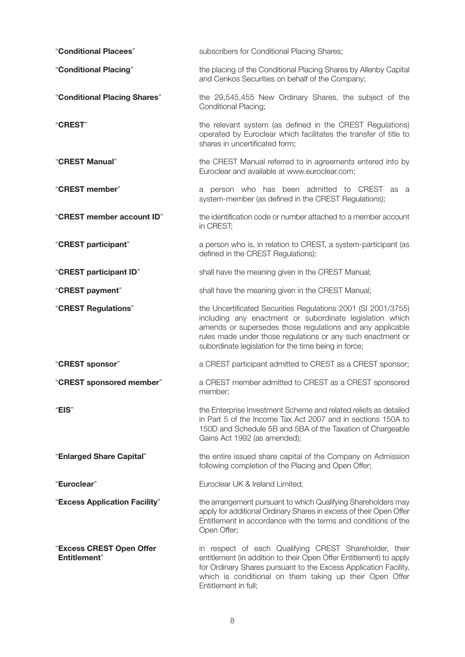| "Conditional Placees"                            | subscribers for Conditional Placing Shares;                                                                                                                                                                                                                                                                   |
|--------------------------------------------------|---------------------------------------------------------------------------------------------------------------------------------------------------------------------------------------------------------------------------------------------------------------------------------------------------------------|
| "Conditional Placing"                            | the placing of the Conditional Placing Shares by Allenby Capital<br>and Cenkos Securities on behalf of the Company;                                                                                                                                                                                           |
| "Conditional Placing Shares"                     | the 29,545,455 New Ordinary Shares, the subject of the<br><b>Conditional Placing;</b>                                                                                                                                                                                                                         |
| "CREST"                                          | the relevant system (as defined in the CREST Regulations)<br>operated by Euroclear which facilitates the transfer of title to<br>shares in uncertificated form;                                                                                                                                               |
| "CREST Manual"                                   | the CREST Manual referred to in agreements entered into by<br>Euroclear and available at www.euroclear.com;                                                                                                                                                                                                   |
| "CREST member"                                   | a person who has been admitted to CREST as a<br>system-member (as defined in the CREST Regulations);                                                                                                                                                                                                          |
| "CREST member account ID"                        | the identification code or number attached to a member account<br>in CREST;                                                                                                                                                                                                                                   |
| "CREST participant"                              | a person who is, in relation to CREST, a system-participant (as<br>defined in the CREST Regulations);                                                                                                                                                                                                         |
| "CREST participant ID"                           | shall have the meaning given in the CREST Manual;                                                                                                                                                                                                                                                             |
| "CREST payment"                                  | shall have the meaning given in the CREST Manual;                                                                                                                                                                                                                                                             |
| "CREST Regulations"                              | the Uncertificated Securities Regulations 2001 (SI 2001/3755)<br>including any enactment or subordinate legislation which<br>amends or supersedes those regulations and any applicable<br>rules made under those regulations or any such enactment or<br>subordinate legislation for the time being in force; |
| "CREST sponsor"                                  | a CREST participant admitted to CREST as a CREST sponsor;                                                                                                                                                                                                                                                     |
| "CREST sponsored member"                         | a CREST member admitted to CREST as a CREST sponsored<br>member:                                                                                                                                                                                                                                              |
| "EIS"                                            | the Enterprise Investment Scheme and related reliefs as detailed<br>in Part 5 of the Income Tax Act 2007 and in sections 150A to<br>150D and Schedule 5B and 5BA of the Taxation of Chargeable<br>Gains Act 1992 (as amended);                                                                                |
| "Enlarged Share Capital"                         | the entire issued share capital of the Company on Admission<br>following completion of the Placing and Open Offer;                                                                                                                                                                                            |
| "Euroclear"                                      | Euroclear UK & Ireland Limited;                                                                                                                                                                                                                                                                               |
| "Excess Application Facility"                    | the arrangement pursuant to which Qualifying Shareholders may<br>apply for additional Ordinary Shares in excess of their Open Offer<br>Entitlement in accordance with the terms and conditions of the<br>Open Offer;                                                                                          |
| "Excess CREST Open Offer<br><b>Entitlement</b> " | in respect of each Qualifying CREST Shareholder, their<br>entitlement (in addition to their Open Offer Entitlement) to apply<br>for Ordinary Shares pursuant to the Excess Application Facility,<br>which is conditional on them taking up their Open Offer<br>Entitlement in full;                           |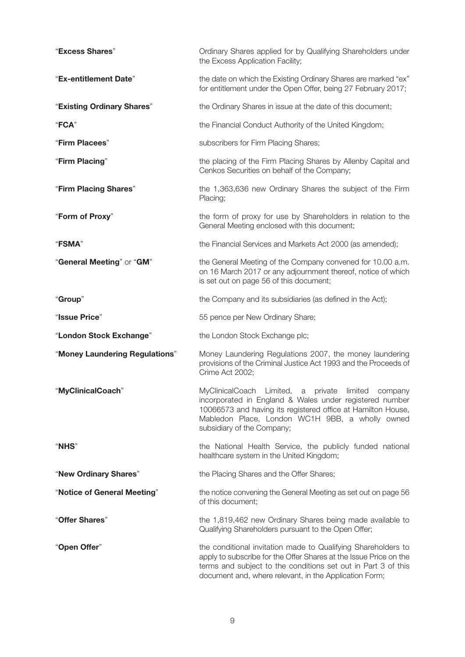| "Excess Shares"                | Ordinary Shares applied for by Qualifying Shareholders under<br>the Excess Application Facility;                                                                                                                                                               |  |  |
|--------------------------------|----------------------------------------------------------------------------------------------------------------------------------------------------------------------------------------------------------------------------------------------------------------|--|--|
| "Ex-entitlement Date"          | the date on which the Existing Ordinary Shares are marked "ex"<br>for entitlement under the Open Offer, being 27 February 2017;                                                                                                                                |  |  |
| "Existing Ordinary Shares"     | the Ordinary Shares in issue at the date of this document;                                                                                                                                                                                                     |  |  |
| "FCA"                          | the Financial Conduct Authority of the United Kingdom;                                                                                                                                                                                                         |  |  |
| "Firm Placees"                 | subscribers for Firm Placing Shares;                                                                                                                                                                                                                           |  |  |
| "Firm Placing"                 | the placing of the Firm Placing Shares by Allenby Capital and<br>Cenkos Securities on behalf of the Company;                                                                                                                                                   |  |  |
| "Firm Placing Shares"          | the 1,363,636 new Ordinary Shares the subject of the Firm<br>Placing;                                                                                                                                                                                          |  |  |
| "Form of Proxy"                | the form of proxy for use by Shareholders in relation to the<br>General Meeting enclosed with this document;                                                                                                                                                   |  |  |
| "FSMA"                         | the Financial Services and Markets Act 2000 (as amended);                                                                                                                                                                                                      |  |  |
| "General Meeting" or "GM"      | the General Meeting of the Company convened for 10.00 a.m.<br>on 16 March 2017 or any adjournment thereof, notice of which<br>is set out on page 56 of this document;                                                                                          |  |  |
| "Group"                        | the Company and its subsidiaries (as defined in the Act);                                                                                                                                                                                                      |  |  |
| "Issue Price"                  | 55 pence per New Ordinary Share;                                                                                                                                                                                                                               |  |  |
| "London Stock Exchange"        | the London Stock Exchange plc;                                                                                                                                                                                                                                 |  |  |
| "Money Laundering Regulations" | Money Laundering Regulations 2007, the money laundering<br>provisions of the Criminal Justice Act 1993 and the Proceeds of<br>Crime Act 2002;                                                                                                                  |  |  |
| "MyClinicalCoach"              | MyClinicalCoach Limited, a private limited company<br>incorporated in England & Wales under registered number<br>10066573 and having its registered office at Hamilton House,<br>Mabledon Place, London WC1H 9BB, a wholly owned<br>subsidiary of the Company; |  |  |
| <b>"NHS"</b>                   | the National Health Service, the publicly funded national<br>healthcare system in the United Kingdom;                                                                                                                                                          |  |  |
| "New Ordinary Shares"          | the Placing Shares and the Offer Shares;                                                                                                                                                                                                                       |  |  |
| "Notice of General Meeting"    | the notice convening the General Meeting as set out on page 56<br>of this document;                                                                                                                                                                            |  |  |
| "Offer Shares"                 | the 1,819,462 new Ordinary Shares being made available to<br>Qualifying Shareholders pursuant to the Open Offer;                                                                                                                                               |  |  |
| "Open Offer"                   | the conditional invitation made to Qualifying Shareholders to<br>apply to subscribe for the Offer Shares at the Issue Price on the<br>terms and subject to the conditions set out in Part 3 of this<br>document and, where relevant, in the Application Form;  |  |  |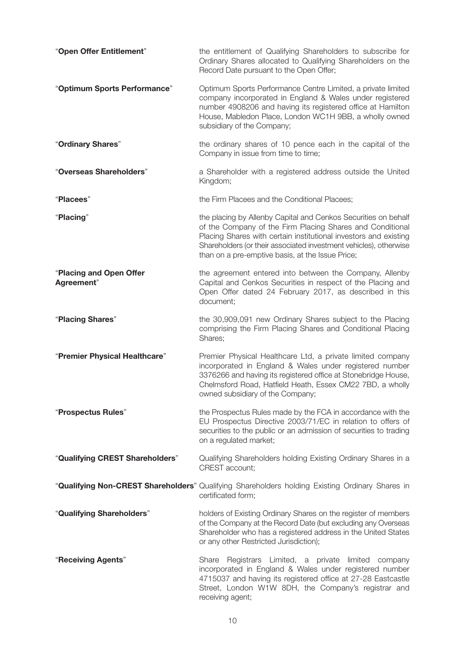| "Open Offer Entitlement"              | the entitlement of Qualifying Shareholders to subscribe for<br>Ordinary Shares allocated to Qualifying Shareholders on the<br>Record Date pursuant to the Open Offer;                                                                                                                                                    |
|---------------------------------------|--------------------------------------------------------------------------------------------------------------------------------------------------------------------------------------------------------------------------------------------------------------------------------------------------------------------------|
| "Optimum Sports Performance"          | Optimum Sports Performance Centre Limited, a private limited<br>company incorporated in England & Wales under registered<br>number 4908206 and having its registered office at Hamilton<br>House, Mabledon Place, London WC1H 9BB, a wholly owned<br>subsidiary of the Company;                                          |
| "Ordinary Shares"                     | the ordinary shares of 10 pence each in the capital of the<br>Company in issue from time to time;                                                                                                                                                                                                                        |
| "Overseas Shareholders"               | a Shareholder with a registered address outside the United<br>Kingdom;                                                                                                                                                                                                                                                   |
| "Placees"                             | the Firm Placees and the Conditional Placees;                                                                                                                                                                                                                                                                            |
| "Placing"                             | the placing by Allenby Capital and Cenkos Securities on behalf<br>of the Company of the Firm Placing Shares and Conditional<br>Placing Shares with certain institutional investors and existing<br>Shareholders (or their associated investment vehicles), otherwise<br>than on a pre-emptive basis, at the Issue Price; |
| "Placing and Open Offer<br>Agreement" | the agreement entered into between the Company, Allenby<br>Capital and Cenkos Securities in respect of the Placing and<br>Open Offer dated 24 February 2017, as described in this<br>document;                                                                                                                           |
| "Placing Shares"                      | the 30,909,091 new Ordinary Shares subject to the Placing<br>comprising the Firm Placing Shares and Conditional Placing<br>Shares;                                                                                                                                                                                       |
| "Premier Physical Healthcare"         | Premier Physical Healthcare Ltd, a private limited company<br>incorporated in England & Wales under registered number<br>3376266 and having its registered office at Stonebridge House,<br>Chelmsford Road, Hatfield Heath, Essex CM22 7BD, a wholly<br>owned subsidiary of the Company;                                 |
| "Prospectus Rules"                    | the Prospectus Rules made by the FCA in accordance with the<br>EU Prospectus Directive 2003/71/EC in relation to offers of<br>securities to the public or an admission of securities to trading<br>on a regulated market;                                                                                                |
| "Qualifying CREST Shareholders"       | Qualifying Shareholders holding Existing Ordinary Shares in a<br>CREST account;                                                                                                                                                                                                                                          |
|                                       | "Qualifying Non-CREST Shareholders" Qualifying Shareholders holding Existing Ordinary Shares in<br>certificated form;                                                                                                                                                                                                    |
| "Qualifying Shareholders"             | holders of Existing Ordinary Shares on the register of members<br>of the Company at the Record Date (but excluding any Overseas<br>Shareholder who has a registered address in the United States<br>or any other Restricted Jurisdiction);                                                                               |
| "Receiving Agents"                    | Registrars Limited, a private limited<br>Share<br>company<br>incorporated in England & Wales under registered number<br>4715037 and having its registered office at 27-28 Eastcastle<br>Street, London W1W 8DH, the Company's registrar and<br>receiving agent;                                                          |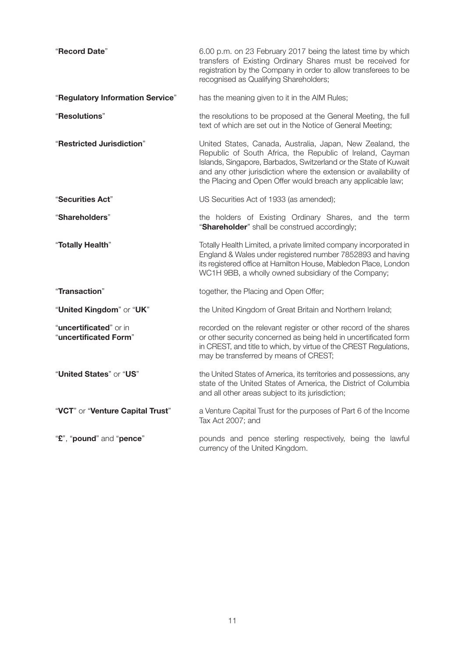| "Record Date"                                   | 6.00 p.m. on 23 February 2017 being the latest time by which<br>transfers of Existing Ordinary Shares must be received for<br>registration by the Company in order to allow transferees to be<br>recognised as Qualifying Shareholders;                                                                                        |
|-------------------------------------------------|--------------------------------------------------------------------------------------------------------------------------------------------------------------------------------------------------------------------------------------------------------------------------------------------------------------------------------|
| "Regulatory Information Service"                | has the meaning given to it in the AIM Rules;                                                                                                                                                                                                                                                                                  |
| "Resolutions"                                   | the resolutions to be proposed at the General Meeting, the full<br>text of which are set out in the Notice of General Meeting;                                                                                                                                                                                                 |
| "Restricted Jurisdiction"                       | United States, Canada, Australia, Japan, New Zealand, the<br>Republic of South Africa, the Republic of Ireland, Cayman<br>Islands, Singapore, Barbados, Switzerland or the State of Kuwait<br>and any other jurisdiction where the extension or availability of<br>the Placing and Open Offer would breach any applicable law; |
| "Securities Act"                                | US Securities Act of 1933 (as amended);                                                                                                                                                                                                                                                                                        |
| "Shareholders"                                  | the holders of Existing Ordinary Shares, and the term<br>"Shareholder" shall be construed accordingly;                                                                                                                                                                                                                         |
| "Totally Health"                                | Totally Health Limited, a private limited company incorporated in<br>England & Wales under registered number 7852893 and having<br>its registered office at Hamilton House, Mabledon Place, London<br>WC1H 9BB, a wholly owned subsidiary of the Company;                                                                      |
| "Transaction"                                   | together, the Placing and Open Offer;                                                                                                                                                                                                                                                                                          |
| "United Kingdom" or "UK"                        | the United Kingdom of Great Britain and Northern Ireland;                                                                                                                                                                                                                                                                      |
| "uncertificated" or in<br>"uncertificated Form" | recorded on the relevant register or other record of the shares<br>or other security concerned as being held in uncertificated form<br>in CREST, and title to which, by virtue of the CREST Regulations,<br>may be transferred by means of CREST;                                                                              |
| "United States" or "US"                         | the United States of America, its territories and possessions, any<br>state of the United States of America, the District of Columbia<br>and all other areas subject to its jurisdiction;                                                                                                                                      |
| "VCT" or "Venture Capital Trust"                | a Venture Capital Trust for the purposes of Part 6 of the Income<br>Tax Act 2007; and                                                                                                                                                                                                                                          |
| "£", "pound" and "pence"                        | pounds and pence sterling respectively, being the lawful<br>currency of the United Kingdom.                                                                                                                                                                                                                                    |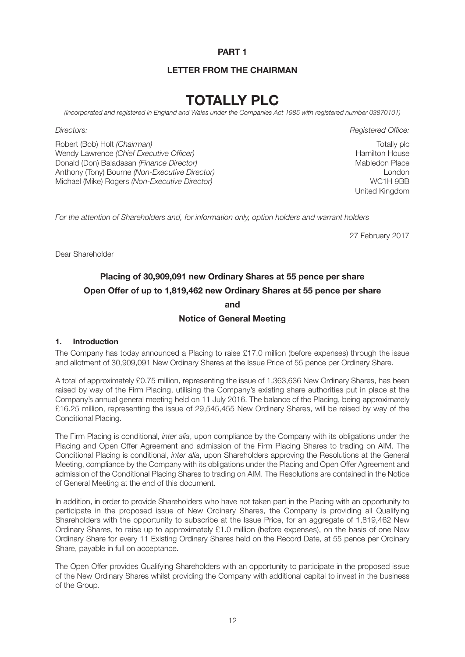#### **PART 1**

#### **LETTER FROM THE CHAIRMAN**

# **TOTALLY PLC**

*(Incorporated and registered in England and Wales under the Companies Act 1985 with registered number 03870101)*

Robert (Bob) Holt *(Chairman)* Wendy Lawrence *(Chief Executive Officer)* Donald (Don) Baladasan *(Finance Director)* Anthony (Tony) Bourne *(Non-Executive Director)* Michael (Mike) Rogers *(Non-Executive Director)*

*Directors: Registered Office:*

Totally plc Hamilton House Mabledon Place London WC1H 9BB United Kingdom

*For the attention of Shareholders and, for information only, option holders and warrant holders*

27 February 2017

Dear Shareholder

# **Placing of 30,909,091 new Ordinary Shares at 55 pence per share Open Offer of up to 1,819,462 new Ordinary Shares at 55 pence per share and**

#### **Notice of General Meeting**

#### **1. Introduction**

The Company has today announced a Placing to raise £17.0 million (before expenses) through the issue and allotment of 30,909,091 New Ordinary Shares at the Issue Price of 55 pence per Ordinary Share.

A total of approximately £0.75 million, representing the issue of 1,363,636 New Ordinary Shares, has been raised by way of the Firm Placing, utilising the Company's existing share authorities put in place at the Company's annual general meeting held on 11 July 2016. The balance of the Placing, being approximately £16.25 million, representing the issue of 29,545,455 New Ordinary Shares, will be raised by way of the Conditional Placing.

The Firm Placing is conditional, *inter alia*, upon compliance by the Company with its obligations under the Placing and Open Offer Agreement and admission of the Firm Placing Shares to trading on AIM. The Conditional Placing is conditional, *inter alia*, upon Shareholders approving the Resolutions at the General Meeting, compliance by the Company with its obligations under the Placing and Open Offer Agreement and admission of the Conditional Placing Shares to trading on AIM. The Resolutions are contained in the Notice of General Meeting at the end of this document.

In addition, in order to provide Shareholders who have not taken part in the Placing with an opportunity to participate in the proposed issue of New Ordinary Shares, the Company is providing all Qualifying Shareholders with the opportunity to subscribe at the Issue Price, for an aggregate of 1,819,462 New Ordinary Shares, to raise up to approximately £1.0 million (before expenses), on the basis of one New Ordinary Share for every 11 Existing Ordinary Shares held on the Record Date, at 55 pence per Ordinary Share, payable in full on acceptance.

The Open Offer provides Qualifying Shareholders with an opportunity to participate in the proposed issue of the New Ordinary Shares whilst providing the Company with additional capital to invest in the business of the Group.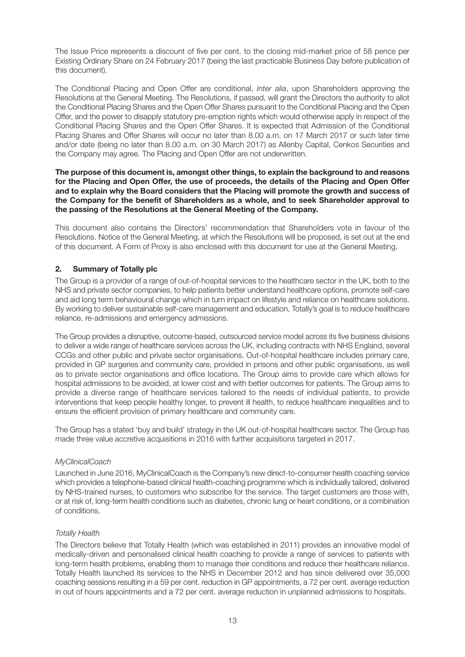The Issue Price represents a discount of five per cent. to the closing mid-market price of 58 pence per Existing Ordinary Share on 24 February 2017 (being the last practicable Business Day before publication of this document).

The Conditional Placing and Open Offer are conditional, *inter alia*, upon Shareholders approving the Resolutions at the General Meeting. The Resolutions, if passed, will grant the Directors the authority to allot the Conditional Placing Shares and the Open Offer Shares pursuant to the Conditional Placing and the Open Offer, and the power to disapply statutory pre-emption rights which would otherwise apply in respect of the Conditional Placing Shares and the Open Offer Shares. It is expected that Admission of the Conditional Placing Shares and Offer Shares will occur no later than 8.00 a.m. on 17 March 2017 or such later time and/or date (being no later than 8.00 a.m. on 30 March 2017) as Allenby Capital, Cenkos Securities and the Company may agree. The Placing and Open Offer are not underwritten.

#### **The purpose of this document is, amongst other things, to explain the background to and reasons for the Placing and Open Offer, the use of proceeds, the details of the Placing and Open Offer and to explain why the Board considers that the Placing will promote the growth and success of the Company for the benefit of Shareholders as a whole, and to seek Shareholder approval to the passing of the Resolutions at the General Meeting of the Company.**

This document also contains the Directors' recommendation that Shareholders vote in favour of the Resolutions. Notice of the General Meeting, at which the Resolutions will be proposed, is set out at the end of this document. A Form of Proxy is also enclosed with this document for use at the General Meeting.

#### **2. Summary of Totally plc**

The Group is a provider of a range of out-of-hospital services to the healthcare sector in the UK, both to the NHS and private sector companies, to help patients better understand healthcare options, promote self-care and aid long term behavioural change which in turn impact on lifestyle and reliance on healthcare solutions. By working to deliver sustainable self-care management and education, Totally's goal is to reduce healthcare reliance, re-admissions and emergency admissions.

The Group provides a disruptive, outcome-based, outsourced service model across its five business divisions to deliver a wide range of healthcare services across the UK, including contracts with NHS England, several CCGs and other public and private sector organisations. Out-of-hospital healthcare includes primary care, provided in GP surgeries and community care, provided in prisons and other public organisations, as well as to private sector organisations and office locations. The Group aims to provide care which allows for hospital admissions to be avoided, at lower cost and with better outcomes for patients. The Group aims to provide a diverse range of healthcare services tailored to the needs of individual patients, to provide interventions that keep people healthy longer, to prevent ill health, to reduce healthcare inequalities and to ensure the efficient provision of primary healthcare and community care.

The Group has a stated 'buy and build' strategy in the UK out-of-hospital healthcare sector. The Group has made three value accretive acquisitions in 2016 with further acquisitions targeted in 2017.

#### *MyClinicalCoach*

Launched in June 2016, MyClinicalCoach is the Company's new direct-to-consumer health coaching service which provides a telephone-based clinical health-coaching programme which is individually tailored, delivered by NHS-trained nurses, to customers who subscribe for the service. The target customers are those with, or at risk of, long-term health conditions such as diabetes, chronic lung or heart conditions, or a combination of conditions.

#### *Totally Health*

The Directors believe that Totally Health (which was established in 2011) provides an innovative model of medically-driven and personalised clinical health coaching to provide a range of services to patients with long-term health problems, enabling them to manage their conditions and reduce their healthcare reliance. Totally Health launched its services to the NHS in December 2012 and has since delivered over 35,000 coaching sessions resulting in a 59 per cent. reduction in GP appointments, a 72 per cent. average reduction in out of hours appointments and a 72 per cent. average reduction in unplanned admissions to hospitals.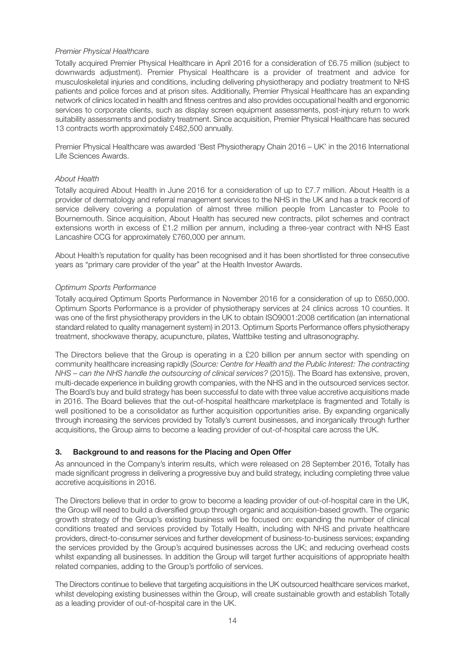#### *Premier Physical Healthcare*

Totally acquired Premier Physical Healthcare in April 2016 for a consideration of £6.75 million (subject to downwards adjustment). Premier Physical Healthcare is a provider of treatment and advice for musculoskeletal injuries and conditions, including delivering physiotherapy and podiatry treatment to NHS patients and police forces and at prison sites. Additionally, Premier Physical Healthcare has an expanding network of clinics located in health and fitness centres and also provides occupational health and ergonomic services to corporate clients, such as display screen equipment assessments, post-injury return to work suitability assessments and podiatry treatment. Since acquisition, Premier Physical Healthcare has secured 13 contracts worth approximately £482,500 annually.

Premier Physical Healthcare was awarded 'Best Physiotherapy Chain 2016 – UK' in the 2016 International Life Sciences Awards.

#### *About Health*

Totally acquired About Health in June 2016 for a consideration of up to £7.7 million. About Health is a provider of dermatology and referral management services to the NHS in the UK and has a track record of service delivery covering a population of almost three million people from Lancaster to Poole to Bournemouth. Since acquisition, About Health has secured new contracts, pilot schemes and contract extensions worth in excess of £1.2 million per annum, including a three-year contract with NHS East Lancashire CCG for approximately £760,000 per annum.

About Health's reputation for quality has been recognised and it has been shortlisted for three consecutive years as "primary care provider of the year" at the Health Investor Awards.

#### *Optimum Sports Performance*

Totally acquired Optimum Sports Performance in November 2016 for a consideration of up to £650,000. Optimum Sports Performance is a provider of physiotherapy services at 24 clinics across 10 counties. It was one of the first physiotherapy providers in the UK to obtain ISO9001:2008 certification (an international standard related to quality management system) in 2013. Optimum Sports Performance offers physiotherapy treatment, shockwave therapy, acupuncture, pilates, Wattbike testing and ultrasonography.

The Directors believe that the Group is operating in a £20 billion per annum sector with spending on community healthcare increasing rapidly (*Source: Centre for Health and the Public Interest: The contracting NHS – can the NHS handle the outsourcing of clinical services?* (2015)). The Board has extensive, proven, multi-decade experience in building growth companies, with the NHS and in the outsourced services sector. The Board's buy and build strategy has been successful to date with three value accretive acquisitions made in 2016. The Board believes that the out-of-hospital healthcare marketplace is fragmented and Totally is well positioned to be a consolidator as further acquisition opportunities arise. By expanding organically through increasing the services provided by Totally's current businesses, and inorganically through further acquisitions, the Group aims to become a leading provider of out-of-hospital care across the UK.

#### **3. Background to and reasons for the Placing and Open Offer**

As announced in the Company's interim results, which were released on 28 September 2016, Totally has made significant progress in delivering a progressive buy and build strategy, including completing three value accretive acquisitions in 2016.

The Directors believe that in order to grow to become a leading provider of out-of-hospital care in the UK, the Group will need to build a diversified group through organic and acquisition-based growth. The organic growth strategy of the Group's existing business will be focused on: expanding the number of clinical conditions treated and services provided by Totally Health, including with NHS and private healthcare providers, direct-to-consumer services and further development of business-to-business services; expanding the services provided by the Group's acquired businesses across the UK; and reducing overhead costs whilst expanding all businesses. In addition the Group will target further acquisitions of appropriate health related companies, adding to the Group's portfolio of services.

The Directors continue to believe that targeting acquisitions in the UK outsourced healthcare services market, whilst developing existing businesses within the Group, will create sustainable growth and establish Totally as a leading provider of out-of-hospital care in the UK.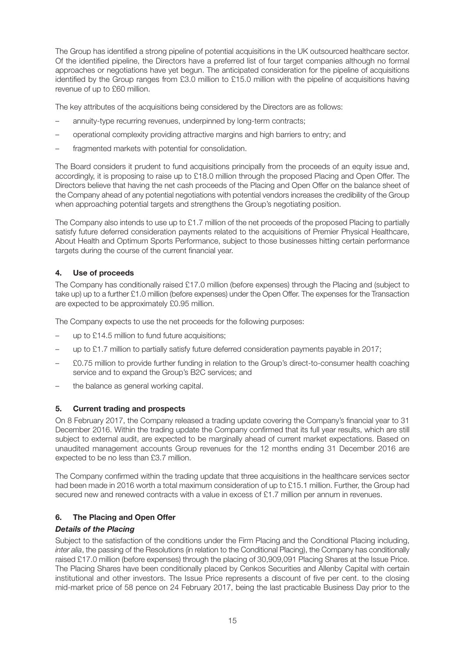The Group has identified a strong pipeline of potential acquisitions in the UK outsourced healthcare sector. Of the identified pipeline, the Directors have a preferred list of four target companies although no formal approaches or negotiations have yet begun. The anticipated consideration for the pipeline of acquisitions identified by the Group ranges from £3.0 million to £15.0 million with the pipeline of acquisitions having revenue of up to £60 million.

The key attributes of the acquisitions being considered by the Directors are as follows:

- annuity-type recurring revenues, underpinned by long-term contracts;
- operational complexity providing attractive margins and high barriers to entry; and
- fragmented markets with potential for consolidation.

The Board considers it prudent to fund acquisitions principally from the proceeds of an equity issue and, accordingly, it is proposing to raise up to £18.0 million through the proposed Placing and Open Offer. The Directors believe that having the net cash proceeds of the Placing and Open Offer on the balance sheet of the Company ahead of any potential negotiations with potential vendors increases the credibility of the Group when approaching potential targets and strengthens the Group's negotiating position.

The Company also intends to use up to £1.7 million of the net proceeds of the proposed Placing to partially satisfy future deferred consideration payments related to the acquisitions of Premier Physical Healthcare, About Health and Optimum Sports Performance, subject to those businesses hitting certain performance targets during the course of the current financial year.

#### **4. Use of proceeds**

The Company has conditionally raised £17.0 million (before expenses) through the Placing and (subject to take up) up to a further £1.0 million (before expenses) under the Open Offer. The expenses for the Transaction are expected to be approximately £0.95 million.

The Company expects to use the net proceeds for the following purposes:

- up to £14.5 million to fund future acquisitions;
- up to £1.7 million to partially satisfy future deferred consideration payments payable in 2017;
- £0.75 million to provide further funding in relation to the Group's direct-to-consumer health coaching service and to expand the Group's B2C services; and
- the balance as general working capital.

#### **5. Current trading and prospects**

On 8 February 2017, the Company released a trading update covering the Company's financial year to 31 December 2016. Within the trading update the Company confirmed that its full year results, which are still subject to external audit, are expected to be marginally ahead of current market expectations. Based on unaudited management accounts Group revenues for the 12 months ending 31 December 2016 are expected to be no less than £3.7 million.

The Company confirmed within the trading update that three acquisitions in the healthcare services sector had been made in 2016 worth a total maximum consideration of up to £15.1 million. Further, the Group had secured new and renewed contracts with a value in excess of £1.7 million per annum in revenues.

#### **6. The Placing and Open Offer**

#### *Details of the Placing*

Subject to the satisfaction of the conditions under the Firm Placing and the Conditional Placing including, *inter alia*, the passing of the Resolutions (in relation to the Conditional Placing), the Company has conditionally raised £17.0 million (before expenses) through the placing of 30,909,091 Placing Shares at the Issue Price. The Placing Shares have been conditionally placed by Cenkos Securities and Allenby Capital with certain institutional and other investors. The Issue Price represents a discount of five per cent. to the closing mid-market price of 58 pence on 24 February 2017, being the last practicable Business Day prior to the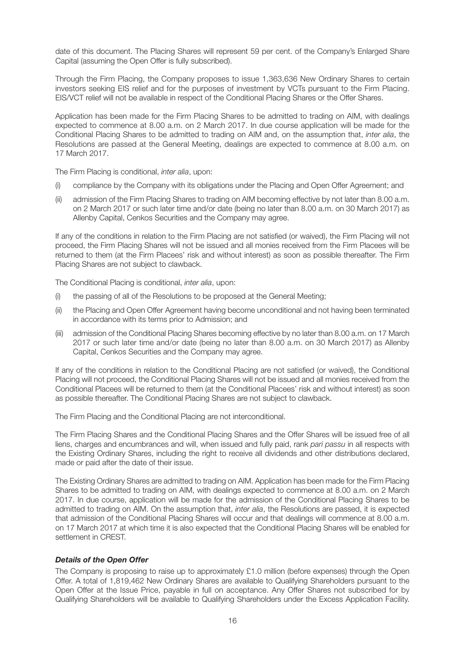date of this document. The Placing Shares will represent 59 per cent. of the Company's Enlarged Share Capital (assuming the Open Offer is fully subscribed).

Through the Firm Placing, the Company proposes to issue 1,363,636 New Ordinary Shares to certain investors seeking EIS relief and for the purposes of investment by VCTs pursuant to the Firm Placing. EIS/VCT relief will not be available in respect of the Conditional Placing Shares or the Offer Shares.

Application has been made for the Firm Placing Shares to be admitted to trading on AIM, with dealings expected to commence at 8.00 a.m. on 2 March 2017. In due course application will be made for the Conditional Placing Shares to be admitted to trading on AIM and, on the assumption that, *inter alia*, the Resolutions are passed at the General Meeting, dealings are expected to commence at 8.00 a.m. on 17 March 2017.

The Firm Placing is conditional, *inter alia*, upon:

- (i) compliance by the Company with its obligations under the Placing and Open Offer Agreement; and
- (ii) admission of the Firm Placing Shares to trading on AIM becoming effective by not later than 8.00 a.m. on 2 March 2017 or such later time and/or date (being no later than 8.00 a.m. on 30 March 2017) as Allenby Capital, Cenkos Securities and the Company may agree.

If any of the conditions in relation to the Firm Placing are not satisfied (or waived), the Firm Placing will not proceed, the Firm Placing Shares will not be issued and all monies received from the Firm Placees will be returned to them (at the Firm Placees' risk and without interest) as soon as possible thereafter. The Firm Placing Shares are not subject to clawback.

The Conditional Placing is conditional, *inter alia*, upon:

- (i) the passing of all of the Resolutions to be proposed at the General Meeting;
- (ii) the Placing and Open Offer Agreement having become unconditional and not having been terminated in accordance with its terms prior to Admission; and
- (iii) admission of the Conditional Placing Shares becoming effective by no later than 8.00 a.m. on 17 March 2017 or such later time and/or date (being no later than 8.00 a.m. on 30 March 2017) as Allenby Capital, Cenkos Securities and the Company may agree.

If any of the conditions in relation to the Conditional Placing are not satisfied (or waived), the Conditional Placing will not proceed, the Conditional Placing Shares will not be issued and all monies received from the Conditional Placees will be returned to them (at the Conditional Placees' risk and without interest) as soon as possible thereafter. The Conditional Placing Shares are not subject to clawback.

The Firm Placing and the Conditional Placing are not interconditional.

The Firm Placing Shares and the Conditional Placing Shares and the Offer Shares will be issued free of all liens, charges and encumbrances and will, when issued and fully paid, rank *pari passu* in all respects with the Existing Ordinary Shares, including the right to receive all dividends and other distributions declared, made or paid after the date of their issue.

The Existing Ordinary Shares are admitted to trading on AIM. Application has been made for the Firm Placing Shares to be admitted to trading on AIM, with dealings expected to commence at 8.00 a.m. on 2 March 2017. In due course, application will be made for the admission of the Conditional Placing Shares to be admitted to trading on AIM. On the assumption that, *inter alia*, the Resolutions are passed, it is expected that admission of the Conditional Placing Shares will occur and that dealings will commence at 8.00 a.m. on 17 March 2017 at which time it is also expected that the Conditional Placing Shares will be enabled for settlement in CREST.

#### *Details of the Open Offer*

The Company is proposing to raise up to approximately £1.0 million (before expenses) through the Open Offer. A total of 1,819,462 New Ordinary Shares are available to Qualifying Shareholders pursuant to the Open Offer at the Issue Price, payable in full on acceptance. Any Offer Shares not subscribed for by Qualifying Shareholders will be available to Qualifying Shareholders under the Excess Application Facility.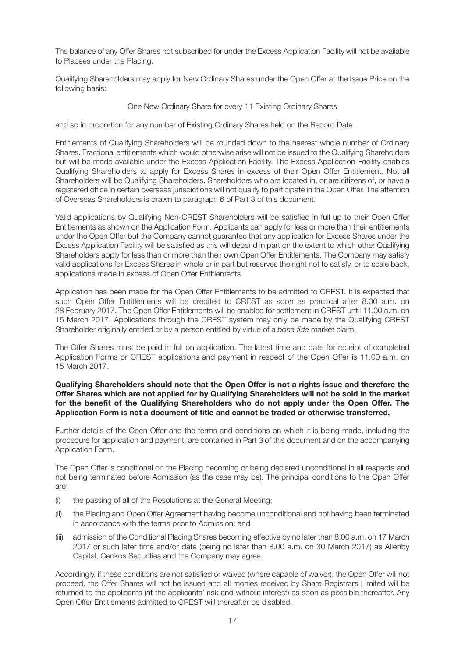The balance of any Offer Shares not subscribed for under the Excess Application Facility will not be available to Placees under the Placing.

Qualifying Shareholders may apply for New Ordinary Shares under the Open Offer at the Issue Price on the following basis:

#### One New Ordinary Share for every 11 Existing Ordinary Shares

and so in proportion for any number of Existing Ordinary Shares held on the Record Date.

Entitlements of Qualifying Shareholders will be rounded down to the nearest whole number of Ordinary Shares. Fractional entitlements which would otherwise arise will not be issued to the Qualifying Shareholders but will be made available under the Excess Application Facility. The Excess Application Facility enables Qualifying Shareholders to apply for Excess Shares in excess of their Open Offer Entitlement. Not all Shareholders will be Qualifying Shareholders. Shareholders who are located in, or are citizens of, or have a registered office in certain overseas jurisdictions will not qualify to participate in the Open Offer. The attention of Overseas Shareholders is drawn to paragraph 6 of Part 3 of this document.

Valid applications by Qualifying Non-CREST Shareholders will be satisfied in full up to their Open Offer Entitlements as shown on the Application Form. Applicants can apply for less or more than their entitlements under the Open Offer but the Company cannot guarantee that any application for Excess Shares under the Excess Application Facility will be satisfied as this will depend in part on the extent to which other Qualifying Shareholders apply for less than or more than their own Open Offer Entitlements. The Company may satisfy valid applications for Excess Shares in whole or in part but reserves the right not to satisfy, or to scale back, applications made in excess of Open Offer Entitlements.

Application has been made for the Open Offer Entitlements to be admitted to CREST. It is expected that such Open Offer Entitlements will be credited to CREST as soon as practical after 8.00 a.m. on 28 February 2017. The Open Offer Entitlements will be enabled for settlement in CREST until 11.00 a.m. on 15 March 2017. Applications through the CREST system may only be made by the Qualifying CREST Shareholder originally entitled or by a person entitled by virtue of a *bona fide* market claim.

The Offer Shares must be paid in full on application. The latest time and date for receipt of completed Application Forms or CREST applications and payment in respect of the Open Offer is 11.00 a.m. on 15 March 2017.

#### **Qualifying Shareholders should note that the Open Offer is not a rights issue and therefore the Offer Shares which are not applied for by Qualifying Shareholders will not be sold in the market for the benefit of the Qualifying Shareholders who do not apply under the Open Offer. The Application Form is not a document of title and cannot be traded or otherwise transferred.**

Further details of the Open Offer and the terms and conditions on which it is being made, including the procedure for application and payment, are contained in Part 3 of this document and on the accompanying Application Form.

The Open Offer is conditional on the Placing becoming or being declared unconditional in all respects and not being terminated before Admission (as the case may be). The principal conditions to the Open Offer are:

- (i) the passing of all of the Resolutions at the General Meeting;
- (ii) the Placing and Open Offer Agreement having become unconditional and not having been terminated in accordance with the terms prior to Admission; and
- (iii) admission of the Conditional Placing Shares becoming effective by no later than 8.00 a.m. on 17 March 2017 or such later time and/or date (being no later than 8.00 a.m. on 30 March 2017) as Allenby Capital, Cenkos Securities and the Company may agree.

Accordingly, if these conditions are not satisfied or waived (where capable of waiver), the Open Offer will not proceed, the Offer Shares will not be issued and all monies received by Share Registrars Limited will be returned to the applicants (at the applicants' risk and without interest) as soon as possible thereafter. Any Open Offer Entitlements admitted to CREST will thereafter be disabled.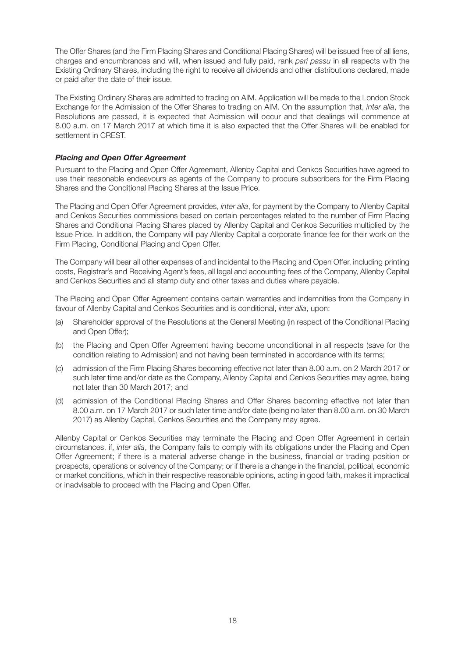The Offer Shares (and the Firm Placing Shares and Conditional Placing Shares) will be issued free of all liens, charges and encumbrances and will, when issued and fully paid, rank *pari passu* in all respects with the Existing Ordinary Shares, including the right to receive all dividends and other distributions declared, made or paid after the date of their issue.

The Existing Ordinary Shares are admitted to trading on AIM. Application will be made to the London Stock Exchange for the Admission of the Offer Shares to trading on AIM. On the assumption that, *inter alia*, the Resolutions are passed, it is expected that Admission will occur and that dealings will commence at 8.00 a.m. on 17 March 2017 at which time it is also expected that the Offer Shares will be enabled for settlement in CREST.

#### *Placing and Open Offer Agreement*

Pursuant to the Placing and Open Offer Agreement, Allenby Capital and Cenkos Securities have agreed to use their reasonable endeavours as agents of the Company to procure subscribers for the Firm Placing Shares and the Conditional Placing Shares at the Issue Price.

The Placing and Open Offer Agreement provides, *inter alia*, for payment by the Company to Allenby Capital and Cenkos Securities commissions based on certain percentages related to the number of Firm Placing Shares and Conditional Placing Shares placed by Allenby Capital and Cenkos Securities multiplied by the Issue Price. In addition, the Company will pay Allenby Capital a corporate finance fee for their work on the Firm Placing, Conditional Placing and Open Offer.

The Company will bear all other expenses of and incidental to the Placing and Open Offer, including printing costs, Registrar's and Receiving Agent's fees, all legal and accounting fees of the Company, Allenby Capital and Cenkos Securities and all stamp duty and other taxes and duties where payable.

The Placing and Open Offer Agreement contains certain warranties and indemnities from the Company in favour of Allenby Capital and Cenkos Securities and is conditional, *inter alia*, upon:

- (a) Shareholder approval of the Resolutions at the General Meeting (in respect of the Conditional Placing and Open Offer);
- (b) the Placing and Open Offer Agreement having become unconditional in all respects (save for the condition relating to Admission) and not having been terminated in accordance with its terms;
- (c) admission of the Firm Placing Shares becoming effective not later than 8.00 a.m. on 2 March 2017 or such later time and/or date as the Company, Allenby Capital and Cenkos Securities may agree, being not later than 30 March 2017; and
- (d) admission of the Conditional Placing Shares and Offer Shares becoming effective not later than 8.00 a.m. on 17 March 2017 or such later time and/or date (being no later than 8.00 a.m. on 30 March 2017) as Allenby Capital, Cenkos Securities and the Company may agree.

Allenby Capital or Cenkos Securities may terminate the Placing and Open Offer Agreement in certain circumstances, if, *inter alia*, the Company fails to comply with its obligations under the Placing and Open Offer Agreement; if there is a material adverse change in the business, financial or trading position or prospects, operations or solvency of the Company; or if there is a change in the financial, political, economic or market conditions, which in their respective reasonable opinions, acting in good faith, makes it impractical or inadvisable to proceed with the Placing and Open Offer.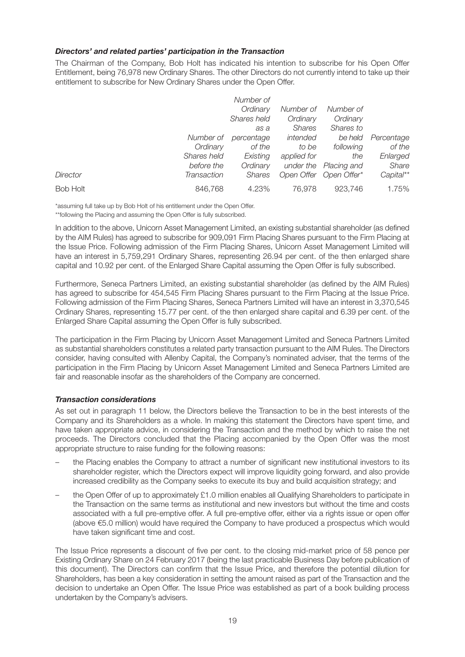#### *Directors' and related parties' participation in the Transaction*

The Chairman of the Company, Bob Holt has indicated his intention to subscribe for his Open Offer Entitlement, being 76,978 new Ordinary Shares. The other Directors do not currently intend to take up their entitlement to subscribe for New Ordinary Shares under the Open Offer.

|                 |             | Number of   |               |                        |            |
|-----------------|-------------|-------------|---------------|------------------------|------------|
|                 |             | Ordinary    | Number of     | Number of              |            |
|                 |             | Shares held | Ordinary      | Ordinary               |            |
|                 |             | as a        | <b>Shares</b> | Shares to              |            |
|                 | Number of   | percentage  | intended      | be held                | Percentage |
|                 | Ordinary    | of the      | to be         | following              | of the     |
|                 | Shares held | Existing    | applied for   | the                    | Enlarged   |
|                 | before the  | Ordinary    | under the     | Placing and            | Share      |
| Director        | Transaction | Shares      |               | Open Offer Open Offer* | Capital**  |
| <b>Bob Holt</b> | 846,768     | 4.23%       | 76.978        | 923,746                | 1.75%      |

\*assuming full take up by Bob Holt of his entitlement under the Open Offer.

\*\*following the Placing and assuming the Open Offer is fully subscribed.

In addition to the above, Unicorn Asset Management Limited, an existing substantial shareholder (as defined by the AIM Rules) has agreed to subscribe for 909,091 Firm Placing Shares pursuant to the Firm Placing at the Issue Price. Following admission of the Firm Placing Shares, Unicorn Asset Management Limited will have an interest in 5,759,291 Ordinary Shares, representing 26.94 per cent. of the then enlarged share capital and 10.92 per cent. of the Enlarged Share Capital assuming the Open Offer is fully subscribed.

Furthermore, Seneca Partners Limited, an existing substantial shareholder (as defined by the AIM Rules) has agreed to subscribe for 454,545 Firm Placing Shares pursuant to the Firm Placing at the Issue Price. Following admission of the Firm Placing Shares, Seneca Partners Limited will have an interest in 3,370,545 Ordinary Shares, representing 15.77 per cent. of the then enlarged share capital and 6.39 per cent. of the Enlarged Share Capital assuming the Open Offer is fully subscribed.

The participation in the Firm Placing by Unicorn Asset Management Limited and Seneca Partners Limited as substantial shareholders constitutes a related party transaction pursuant to the AIM Rules. The Directors consider, having consulted with Allenby Capital, the Company's nominated adviser, that the terms of the participation in the Firm Placing by Unicorn Asset Management Limited and Seneca Partners Limited are fair and reasonable insofar as the shareholders of the Company are concerned.

#### *Transaction considerations*

As set out in paragraph 11 below, the Directors believe the Transaction to be in the best interests of the Company and its Shareholders as a whole. In making this statement the Directors have spent time, and have taken appropriate advice, in considering the Transaction and the method by which to raise the net proceeds. The Directors concluded that the Placing accompanied by the Open Offer was the most appropriate structure to raise funding for the following reasons:

- the Placing enables the Company to attract a number of significant new institutional investors to its shareholder register, which the Directors expect will improve liquidity going forward, and also provide increased credibility as the Company seeks to execute its buy and build acquisition strategy; and
- the Open Offer of up to approximately £1.0 million enables all Qualifying Shareholders to participate in the Transaction on the same terms as institutional and new investors but without the time and costs associated with a full pre-emptive offer. A full pre-emptive offer, either via a rights issue or open offer (above €5.0 million) would have required the Company to have produced a prospectus which would have taken significant time and cost.

The Issue Price represents a discount of five per cent. to the closing mid-market price of 58 pence per Existing Ordinary Share on 24 February 2017 (being the last practicable Business Day before publication of this document). The Directors can confirm that the Issue Price, and therefore the potential dilution for Shareholders, has been a key consideration in setting the amount raised as part of the Transaction and the decision to undertake an Open Offer. The Issue Price was established as part of a book building process undertaken by the Company's advisers.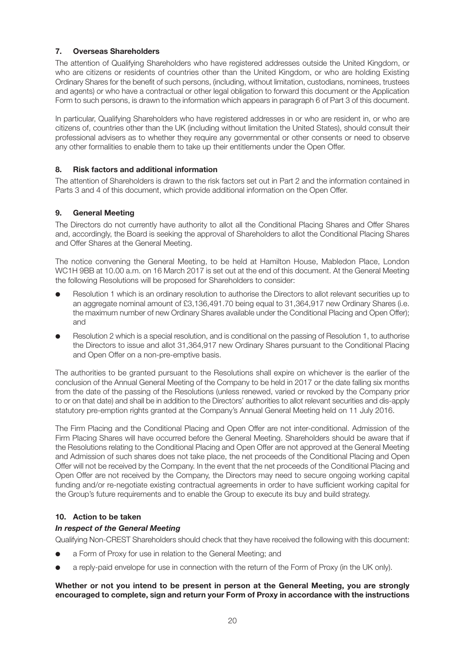#### **7. Overseas Shareholders**

The attention of Qualifying Shareholders who have registered addresses outside the United Kingdom, or who are citizens or residents of countries other than the United Kingdom, or who are holding Existing Ordinary Shares for the benefit of such persons, (including, without limitation, custodians, nominees, trustees and agents) or who have a contractual or other legal obligation to forward this document or the Application Form to such persons, is drawn to the information which appears in paragraph 6 of Part 3 of this document.

In particular, Qualifying Shareholders who have registered addresses in or who are resident in, or who are citizens of, countries other than the UK (including without limitation the United States), should consult their professional advisers as to whether they require any governmental or other consents or need to observe any other formalities to enable them to take up their entitlements under the Open Offer.

#### **8. Risk factors and additional information**

The attention of Shareholders is drawn to the risk factors set out in Part 2 and the information contained in Parts 3 and 4 of this document, which provide additional information on the Open Offer.

#### **9. General Meeting**

The Directors do not currently have authority to allot all the Conditional Placing Shares and Offer Shares and, accordingly, the Board is seeking the approval of Shareholders to allot the Conditional Placing Shares and Offer Shares at the General Meeting.

The notice convening the General Meeting, to be held at Hamilton House, Mabledon Place, London WC1H 9BB at 10.00 a.m. on 16 March 2017 is set out at the end of this document. At the General Meeting the following Resolutions will be proposed for Shareholders to consider:

- Resolution 1 which is an ordinary resolution to authorise the Directors to allot relevant securities up to an aggregate nominal amount of £3,136,491.70 being equal to 31,364,917 new Ordinary Shares (i.e. the maximum number of new Ordinary Shares available under the Conditional Placing and Open Offer); and
- Resolution 2 which is a special resolution, and is conditional on the passing of Resolution 1, to authorise the Directors to issue and allot 31,364,917 new Ordinary Shares pursuant to the Conditional Placing and Open Offer on a non-pre-emptive basis.

The authorities to be granted pursuant to the Resolutions shall expire on whichever is the earlier of the conclusion of the Annual General Meeting of the Company to be held in 2017 or the date falling six months from the date of the passing of the Resolutions (unless renewed, varied or revoked by the Company prior to or on that date) and shall be in addition to the Directors' authorities to allot relevant securities and dis-apply statutory pre-emption rights granted at the Company's Annual General Meeting held on 11 July 2016.

The Firm Placing and the Conditional Placing and Open Offer are not inter-conditional. Admission of the Firm Placing Shares will have occurred before the General Meeting. Shareholders should be aware that if the Resolutions relating to the Conditional Placing and Open Offer are not approved at the General Meeting and Admission of such shares does not take place, the net proceeds of the Conditional Placing and Open Offer will not be received by the Company. In the event that the net proceeds of the Conditional Placing and Open Offer are not received by the Company, the Directors may need to secure ongoing working capital funding and/or re-negotiate existing contractual agreements in order to have sufficient working capital for the Group's future requirements and to enable the Group to execute its buy and build strategy.

#### **10. Action to be taken**

#### *In respect of the General Meeting*

Qualifying Non-CREST Shareholders should check that they have received the following with this document:

- a Form of Proxy for use in relation to the General Meeting; and
- a reply-paid envelope for use in connection with the return of the Form of Proxy (in the UK only).

#### **Whether or not you intend to be present in person at the General Meeting, you are strongly encouraged to complete, sign and return your Form of Proxy in accordance with the instructions**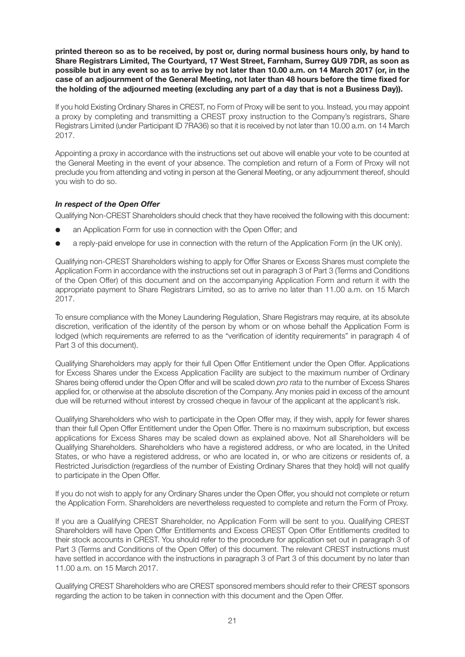**printed thereon so as to be received, by post or, during normal business hours only, by hand to Share Registrars Limited, The Courtyard, 17 West Street, Farnham, Surrey GU9 7DR, as soon as possible but in any event so as to arrive by not later than 10.00 a.m. on 14 March 2017 (or, in the case of an adjournment of the General Meeting, not later than 48 hours before the time fixed for the holding of the adjourned meeting (excluding any part of a day that is not a Business Day)).**

If you hold Existing Ordinary Shares in CREST, no Form of Proxy will be sent to you. Instead, you may appoint a proxy by completing and transmitting a CREST proxy instruction to the Company's registrars, Share Registrars Limited (under Participant ID 7RA36) so that it is received by not later than 10.00 a.m. on 14 March 2017.

Appointing a proxy in accordance with the instructions set out above will enable your vote to be counted at the General Meeting in the event of your absence. The completion and return of a Form of Proxy will not preclude you from attending and voting in person at the General Meeting, or any adjournment thereof, should you wish to do so.

#### *In respect of the Open Offer*

Qualifying Non-CREST Shareholders should check that they have received the following with this document:

- an Application Form for use in connection with the Open Offer; and
- a reply-paid envelope for use in connection with the return of the Application Form (in the UK only).

Qualifying non-CREST Shareholders wishing to apply for Offer Shares or Excess Shares must complete the Application Form in accordance with the instructions set out in paragraph 3 of Part 3 (Terms and Conditions of the Open Offer) of this document and on the accompanying Application Form and return it with the appropriate payment to Share Registrars Limited, so as to arrive no later than 11.00 a.m. on 15 March 2017.

To ensure compliance with the Money Laundering Regulation, Share Registrars may require, at its absolute discretion, verification of the identity of the person by whom or on whose behalf the Application Form is lodged (which requirements are referred to as the "verification of identity requirements" in paragraph 4 of Part 3 of this document).

Qualifying Shareholders may apply for their full Open Offer Entitlement under the Open Offer. Applications for Excess Shares under the Excess Application Facility are subject to the maximum number of Ordinary Shares being offered under the Open Offer and will be scaled down *pro rata* to the number of Excess Shares applied for, or otherwise at the absolute discretion of the Company. Any monies paid in excess of the amount due will be returned without interest by crossed cheque in favour of the applicant at the applicant's risk.

Qualifying Shareholders who wish to participate in the Open Offer may, if they wish, apply for fewer shares than their full Open Offer Entitlement under the Open Offer. There is no maximum subscription, but excess applications for Excess Shares may be scaled down as explained above. Not all Shareholders will be Qualifying Shareholders. Shareholders who have a registered address, or who are located, in the United States, or who have a registered address, or who are located in, or who are citizens or residents of, a Restricted Jurisdiction (regardless of the number of Existing Ordinary Shares that they hold) will not qualify to participate in the Open Offer.

If you do not wish to apply for any Ordinary Shares under the Open Offer, you should not complete or return the Application Form. Shareholders are nevertheless requested to complete and return the Form of Proxy.

If you are a Qualifying CREST Shareholder, no Application Form will be sent to you. Qualifying CREST Shareholders will have Open Offer Entitlements and Excess CREST Open Offer Entitlements credited to their stock accounts in CREST. You should refer to the procedure for application set out in paragraph 3 of Part 3 (Terms and Conditions of the Open Offer) of this document. The relevant CREST instructions must have settled in accordance with the instructions in paragraph 3 of Part 3 of this document by no later than 11.00 a.m. on 15 March 2017.

Qualifying CREST Shareholders who are CREST sponsored members should refer to their CREST sponsors regarding the action to be taken in connection with this document and the Open Offer.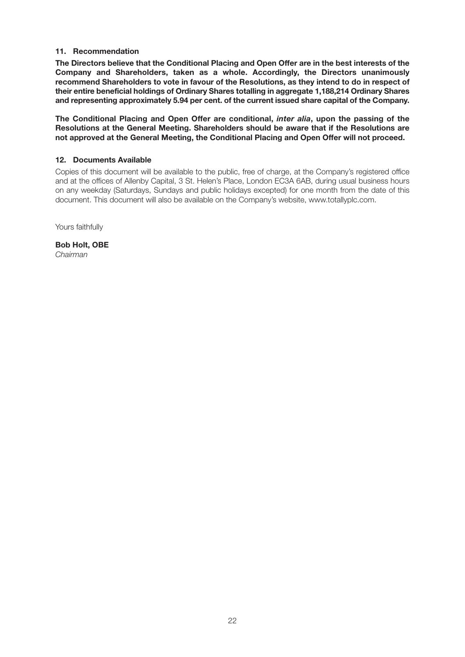#### **11. Recommendation**

**The Directors believe that the Conditional Placing and Open Offer are in the best interests of the Company and Shareholders, taken as a whole. Accordingly, the Directors unanimously recommend Shareholders to vote in favour of the Resolutions, as they intend to do in respect of their entire beneficial holdings of Ordinary Shares totalling in aggregate 1,188,214 Ordinary Shares and representing approximately 5.94 per cent. of the current issued share capital of the Company.**

**The Conditional Placing and Open Offer are conditional,** *inter alia***, upon the passing of the Resolutions at the General Meeting. Shareholders should be aware that if the Resolutions are not approved at the General Meeting, the Conditional Placing and Open Offer will not proceed.**

#### **12. Documents Available**

Copies of this document will be available to the public, free of charge, at the Company's registered office and at the offices of Allenby Capital, 3 St. Helen's Place, London EC3A 6AB, during usual business hours on any weekday (Saturdays, Sundays and public holidays excepted) for one month from the date of this document. This document will also be available on the Company's website, www.totallyplc.com.

Yours faithfully

**Bob Holt, OBE** *Chairman*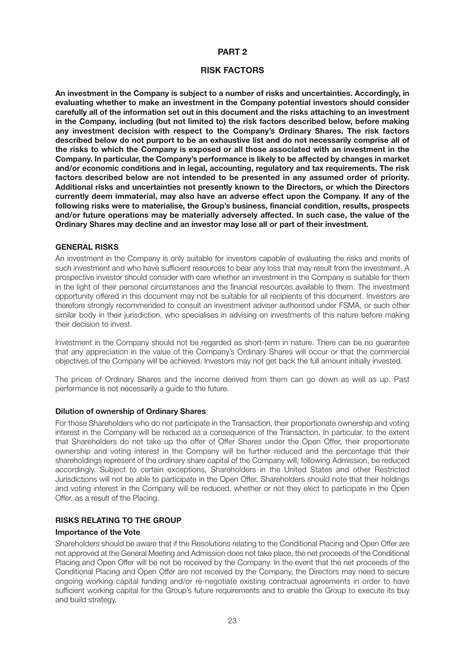#### **PART 2**

#### **RISK FACTORS**

**An investment in the Company is subject to a number of risks and uncertainties. Accordingly, in evaluating whether to make an investment in the Company potential investors should consider carefully all of the information set out in this document and the risks attaching to an investment in the Company, including (but not limited to) the risk factors described below, before making any investment decision with respect to the Company's Ordinary Shares. The risk factors described below do not purport to be an exhaustive list and do not necessarily comprise all of the risks to which the Company is exposed or all those associated with an investment in the Company. In particular, the Company's performance is likely to be affected by changes in market and/or economic conditions and in legal, accounting, regulatory and tax requirements. The risk factors described below are not intended to be presented in any assumed order of priority. Additional risks and uncertainties not presently known to the Directors, or which the Directors currently deem immaterial, may also have an adverse effect upon the Company. If any of the following risks were to materialise, the Group's business, financial condition, results, prospects and/or future operations may be materially adversely affected. In such case, the value of the Ordinary Shares may decline and an investor may lose all or part of their investment.**

#### **GENERAL RISKS**

An investment in the Company is only suitable for investors capable of evaluating the risks and merits of such investment and who have sufficient resources to bear any loss that may result from the investment. A prospective investor should consider with care whether an investment in the Company is suitable for them in the light of their personal circumstances and the financial resources available to them. The investment opportunity offered in this document may not be suitable for all recipients of this document. Investors are therefore strongly recommended to consult an investment adviser authorised under FSMA, or such other similar body in their jurisdiction, who specialises in advising on investments of this nature before making their decision to invest.

Investment in the Company should not be regarded as short-term in nature. There can be no guarantee that any appreciation in the value of the Company's Ordinary Shares will occur or that the commercial objectives of the Company will be achieved. Investors may not get back the full amount initially invested.

The prices of Ordinary Shares and the income derived from them can go down as well as up. Past performance is not necessarily a guide to the future.

#### **Dilution of ownership of Ordinary Shares**

For those Shareholders who do not participate in the Transaction, their proportionate ownership and voting interest in the Company will be reduced as a consequence of the Transaction. In particular, to the extent that Shareholders do not take up the offer of Offer Shares under the Open Offer, their proportionate ownership and voting interest in the Company will be further reduced and the percentage that their shareholdings represent of the ordinary share capital of the Company will, following Admission, be reduced accordingly. Subject to certain exceptions, Shareholders in the United States and other Restricted Jurisdictions will not be able to participate in the Open Offer. Shareholders should note that their holdings and voting interest in the Company will be reduced, whether or not they elect to participate in the Open Offer, as a result of the Placing.

#### **RISKS RELATING TO THE GROUP**

#### **Importance of the Vote**

Shareholders should be aware that if the Resolutions relating to the Conditional Placing and Open Offer are not approved at the General Meeting and Admission does not take place, the net proceeds of the Conditional Placing and Open Offer will be not be received by the Company. In the event that the net proceeds of the Conditional Placing and Open Offer are not received by the Company, the Directors may need to secure ongoing working capital funding and/or re-negotiate existing contractual agreements in order to have sufficient working capital for the Group's future requirements and to enable the Group to execute its buy and build strategy.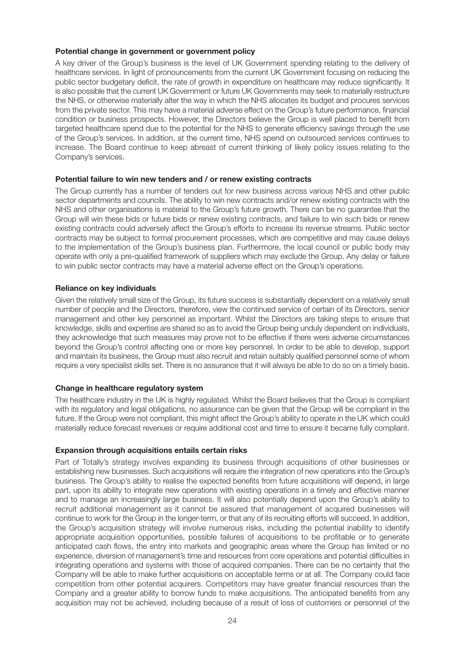#### **Potential change in government or government policy**

A key driver of the Group's business is the level of UK Government spending relating to the delivery of healthcare services. In light of pronouncements from the current UK Government focusing on reducing the public sector budgetary deficit, the rate of growth in expenditure on healthcare may reduce significantly. It is also possible that the current UK Government or future UK Governments may seek to materially restructure the NHS, or otherwise materially alter the way in which the NHS allocates its budget and procures services from the private sector. This may have a material adverse effect on the Group's future performance, financial condition or business prospects. However, the Directors believe the Group is well placed to benefit from targeted healthcare spend due to the potential for the NHS to generate efficiency savings through the use of the Group's services. In addition, at the current time, NHS spend on outsourced services continues to increase. The Board continue to keep abreast of current thinking of likely policy issues relating to the Company's services.

#### **Potential failure to win new tenders and / or renew existing contracts**

The Group currently has a number of tenders out for new business across various NHS and other public sector departments and councils. The ability to win new contracts and/or renew existing contracts with the NHS and other organisations is material to the Group's future growth. There can be no guarantee that the Group will win these bids or future bids or renew existing contracts, and failure to win such bids or renew existing contracts could adversely affect the Group's efforts to increase its revenue streams. Public sector contracts may be subject to formal procurement processes, which are competitive and may cause delays to the implementation of the Group's business plan. Furthermore, the local council or public body may operate with only a pre-qualified framework of suppliers which may exclude the Group. Any delay or failure to win public sector contracts may have a material adverse effect on the Group's operations.

#### **Reliance on key individuals**

Given the relatively small size of the Group, its future success is substantially dependent on a relatively small number of people and the Directors, therefore, view the continued service of certain of its Directors, senior management and other key personnel as important. Whilst the Directors are taking steps to ensure that knowledge, skills and expertise are shared so as to avoid the Group being unduly dependent on individuals, they acknowledge that such measures may prove not to be effective if there were adverse circumstances beyond the Group's control affecting one or more key personnel. In order to be able to develop, support and maintain its business, the Group must also recruit and retain suitably qualified personnel some of whom require a very specialist skills set. There is no assurance that it will always be able to do so on a timely basis.

#### **Change in healthcare regulatory system**

The healthcare industry in the UK is highly regulated. Whilst the Board believes that the Group is compliant with its regulatory and legal obligations, no assurance can be given that the Group will be compliant in the future. If the Group were not compliant, this might affect the Group's ability to operate in the UK which could materially reduce forecast revenues or require additional cost and time to ensure it became fully compliant.

#### **Expansion through acquisitions entails certain risks**

Part of Totally's strategy involves expanding its business through acquisitions of other businesses or establishing new businesses. Such acquisitions will require the integration of new operations into the Group's business. The Group's ability to realise the expected benefits from future acquisitions will depend, in large part, upon its ability to integrate new operations with existing operations in a timely and effective manner and to manage an increasingly large business. It will also potentially depend upon the Group's ability to recruit additional management as it cannot be assured that management of acquired businesses will continue to work for the Group in the longer-term, or that any of its recruiting efforts will succeed. In addition, the Group's acquisition strategy will involve numerous risks, including the potential inability to identify appropriate acquisition opportunities, possible failures of acquisitions to be profitable or to generate anticipated cash flows, the entry into markets and geographic areas where the Group has limited or no experience, diversion of management's time and resources from core operations and potential difficulties in integrating operations and systems with those of acquired companies. There can be no certainty that the Company will be able to make further acquisitions on acceptable terms or at all. The Company could face competition from other potential acquirers. Competitors may have greater financial resources than the Company and a greater ability to borrow funds to make acquisitions. The anticipated benefits from any acquisition may not be achieved, including because of a result of loss of customers or personnel of the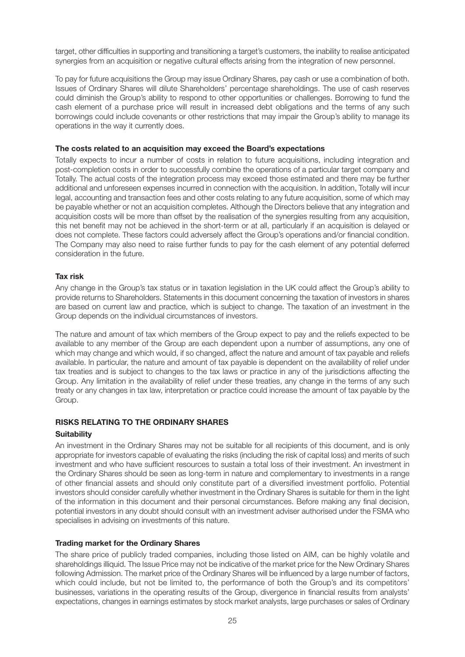target, other difficulties in supporting and transitioning a target's customers, the inability to realise anticipated synergies from an acquisition or negative cultural effects arising from the integration of new personnel.

To pay for future acquisitions the Group may issue Ordinary Shares, pay cash or use a combination of both. Issues of Ordinary Shares will dilute Shareholders' percentage shareholdings. The use of cash reserves could diminish the Group's ability to respond to other opportunities or challenges. Borrowing to fund the cash element of a purchase price will result in increased debt obligations and the terms of any such borrowings could include covenants or other restrictions that may impair the Group's ability to manage its operations in the way it currently does.

#### **The costs related to an acquisition may exceed the Board's expectations**

Totally expects to incur a number of costs in relation to future acquisitions, including integration and post-completion costs in order to successfully combine the operations of a particular target company and Totally. The actual costs of the integration process may exceed those estimated and there may be further additional and unforeseen expenses incurred in connection with the acquisition. In addition, Totally will incur legal, accounting and transaction fees and other costs relating to any future acquisition, some of which may be payable whether or not an acquisition completes. Although the Directors believe that any integration and acquisition costs will be more than offset by the realisation of the synergies resulting from any acquisition, this net benefit may not be achieved in the short-term or at all, particularly if an acquisition is delayed or does not complete. These factors could adversely affect the Group's operations and/or financial condition. The Company may also need to raise further funds to pay for the cash element of any potential deferred consideration in the future.

#### **Tax risk**

Any change in the Group's tax status or in taxation legislation in the UK could affect the Group's ability to provide returns to Shareholders. Statements in this document concerning the taxation of investors in shares are based on current law and practice, which is subject to change. The taxation of an investment in the Group depends on the individual circumstances of investors.

The nature and amount of tax which members of the Group expect to pay and the reliefs expected to be available to any member of the Group are each dependent upon a number of assumptions, any one of which may change and which would, if so changed, affect the nature and amount of tax payable and reliefs available. In particular, the nature and amount of tax payable is dependent on the availability of relief under tax treaties and is subject to changes to the tax laws or practice in any of the jurisdictions affecting the Group. Any limitation in the availability of relief under these treaties, any change in the terms of any such treaty or any changes in tax law, interpretation or practice could increase the amount of tax payable by the Group.

#### **RISKS RELATING TO THE ORDINARY SHARES**

#### **Suitability**

An investment in the Ordinary Shares may not be suitable for all recipients of this document, and is only appropriate for investors capable of evaluating the risks (including the risk of capital loss) and merits of such investment and who have sufficient resources to sustain a total loss of their investment. An investment in the Ordinary Shares should be seen as long-term in nature and complementary to investments in a range of other financial assets and should only constitute part of a diversified investment portfolio. Potential investors should consider carefully whether investment in the Ordinary Shares is suitable for them in the light of the information in this document and their personal circumstances. Before making any final decision, potential investors in any doubt should consult with an investment adviser authorised under the FSMA who specialises in advising on investments of this nature.

#### **Trading market for the Ordinary Shares**

The share price of publicly traded companies, including those listed on AIM, can be highly volatile and shareholdings illiquid. The Issue Price may not be indicative of the market price for the New Ordinary Shares following Admission. The market price of the Ordinary Shares will be influenced by a large number of factors, which could include, but not be limited to, the performance of both the Group's and its competitors' businesses, variations in the operating results of the Group, divergence in financial results from analysts' expectations, changes in earnings estimates by stock market analysts, large purchases or sales of Ordinary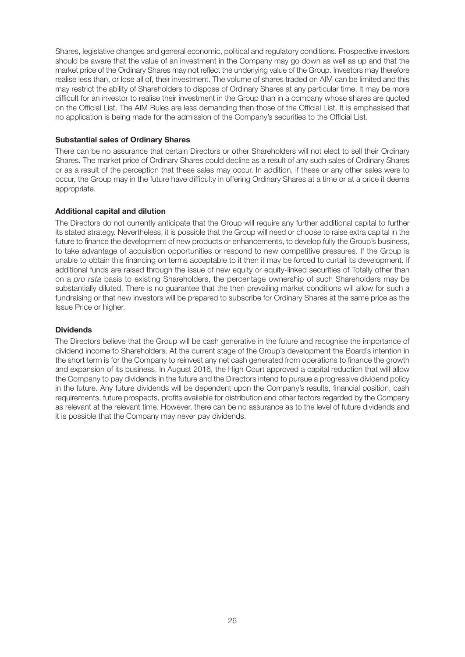Shares, legislative changes and general economic, political and regulatory conditions. Prospective investors should be aware that the value of an investment in the Company may go down as well as up and that the market price of the Ordinary Shares may not reflect the underlying value of the Group. Investors may therefore realise less than, or lose all of, their investment. The volume of shares traded on AIM can be limited and this may restrict the ability of Shareholders to dispose of Ordinary Shares at any particular time. It may be more difficult for an investor to realise their investment in the Group than in a company whose shares are quoted on the Official List. The AIM Rules are less demanding than those of the Official List. It is emphasised that no application is being made for the admission of the Company's securities to the Official List.

#### **Substantial sales of Ordinary Shares**

There can be no assurance that certain Directors or other Shareholders will not elect to sell their Ordinary Shares. The market price of Ordinary Shares could decline as a result of any such sales of Ordinary Shares or as a result of the perception that these sales may occur. In addition, if these or any other sales were to occur, the Group may in the future have difficulty in offering Ordinary Shares at a time or at a price it deems appropriate.

#### **Additional capital and dilution**

The Directors do not currently anticipate that the Group will require any further additional capital to further its stated strategy. Nevertheless, it is possible that the Group will need or choose to raise extra capital in the future to finance the development of new products or enhancements, to develop fully the Group's business, to take advantage of acquisition opportunities or respond to new competitive pressures. If the Group is unable to obtain this financing on terms acceptable to it then it may be forced to curtail its development. If additional funds are raised through the issue of new equity or equity-linked securities of Totally other than on a *pro rata* basis to existing Shareholders, the percentage ownership of such Shareholders may be substantially diluted. There is no guarantee that the then prevailing market conditions will allow for such a fundraising or that new investors will be prepared to subscribe for Ordinary Shares at the same price as the Issue Price or higher.

#### **Dividends**

The Directors believe that the Group will be cash generative in the future and recognise the importance of dividend income to Shareholders. At the current stage of the Group's development the Board's intention in the short term is for the Company to reinvest any net cash generated from operations to finance the growth and expansion of its business. In August 2016, the High Court approved a capital reduction that will allow the Company to pay dividends in the future and the Directors intend to pursue a progressive dividend policy in the future. Any future dividends will be dependent upon the Company's results, financial position, cash requirements, future prospects, profits available for distribution and other factors regarded by the Company as relevant at the relevant time. However, there can be no assurance as to the level of future dividends and it is possible that the Company may never pay dividends.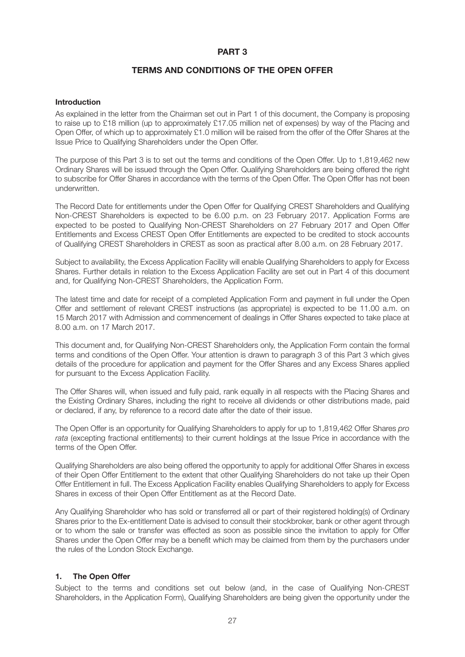#### **PART 3**

#### **TERMS AND CONDITIONS OF THE OPEN OFFER**

#### **Introduction**

As explained in the letter from the Chairman set out in Part 1 of this document, the Company is proposing to raise up to £18 million (up to approximately £17.05 million net of expenses) by way of the Placing and Open Offer, of which up to approximately £1.0 million will be raised from the offer of the Offer Shares at the Issue Price to Qualifying Shareholders under the Open Offer.

The purpose of this Part 3 is to set out the terms and conditions of the Open Offer. Up to 1,819,462 new Ordinary Shares will be issued through the Open Offer. Qualifying Shareholders are being offered the right to subscribe for Offer Shares in accordance with the terms of the Open Offer. The Open Offer has not been underwritten.

The Record Date for entitlements under the Open Offer for Qualifying CREST Shareholders and Qualifying Non-CREST Shareholders is expected to be 6.00 p.m. on 23 February 2017. Application Forms are expected to be posted to Qualifying Non-CREST Shareholders on 27 February 2017 and Open Offer Entitlements and Excess CREST Open Offer Entitlements are expected to be credited to stock accounts of Qualifying CREST Shareholders in CREST as soon as practical after 8.00 a.m. on 28 February 2017.

Subject to availability, the Excess Application Facility will enable Qualifying Shareholders to apply for Excess Shares. Further details in relation to the Excess Application Facility are set out in Part 4 of this document and, for Qualifying Non-CREST Shareholders, the Application Form.

The latest time and date for receipt of a completed Application Form and payment in full under the Open Offer and settlement of relevant CREST instructions (as appropriate) is expected to be 11.00 a.m. on 15 March 2017 with Admission and commencement of dealings in Offer Shares expected to take place at 8.00 a.m. on 17 March 2017.

This document and, for Qualifying Non-CREST Shareholders only, the Application Form contain the formal terms and conditions of the Open Offer. Your attention is drawn to paragraph 3 of this Part 3 which gives details of the procedure for application and payment for the Offer Shares and any Excess Shares applied for pursuant to the Excess Application Facility.

The Offer Shares will, when issued and fully paid, rank equally in all respects with the Placing Shares and the Existing Ordinary Shares, including the right to receive all dividends or other distributions made, paid or declared, if any, by reference to a record date after the date of their issue.

The Open Offer is an opportunity for Qualifying Shareholders to apply for up to 1,819,462 Offer Shares *pro rata* (excepting fractional entitlements) to their current holdings at the Issue Price in accordance with the terms of the Open Offer.

Qualifying Shareholders are also being offered the opportunity to apply for additional Offer Shares in excess of their Open Offer Entitlement to the extent that other Qualifying Shareholders do not take up their Open Offer Entitlement in full. The Excess Application Facility enables Qualifying Shareholders to apply for Excess Shares in excess of their Open Offer Entitlement as at the Record Date.

Any Qualifying Shareholder who has sold or transferred all or part of their registered holding(s) of Ordinary Shares prior to the Ex-entitlement Date is advised to consult their stockbroker, bank or other agent through or to whom the sale or transfer was effected as soon as possible since the invitation to apply for Offer Shares under the Open Offer may be a benefit which may be claimed from them by the purchasers under the rules of the London Stock Exchange.

#### **1. The Open Offer**

Subject to the terms and conditions set out below (and, in the case of Qualifying Non-CREST Shareholders, in the Application Form), Qualifying Shareholders are being given the opportunity under the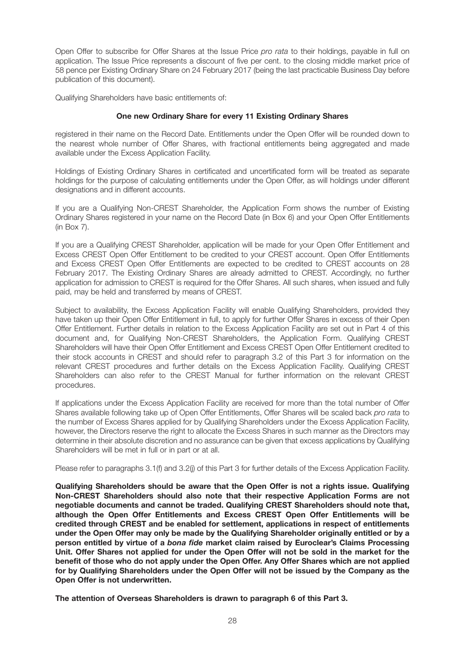Open Offer to subscribe for Offer Shares at the Issue Price *pro rata* to their holdings, payable in full on application. The Issue Price represents a discount of five per cent. to the closing middle market price of 58 pence per Existing Ordinary Share on 24 February 2017 (being the last practicable Business Day before publication of this document).

Qualifying Shareholders have basic entitlements of:

#### **One new Ordinary Share for every 11 Existing Ordinary Shares**

registered in their name on the Record Date. Entitlements under the Open Offer will be rounded down to the nearest whole number of Offer Shares, with fractional entitlements being aggregated and made available under the Excess Application Facility.

Holdings of Existing Ordinary Shares in certificated and uncertificated form will be treated as separate holdings for the purpose of calculating entitlements under the Open Offer, as will holdings under different designations and in different accounts.

If you are a Qualifying Non-CREST Shareholder, the Application Form shows the number of Existing Ordinary Shares registered in your name on the Record Date (in Box 6) and your Open Offer Entitlements (in Box 7).

If you are a Qualifying CREST Shareholder, application will be made for your Open Offer Entitlement and Excess CREST Open Offer Entitlement to be credited to your CREST account. Open Offer Entitlements and Excess CREST Open Offer Entitlements are expected to be credited to CREST accounts on 28 February 2017. The Existing Ordinary Shares are already admitted to CREST. Accordingly, no further application for admission to CREST is required for the Offer Shares. All such shares, when issued and fully paid, may be held and transferred by means of CREST.

Subject to availability, the Excess Application Facility will enable Qualifying Shareholders, provided they have taken up their Open Offer Entitlement in full, to apply for further Offer Shares in excess of their Open Offer Entitlement. Further details in relation to the Excess Application Facility are set out in Part 4 of this document and, for Qualifying Non-CREST Shareholders, the Application Form. Qualifying CREST Shareholders will have their Open Offer Entitlement and Excess CREST Open Offer Entitlement credited to their stock accounts in CREST and should refer to paragraph 3.2 of this Part 3 for information on the relevant CREST procedures and further details on the Excess Application Facility. Qualifying CREST Shareholders can also refer to the CREST Manual for further information on the relevant CREST procedures.

If applications under the Excess Application Facility are received for more than the total number of Offer Shares available following take up of Open Offer Entitlements, Offer Shares will be scaled back *pro rata* to the number of Excess Shares applied for by Qualifying Shareholders under the Excess Application Facility, however, the Directors reserve the right to allocate the Excess Shares in such manner as the Directors may determine in their absolute discretion and no assurance can be given that excess applications by Qualifying Shareholders will be met in full or in part or at all.

Please refer to paragraphs 3.1(f) and 3.2(j) of this Part 3 for further details of the Excess Application Facility.

**Qualifying Shareholders should be aware that the Open Offer is not a rights issue. Qualifying Non-CREST Shareholders should also note that their respective Application Forms are not negotiable documents and cannot be traded. Qualifying CREST Shareholders should note that, although the Open Offer Entitlements and Excess CREST Open Offer Entitlements will be credited through CREST and be enabled for settlement, applications in respect of entitlements under the Open Offer may only be made by the Qualifying Shareholder originally entitled or by a person entitled by virtue of a** *bona fide* **market claim raised by Euroclear's Claims Processing Unit. Offer Shares not applied for under the Open Offer will not be sold in the market for the benefit of those who do not apply under the Open Offer. Any Offer Shares which are not applied for by Qualifying Shareholders under the Open Offer will not be issued by the Company as the Open Offer is not underwritten.**

**The attention of Overseas Shareholders is drawn to paragraph 6 of this Part 3.**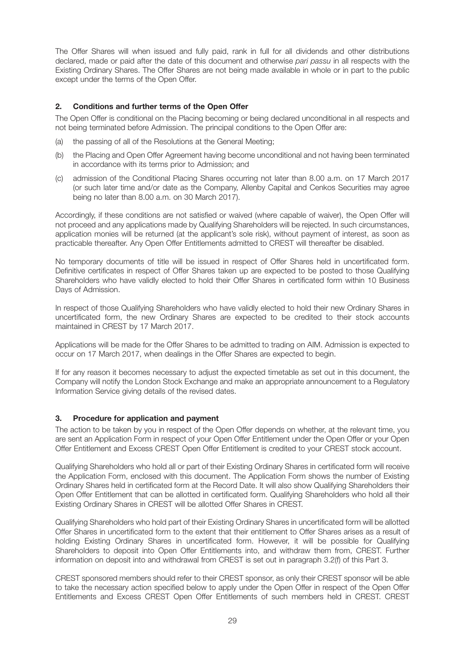The Offer Shares will when issued and fully paid, rank in full for all dividends and other distributions declared, made or paid after the date of this document and otherwise *pari passu* in all respects with the Existing Ordinary Shares. The Offer Shares are not being made available in whole or in part to the public except under the terms of the Open Offer.

#### **2. Conditions and further terms of the Open Offer**

The Open Offer is conditional on the Placing becoming or being declared unconditional in all respects and not being terminated before Admission. The principal conditions to the Open Offer are:

- (a) the passing of all of the Resolutions at the General Meeting;
- (b) the Placing and Open Offer Agreement having become unconditional and not having been terminated in accordance with its terms prior to Admission; and
- (c) admission of the Conditional Placing Shares occurring not later than 8.00 a.m. on 17 March 2017 (or such later time and/or date as the Company, Allenby Capital and Cenkos Securities may agree being no later than 8.00 a.m. on 30 March 2017).

Accordingly, if these conditions are not satisfied or waived (where capable of waiver), the Open Offer will not proceed and any applications made by Qualifying Shareholders will be rejected. In such circumstances, application monies will be returned (at the applicant's sole risk), without payment of interest, as soon as practicable thereafter. Any Open Offer Entitlements admitted to CREST will thereafter be disabled.

No temporary documents of title will be issued in respect of Offer Shares held in uncertificated form. Definitive certificates in respect of Offer Shares taken up are expected to be posted to those Qualifying Shareholders who have validly elected to hold their Offer Shares in certificated form within 10 Business Days of Admission.

In respect of those Qualifying Shareholders who have validly elected to hold their new Ordinary Shares in uncertificated form, the new Ordinary Shares are expected to be credited to their stock accounts maintained in CREST by 17 March 2017.

Applications will be made for the Offer Shares to be admitted to trading on AIM. Admission is expected to occur on 17 March 2017, when dealings in the Offer Shares are expected to begin.

If for any reason it becomes necessary to adjust the expected timetable as set out in this document, the Company will notify the London Stock Exchange and make an appropriate announcement to a Regulatory Information Service giving details of the revised dates.

#### **3. Procedure for application and payment**

The action to be taken by you in respect of the Open Offer depends on whether, at the relevant time, you are sent an Application Form in respect of your Open Offer Entitlement under the Open Offer or your Open Offer Entitlement and Excess CREST Open Offer Entitlement is credited to your CREST stock account.

Qualifying Shareholders who hold all or part of their Existing Ordinary Shares in certificated form will receive the Application Form, enclosed with this document. The Application Form shows the number of Existing Ordinary Shares held in certificated form at the Record Date. It will also show Qualifying Shareholders their Open Offer Entitlement that can be allotted in certificated form. Qualifying Shareholders who hold all their Existing Ordinary Shares in CREST will be allotted Offer Shares in CREST.

Qualifying Shareholders who hold part of their Existing Ordinary Shares in uncertificated form will be allotted Offer Shares in uncertificated form to the extent that their entitlement to Offer Shares arises as a result of holding Existing Ordinary Shares in uncertificated form. However, it will be possible for Qualifying Shareholders to deposit into Open Offer Entitlements into, and withdraw them from, CREST. Further information on deposit into and withdrawal from CREST is set out in paragraph 3.2(f) of this Part 3.

CREST sponsored members should refer to their CREST sponsor, as only their CREST sponsor will be able to take the necessary action specified below to apply under the Open Offer in respect of the Open Offer Entitlements and Excess CREST Open Offer Entitlements of such members held in CREST. CREST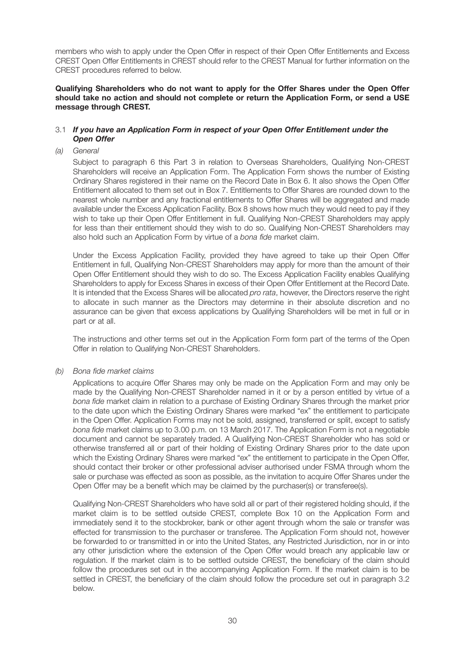members who wish to apply under the Open Offer in respect of their Open Offer Entitlements and Excess CREST Open Offer Entitlements in CREST should refer to the CREST Manual for further information on the CREST procedures referred to below.

#### **Qualifying Shareholders who do not want to apply for the Offer Shares under the Open Offer should take no action and should not complete or return the Application Form, or send a USE message through CREST.**

#### 3.1 *If you have an Application Form in respect of your Open Offer Entitlement under the Open Offer*

*(a) General*

Subject to paragraph 6 this Part 3 in relation to Overseas Shareholders, Qualifying Non-CREST Shareholders will receive an Application Form. The Application Form shows the number of Existing Ordinary Shares registered in their name on the Record Date in Box 6. It also shows the Open Offer Entitlement allocated to them set out in Box 7. Entitlements to Offer Shares are rounded down to the nearest whole number and any fractional entitlements to Offer Shares will be aggregated and made available under the Excess Application Facility. Box 8 shows how much they would need to pay if they wish to take up their Open Offer Entitlement in full. Qualifying Non-CREST Shareholders may apply for less than their entitlement should they wish to do so. Qualifying Non-CREST Shareholders may also hold such an Application Form by virtue of a *bona fide* market claim.

 Under the Excess Application Facility, provided they have agreed to take up their Open Offer Entitlement in full, Qualifying Non-CREST Shareholders may apply for more than the amount of their Open Offer Entitlement should they wish to do so. The Excess Application Facility enables Qualifying Shareholders to apply for Excess Shares in excess of their Open Offer Entitlement at the Record Date. It is intended that the Excess Shares will be allocated *pro rata*, however, the Directors reserve the right to allocate in such manner as the Directors may determine in their absolute discretion and no assurance can be given that excess applications by Qualifying Shareholders will be met in full or in part or at all.

 The instructions and other terms set out in the Application Form form part of the terms of the Open Offer in relation to Qualifying Non-CREST Shareholders.

#### *(b) Bona fide market claims*

 Applications to acquire Offer Shares may only be made on the Application Form and may only be made by the Qualifying Non-CREST Shareholder named in it or by a person entitled by virtue of a *bona fide* market claim in relation to a purchase of Existing Ordinary Shares through the market prior to the date upon which the Existing Ordinary Shares were marked "ex" the entitlement to participate in the Open Offer. Application Forms may not be sold, assigned, transferred or split, except to satisfy *bona fide* market claims up to 3.00 p.m. on 13 March 2017. The Application Form is not a negotiable document and cannot be separately traded. A Qualifying Non-CREST Shareholder who has sold or otherwise transferred all or part of their holding of Existing Ordinary Shares prior to the date upon which the Existing Ordinary Shares were marked "ex" the entitlement to participate in the Open Offer, should contact their broker or other professional adviser authorised under FSMA through whom the sale or purchase was effected as soon as possible, as the invitation to acquire Offer Shares under the Open Offer may be a benefit which may be claimed by the purchaser(s) or transferee(s).

 Qualifying Non-CREST Shareholders who have sold all or part of their registered holding should, if the market claim is to be settled outside CREST, complete Box 10 on the Application Form and immediately send it to the stockbroker, bank or other agent through whom the sale or transfer was effected for transmission to the purchaser or transferee. The Application Form should not, however be forwarded to or transmitted in or into the United States, any Restricted Jurisdiction, nor in or into any other jurisdiction where the extension of the Open Offer would breach any applicable law or regulation. If the market claim is to be settled outside CREST, the beneficiary of the claim should follow the procedures set out in the accompanying Application Form. If the market claim is to be settled in CREST, the beneficiary of the claim should follow the procedure set out in paragraph 3.2 below.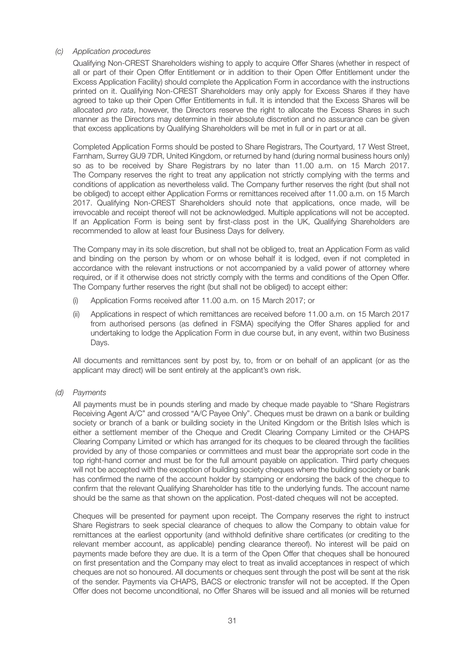#### *(c) Application procedures*

 Qualifying Non-CREST Shareholders wishing to apply to acquire Offer Shares (whether in respect of all or part of their Open Offer Entitlement or in addition to their Open Offer Entitlement under the Excess Application Facility) should complete the Application Form in accordance with the instructions printed on it. Qualifying Non-CREST Shareholders may only apply for Excess Shares if they have agreed to take up their Open Offer Entitlements in full. It is intended that the Excess Shares will be allocated *pro rata*, however, the Directors reserve the right to allocate the Excess Shares in such manner as the Directors may determine in their absolute discretion and no assurance can be given that excess applications by Qualifying Shareholders will be met in full or in part or at all.

 Completed Application Forms should be posted to Share Registrars, The Courtyard, 17 West Street, Farnham, Surrey GU9 7DR, United Kingdom, or returned by hand (during normal business hours only) so as to be received by Share Registrars by no later than 11.00 a.m. on 15 March 2017. The Company reserves the right to treat any application not strictly complying with the terms and conditions of application as nevertheless valid. The Company further reserves the right (but shall not be obliged) to accept either Application Forms or remittances received after 11.00 a.m. on 15 March 2017. Qualifying Non-CREST Shareholders should note that applications, once made, will be irrevocable and receipt thereof will not be acknowledged. Multiple applications will not be accepted. If an Application Form is being sent by first-class post in the UK, Qualifying Shareholders are recommended to allow at least four Business Days for delivery.

 The Company may in its sole discretion, but shall not be obliged to, treat an Application Form as valid and binding on the person by whom or on whose behalf it is lodged, even if not completed in accordance with the relevant instructions or not accompanied by a valid power of attorney where required, or if it otherwise does not strictly comply with the terms and conditions of the Open Offer. The Company further reserves the right (but shall not be obliged) to accept either:

- (i) Application Forms received after 11.00 a.m. on 15 March 2017; or
- (ii) Applications in respect of which remittances are received before 11.00 a.m. on 15 March 2017 from authorised persons (as defined in FSMA) specifying the Offer Shares applied for and undertaking to lodge the Application Form in due course but, in any event, within two Business Days.

 All documents and remittances sent by post by, to, from or on behalf of an applicant (or as the applicant may direct) will be sent entirely at the applicant's own risk.

*(d) Payments*

 All payments must be in pounds sterling and made by cheque made payable to "Share Registrars Receiving Agent A/C" and crossed "A/C Payee Only". Cheques must be drawn on a bank or building society or branch of a bank or building society in the United Kingdom or the British Isles which is either a settlement member of the Cheque and Credit Clearing Company Limited or the CHAPS Clearing Company Limited or which has arranged for its cheques to be cleared through the facilities provided by any of those companies or committees and must bear the appropriate sort code in the top right-hand corner and must be for the full amount payable on application. Third party cheques will not be accepted with the exception of building society cheques where the building society or bank has confirmed the name of the account holder by stamping or endorsing the back of the cheque to confirm that the relevant Qualifying Shareholder has title to the underlying funds. The account name should be the same as that shown on the application. Post-dated cheques will not be accepted.

 Cheques will be presented for payment upon receipt. The Company reserves the right to instruct Share Registrars to seek special clearance of cheques to allow the Company to obtain value for remittances at the earliest opportunity (and withhold definitive share certificates (or crediting to the relevant member account, as applicable) pending clearance thereof). No interest will be paid on payments made before they are due. It is a term of the Open Offer that cheques shall be honoured on first presentation and the Company may elect to treat as invalid acceptances in respect of which cheques are not so honoured. All documents or cheques sent through the post will be sent at the risk of the sender. Payments via CHAPS, BACS or electronic transfer will not be accepted. If the Open Offer does not become unconditional, no Offer Shares will be issued and all monies will be returned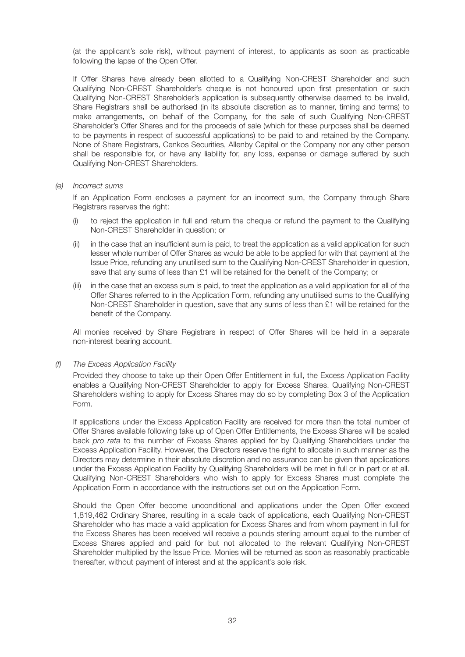(at the applicant's sole risk), without payment of interest, to applicants as soon as practicable following the lapse of the Open Offer.

 If Offer Shares have already been allotted to a Qualifying Non-CREST Shareholder and such Qualifying Non-CREST Shareholder's cheque is not honoured upon first presentation or such Qualifying Non-CREST Shareholder's application is subsequently otherwise deemed to be invalid, Share Registrars shall be authorised (in its absolute discretion as to manner, timing and terms) to make arrangements, on behalf of the Company, for the sale of such Qualifying Non-CREST Shareholder's Offer Shares and for the proceeds of sale (which for these purposes shall be deemed to be payments in respect of successful applications) to be paid to and retained by the Company. None of Share Registrars, Cenkos Securities, Allenby Capital or the Company nor any other person shall be responsible for, or have any liability for, any loss, expense or damage suffered by such Qualifying Non-CREST Shareholders.

#### *(e) Incorrect sums*

 If an Application Form encloses a payment for an incorrect sum, the Company through Share Registrars reserves the right:

- (i) to reject the application in full and return the cheque or refund the payment to the Qualifying Non-CREST Shareholder in question; or
- (ii) in the case that an insufficient sum is paid, to treat the application as a valid application for such lesser whole number of Offer Shares as would be able to be applied for with that payment at the Issue Price, refunding any unutilised sum to the Qualifying Non-CREST Shareholder in question, save that any sums of less than £1 will be retained for the benefit of the Company; or
- (iii) in the case that an excess sum is paid, to treat the application as a valid application for all of the Offer Shares referred to in the Application Form, refunding any unutilised sums to the Qualifying Non-CREST Shareholder in question, save that any sums of less than £1 will be retained for the benefit of the Company.

 All monies received by Share Registrars in respect of Offer Shares will be held in a separate non-interest bearing account.

#### *(f) The Excess Application Facility*

 Provided they choose to take up their Open Offer Entitlement in full, the Excess Application Facility enables a Qualifying Non-CREST Shareholder to apply for Excess Shares. Qualifying Non-CREST Shareholders wishing to apply for Excess Shares may do so by completing Box 3 of the Application Form.

 If applications under the Excess Application Facility are received for more than the total number of Offer Shares available following take up of Open Offer Entitlements, the Excess Shares will be scaled back *pro rata* to the number of Excess Shares applied for by Qualifying Shareholders under the Excess Application Facility. However, the Directors reserve the right to allocate in such manner as the Directors may determine in their absolute discretion and no assurance can be given that applications under the Excess Application Facility by Qualifying Shareholders will be met in full or in part or at all. Qualifying Non-CREST Shareholders who wish to apply for Excess Shares must complete the Application Form in accordance with the instructions set out on the Application Form.

 Should the Open Offer become unconditional and applications under the Open Offer exceed 1,819,462 Ordinary Shares, resulting in a scale back of applications, each Qualifying Non-CREST Shareholder who has made a valid application for Excess Shares and from whom payment in full for the Excess Shares has been received will receive a pounds sterling amount equal to the number of Excess Shares applied and paid for but not allocated to the relevant Qualifying Non-CREST Shareholder multiplied by the Issue Price. Monies will be returned as soon as reasonably practicable thereafter, without payment of interest and at the applicant's sole risk.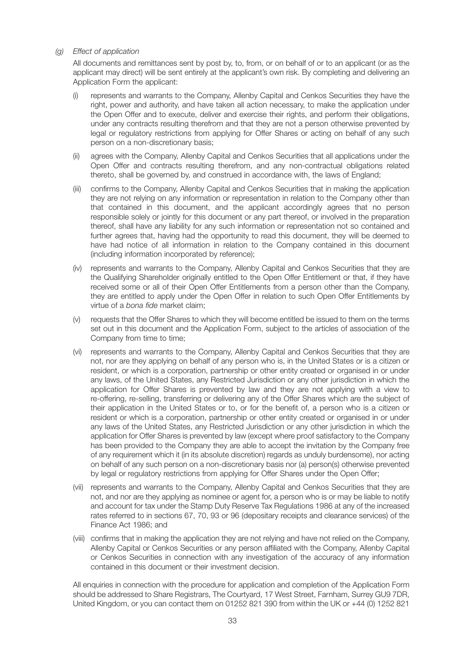#### *(g) Effect of application*

 All documents and remittances sent by post by, to, from, or on behalf of or to an applicant (or as the applicant may direct) will be sent entirely at the applicant's own risk. By completing and delivering an Application Form the applicant:

- represents and warrants to the Company, Allenby Capital and Cenkos Securities they have the right, power and authority, and have taken all action necessary, to make the application under the Open Offer and to execute, deliver and exercise their rights, and perform their obligations, under any contracts resulting therefrom and that they are not a person otherwise prevented by legal or regulatory restrictions from applying for Offer Shares or acting on behalf of any such person on a non-discretionary basis;
- (ii) agrees with the Company, Allenby Capital and Cenkos Securities that all applications under the Open Offer and contracts resulting therefrom, and any non-contractual obligations related thereto, shall be governed by, and construed in accordance with, the laws of England;
- (iii) confirms to the Company, Allenby Capital and Cenkos Securities that in making the application they are not relying on any information or representation in relation to the Company other than that contained in this document, and the applicant accordingly agrees that no person responsible solely or jointly for this document or any part thereof, or involved in the preparation thereof, shall have any liability for any such information or representation not so contained and further agrees that, having had the opportunity to read this document, they will be deemed to have had notice of all information in relation to the Company contained in this document (including information incorporated by reference);
- (iv) represents and warrants to the Company, Allenby Capital and Cenkos Securities that they are the Qualifying Shareholder originally entitled to the Open Offer Entitlement or that, if they have received some or all of their Open Offer Entitlements from a person other than the Company, they are entitled to apply under the Open Offer in relation to such Open Offer Entitlements by virtue of a *bona fide* market claim;
- (v) requests that the Offer Shares to which they will become entitled be issued to them on the terms set out in this document and the Application Form, subject to the articles of association of the Company from time to time;
- (vi) represents and warrants to the Company, Allenby Capital and Cenkos Securities that they are not, nor are they applying on behalf of any person who is, in the United States or is a citizen or resident, or which is a corporation, partnership or other entity created or organised in or under any laws, of the United States, any Restricted Jurisdiction or any other jurisdiction in which the application for Offer Shares is prevented by law and they are not applying with a view to re-offering, re-selling, transferring or delivering any of the Offer Shares which are the subject of their application in the United States or to, or for the benefit of, a person who is a citizen or resident or which is a corporation, partnership or other entity created or organised in or under any laws of the United States, any Restricted Jurisdiction or any other jurisdiction in which the application for Offer Shares is prevented by law (except where proof satisfactory to the Company has been provided to the Company they are able to accept the invitation by the Company free of any requirement which it (in its absolute discretion) regards as unduly burdensome), nor acting on behalf of any such person on a non-discretionary basis nor (a) person(s) otherwise prevented by legal or regulatory restrictions from applying for Offer Shares under the Open Offer;
- (vii) represents and warrants to the Company, Allenby Capital and Cenkos Securities that they are not, and nor are they applying as nominee or agent for, a person who is or may be liable to notify and account for tax under the Stamp Duty Reserve Tax Regulations 1986 at any of the increased rates referred to in sections 67, 70, 93 or 96 (depositary receipts and clearance services) of the Finance Act 1986; and
- (viii) confirms that in making the application they are not relying and have not relied on the Company, Allenby Capital or Cenkos Securities or any person affiliated with the Company, Allenby Capital or Cenkos Securities in connection with any investigation of the accuracy of any information contained in this document or their investment decision.

 All enquiries in connection with the procedure for application and completion of the Application Form should be addressed to Share Registrars, The Courtyard, 17 West Street, Farnham, Surrey GU9 7DR, United Kingdom, or you can contact them on 01252 821 390 from within the UK or +44 (0) 1252 821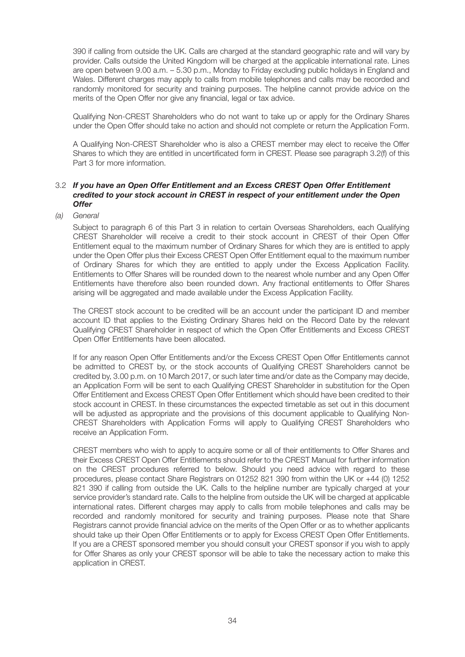390 if calling from outside the UK. Calls are charged at the standard geographic rate and will vary by provider. Calls outside the United Kingdom will be charged at the applicable international rate. Lines are open between 9.00 a.m. – 5.30 p.m., Monday to Friday excluding public holidays in England and Wales. Different charges may apply to calls from mobile telephones and calls may be recorded and randomly monitored for security and training purposes. The helpline cannot provide advice on the merits of the Open Offer nor give any financial, legal or tax advice.

 Qualifying Non-CREST Shareholders who do not want to take up or apply for the Ordinary Shares under the Open Offer should take no action and should not complete or return the Application Form.

 A Qualifying Non-CREST Shareholder who is also a CREST member may elect to receive the Offer Shares to which they are entitled in uncertificated form in CREST. Please see paragraph 3.2(f) of this Part 3 for more information.

#### 3.2 *If you have an Open Offer Entitlement and an Excess CREST Open Offer Entitlement credited to your stock account in CREST in respect of your entitlement under the Open Offer*

#### *(a) General*

 Subject to paragraph 6 of this Part 3 in relation to certain Overseas Shareholders, each Qualifying CREST Shareholder will receive a credit to their stock account in CREST of their Open Offer Entitlement equal to the maximum number of Ordinary Shares for which they are is entitled to apply under the Open Offer plus their Excess CREST Open Offer Entitlement equal to the maximum number of Ordinary Shares for which they are entitled to apply under the Excess Application Facility. Entitlements to Offer Shares will be rounded down to the nearest whole number and any Open Offer Entitlements have therefore also been rounded down. Any fractional entitlements to Offer Shares arising will be aggregated and made available under the Excess Application Facility.

 The CREST stock account to be credited will be an account under the participant ID and member account ID that applies to the Existing Ordinary Shares held on the Record Date by the relevant Qualifying CREST Shareholder in respect of which the Open Offer Entitlements and Excess CREST Open Offer Entitlements have been allocated.

 If for any reason Open Offer Entitlements and/or the Excess CREST Open Offer Entitlements cannot be admitted to CREST by, or the stock accounts of Qualifying CREST Shareholders cannot be credited by, 3.00 p.m. on 10 March 2017, or such later time and/or date as the Company may decide, an Application Form will be sent to each Qualifying CREST Shareholder in substitution for the Open Offer Entitlement and Excess CREST Open Offer Entitlement which should have been credited to their stock account in CREST. In these circumstances the expected timetable as set out in this document will be adjusted as appropriate and the provisions of this document applicable to Qualifying Non-CREST Shareholders with Application Forms will apply to Qualifying CREST Shareholders who receive an Application Form.

 CREST members who wish to apply to acquire some or all of their entitlements to Offer Shares and their Excess CREST Open Offer Entitlements should refer to the CREST Manual for further information on the CREST procedures referred to below. Should you need advice with regard to these procedures, please contact Share Registrars on 01252 821 390 from within the UK or +44 (0) 1252 821 390 if calling from outside the UK. Calls to the helpline number are typically charged at your service provider's standard rate. Calls to the helpline from outside the UK will be charged at applicable international rates. Different charges may apply to calls from mobile telephones and calls may be recorded and randomly monitored for security and training purposes. Please note that Share Registrars cannot provide financial advice on the merits of the Open Offer or as to whether applicants should take up their Open Offer Entitlements or to apply for Excess CREST Open Offer Entitlements. If you are a CREST sponsored member you should consult your CREST sponsor if you wish to apply for Offer Shares as only your CREST sponsor will be able to take the necessary action to make this application in CREST.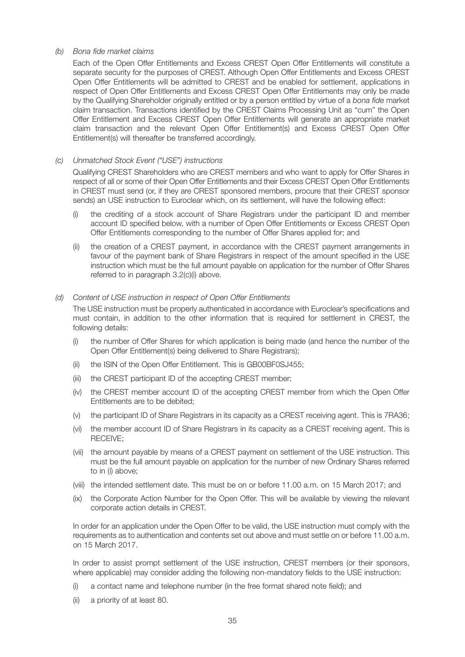#### *(b) Bona fide market claims*

 Each of the Open Offer Entitlements and Excess CREST Open Offer Entitlements will constitute a separate security for the purposes of CREST. Although Open Offer Entitlements and Excess CREST Open Offer Entitlements will be admitted to CREST and be enabled for settlement, applications in respect of Open Offer Entitlements and Excess CREST Open Offer Entitlements may only be made by the Qualifying Shareholder originally entitled or by a person entitled by virtue of a *bona fide* market claim transaction. Transactions identified by the CREST Claims Processing Unit as "cum" the Open Offer Entitlement and Excess CREST Open Offer Entitlements will generate an appropriate market claim transaction and the relevant Open Offer Entitlement(s) and Excess CREST Open Offer Entitlement(s) will thereafter be transferred accordingly.

#### *(c) Unmatched Stock Event ("USE") instructions*

 Qualifying CREST Shareholders who are CREST members and who want to apply for Offer Shares in respect of all or some of their Open Offer Entitlements and their Excess CREST Open Offer Entitlements in CREST must send (or, if they are CREST sponsored members, procure that their CREST sponsor sends) an USE instruction to Euroclear which, on its settlement, will have the following effect:

- (i) the crediting of a stock account of Share Registrars under the participant ID and member account ID specified below, with a number of Open Offer Entitlements or Excess CREST Open Offer Entitlements corresponding to the number of Offer Shares applied for; and
- (ii) the creation of a CREST payment, in accordance with the CREST payment arrangements in favour of the payment bank of Share Registrars in respect of the amount specified in the USE instruction which must be the full amount payable on application for the number of Offer Shares referred to in paragraph 3.2(c)(i) above.

#### *(d) Content of USE instruction in respect of Open Offer Entitlements*

 The USE instruction must be properly authenticated in accordance with Euroclear's specifications and must contain, in addition to the other information that is required for settlement in CREST, the following details:

- (i) the number of Offer Shares for which application is being made (and hence the number of the Open Offer Entitlement(s) being delivered to Share Registrars);
- (ii) the ISIN of the Open Offer Entitlement. This is GB00BF0SJ455;
- (iii) the CREST participant ID of the accepting CREST member;
- (iv) the CREST member account ID of the accepting CREST member from which the Open Offer Entitlements are to be debited;
- (v) the participant ID of Share Registrars in its capacity as a CREST receiving agent. This is 7RA36;
- (vi) the member account ID of Share Registrars in its capacity as a CREST receiving agent. This is RECEIVE;
- (vii) the amount payable by means of a CREST payment on settlement of the USE instruction. This must be the full amount payable on application for the number of new Ordinary Shares referred to in (i) above;
- (viii) the intended settlement date. This must be on or before 11.00 a.m. on 15 March 2017; and
- (ix) the Corporate Action Number for the Open Offer. This will be available by viewing the relevant corporate action details in CREST.

 In order for an application under the Open Offer to be valid, the USE instruction must comply with the requirements as to authentication and contents set out above and must settle on or before 11.00 a.m. on 15 March 2017.

In order to assist prompt settlement of the USE instruction, CREST members (or their sponsors, where applicable) may consider adding the following non-mandatory fields to the USE instruction:

- (i) a contact name and telephone number (in the free format shared note field); and
- (ii) a priority of at least 80.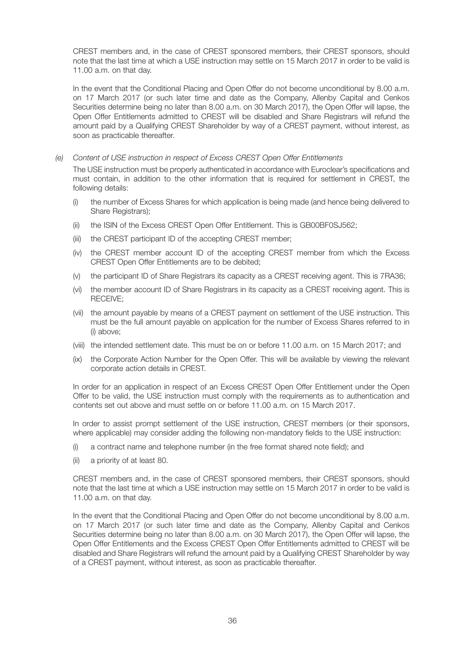CREST members and, in the case of CREST sponsored members, their CREST sponsors, should note that the last time at which a USE instruction may settle on 15 March 2017 in order to be valid is 11.00 a.m. on that day.

 In the event that the Conditional Placing and Open Offer do not become unconditional by 8.00 a.m. on 17 March 2017 (or such later time and date as the Company, Allenby Capital and Cenkos Securities determine being no later than 8.00 a.m. on 30 March 2017), the Open Offer will lapse, the Open Offer Entitlements admitted to CREST will be disabled and Share Registrars will refund the amount paid by a Qualifying CREST Shareholder by way of a CREST payment, without interest, as soon as practicable thereafter.

#### *(e) Content of USE instruction in respect of Excess CREST Open Offer Entitlements*

 The USE instruction must be properly authenticated in accordance with Euroclear's specifications and must contain, in addition to the other information that is required for settlement in CREST, the following details:

- (i) the number of Excess Shares for which application is being made (and hence being delivered to Share Registrars);
- (ii) the ISIN of the Excess CREST Open Offer Entitlement. This is GB00BF0SJ562;
- (iii) the CREST participant ID of the accepting CREST member;
- (iv) the CREST member account ID of the accepting CREST member from which the Excess CREST Open Offer Entitlements are to be debited;
- (v) the participant ID of Share Registrars its capacity as a CREST receiving agent. This is 7RA36;
- (vi) the member account ID of Share Registrars in its capacity as a CREST receiving agent. This is RECEIVE;
- (vii) the amount payable by means of a CREST payment on settlement of the USE instruction. This must be the full amount payable on application for the number of Excess Shares referred to in (i) above;
- (viii) the intended settlement date. This must be on or before 11.00 a.m. on 15 March 2017; and
- (ix) the Corporate Action Number for the Open Offer. This will be available by viewing the relevant corporate action details in CREST.

 In order for an application in respect of an Excess CREST Open Offer Entitlement under the Open Offer to be valid, the USE instruction must comply with the requirements as to authentication and contents set out above and must settle on or before 11.00 a.m. on 15 March 2017.

 In order to assist prompt settlement of the USE instruction, CREST members (or their sponsors, where applicable) may consider adding the following non-mandatory fields to the USE instruction:

- (i) a contract name and telephone number (in the free format shared note field); and
- (ii) a priority of at least 80.

 CREST members and, in the case of CREST sponsored members, their CREST sponsors, should note that the last time at which a USE instruction may settle on 15 March 2017 in order to be valid is 11.00 a.m. on that day.

 In the event that the Conditional Placing and Open Offer do not become unconditional by 8.00 a.m. on 17 March 2017 (or such later time and date as the Company, Allenby Capital and Cenkos Securities determine being no later than 8.00 a.m. on 30 March 2017), the Open Offer will lapse, the Open Offer Entitlements and the Excess CREST Open Offer Entitlements admitted to CREST will be disabled and Share Registrars will refund the amount paid by a Qualifying CREST Shareholder by way of a CREST payment, without interest, as soon as practicable thereafter.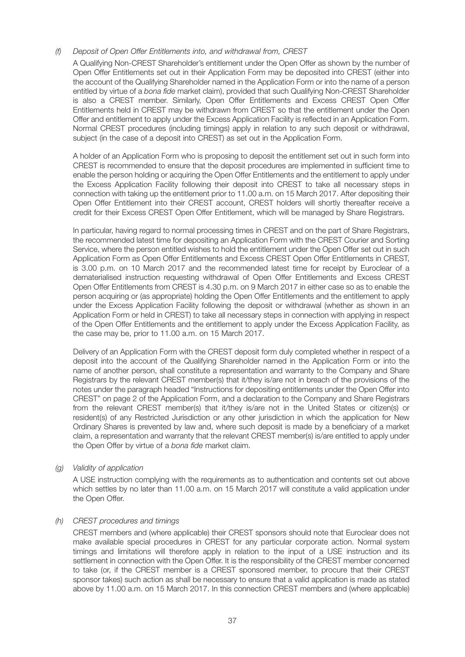#### *(f) Deposit of Open Offer Entitlements into, and withdrawal from, CREST*

 A Qualifying Non-CREST Shareholder's entitlement under the Open Offer as shown by the number of Open Offer Entitlements set out in their Application Form may be deposited into CREST (either into the account of the Qualifying Shareholder named in the Application Form or into the name of a person entitled by virtue of a *bona fide* market claim), provided that such Qualifying Non-CREST Shareholder is also a CREST member. Similarly, Open Offer Entitlements and Excess CREST Open Offer Entitlements held in CREST may be withdrawn from CREST so that the entitlement under the Open Offer and entitlement to apply under the Excess Application Facility is reflected in an Application Form. Normal CREST procedures (including timings) apply in relation to any such deposit or withdrawal, subject (in the case of a deposit into CREST) as set out in the Application Form.

 A holder of an Application Form who is proposing to deposit the entitlement set out in such form into CREST is recommended to ensure that the deposit procedures are implemented in sufficient time to enable the person holding or acquiring the Open Offer Entitlements and the entitlement to apply under the Excess Application Facility following their deposit into CREST to take all necessary steps in connection with taking up the entitlement prior to 11.00 a.m. on 15 March 2017. After depositing their Open Offer Entitlement into their CREST account, CREST holders will shortly thereafter receive a credit for their Excess CREST Open Offer Entitlement, which will be managed by Share Registrars.

 In particular, having regard to normal processing times in CREST and on the part of Share Registrars, the recommended latest time for depositing an Application Form with the CREST Courier and Sorting Service, where the person entitled wishes to hold the entitlement under the Open Offer set out in such Application Form as Open Offer Entitlements and Excess CREST Open Offer Entitlements in CREST, is 3.00 p.m. on 10 March 2017 and the recommended latest time for receipt by Euroclear of a dematerialised instruction requesting withdrawal of Open Offer Entitlements and Excess CREST Open Offer Entitlements from CREST is 4.30 p.m. on 9 March 2017 in either case so as to enable the person acquiring or (as appropriate) holding the Open Offer Entitlements and the entitlement to apply under the Excess Application Facility following the deposit or withdrawal (whether as shown in an Application Form or held in CREST) to take all necessary steps in connection with applying in respect of the Open Offer Entitlements and the entitlement to apply under the Excess Application Facility, as the case may be, prior to 11.00 a.m. on 15 March 2017.

 Delivery of an Application Form with the CREST deposit form duly completed whether in respect of a deposit into the account of the Qualifying Shareholder named in the Application Form or into the name of another person, shall constitute a representation and warranty to the Company and Share Registrars by the relevant CREST member(s) that it/they is/are not in breach of the provisions of the notes under the paragraph headed "Instructions for depositing entitlements under the Open Offer into CREST" on page 2 of the Application Form, and a declaration to the Company and Share Registrars from the relevant CREST member(s) that it/they is/are not in the United States or citizen(s) or resident(s) of any Restricted Jurisdiction or any other jurisdiction in which the application for New Ordinary Shares is prevented by law and, where such deposit is made by a beneficiary of a market claim, a representation and warranty that the relevant CREST member(s) is/are entitled to apply under the Open Offer by virtue of a *bona fide* market claim.

#### *(g) Validity of application*

 A USE instruction complying with the requirements as to authentication and contents set out above which settles by no later than 11.00 a.m. on 15 March 2017 will constitute a valid application under the Open Offer.

#### *(h) CREST procedures and timings*

 CREST members and (where applicable) their CREST sponsors should note that Euroclear does not make available special procedures in CREST for any particular corporate action. Normal system timings and limitations will therefore apply in relation to the input of a USE instruction and its settlement in connection with the Open Offer. It is the responsibility of the CREST member concerned to take (or, if the CREST member is a CREST sponsored member, to procure that their CREST sponsor takes) such action as shall be necessary to ensure that a valid application is made as stated above by 11.00 a.m. on 15 March 2017. In this connection CREST members and (where applicable)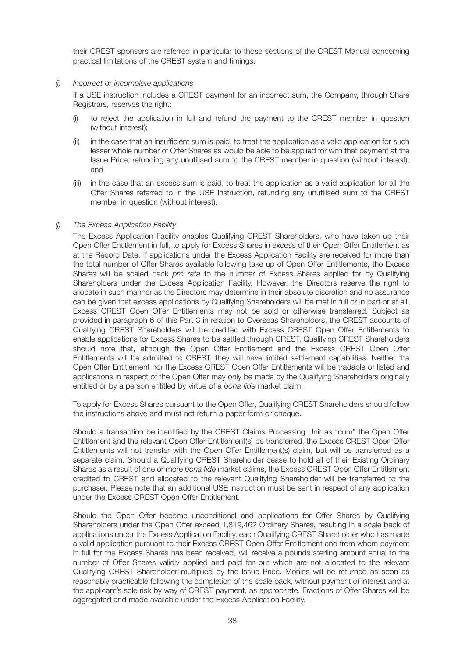their CREST sponsors are referred in particular to those sections of the CREST Manual concerning practical limitations of the CREST system and timings.

#### *(i) Incorrect or incomplete applications*

 If a USE instruction includes a CREST payment for an incorrect sum, the Company, through Share Registrars, reserves the right:

- (i) to reject the application in full and refund the payment to the CREST member in question (without interest);
- (ii) in the case that an insufficient sum is paid, to treat the application as a valid application for such lesser whole number of Offer Shares as would be able to be applied for with that payment at the Issue Price, refunding any unutilised sum to the CREST member in question (without interest); and
- (iii) in the case that an excess sum is paid, to treat the application as a valid application for all the Offer Shares referred to in the USE instruction, refunding any unutilised sum to the CREST member in question (without interest).

#### *(j) The Excess Application Facility*

 The Excess Application Facility enables Qualifying CREST Shareholders, who have taken up their Open Offer Entitlement in full, to apply for Excess Shares in excess of their Open Offer Entitlement as at the Record Date. If applications under the Excess Application Facility are received for more than the total number of Offer Shares available following take up of Open Offer Entitlements, the Excess Shares will be scaled back *pro rata* to the number of Excess Shares applied for by Qualifying Shareholders under the Excess Application Facility. However, the Directors reserve the right to allocate in such manner as the Directors may determine in their absolute discretion and no assurance can be given that excess applications by Qualifying Shareholders will be met in full or in part or at all. Excess CREST Open Offer Entitlements may not be sold or otherwise transferred. Subject as provided in paragraph 6 of this Part 3 in relation to Overseas Shareholders, the CREST accounts of Qualifying CREST Shareholders will be credited with Excess CREST Open Offer Entitlements to enable applications for Excess Shares to be settled through CREST. Qualifying CREST Shareholders should note that, although the Open Offer Entitlement and the Excess CREST Open Offer Entitlements will be admitted to CREST, they will have limited settlement capabilities. Neither the Open Offer Entitlement nor the Excess CREST Open Offer Entitlements will be tradable or listed and applications in respect of the Open Offer may only be made by the Qualifying Shareholders originally entitled or by a person entitled by virtue of a *bona fide* market claim.

 To apply for Excess Shares pursuant to the Open Offer, Qualifying CREST Shareholders should follow the instructions above and must not return a paper form or cheque.

 Should a transaction be identified by the CREST Claims Processing Unit as "cum" the Open Offer Entitlement and the relevant Open Offer Entitlement(s) be transferred, the Excess CREST Open Offer Entitlements will not transfer with the Open Offer Entitlement(s) claim, but will be transferred as a separate claim. Should a Qualifying CREST Shareholder cease to hold all of their Existing Ordinary Shares as a result of one or more *bona fide* market claims, the Excess CREST Open Offer Entitlement credited to CREST and allocated to the relevant Qualifying Shareholder will be transferred to the purchaser. Please note that an additional USE instruction must be sent in respect of any application under the Excess CREST Open Offer Entitlement.

 Should the Open Offer become unconditional and applications for Offer Shares by Qualifying Shareholders under the Open Offer exceed 1,819,462 Ordinary Shares, resulting in a scale back of applications under the Excess Application Facility, each Qualifying CREST Shareholder who has made a valid application pursuant to their Excess CREST Open Offer Entitlement and from whom payment in full for the Excess Shares has been received, will receive a pounds sterling amount equal to the number of Offer Shares validly applied and paid for but which are not allocated to the relevant Qualifying CREST Shareholder multiplied by the Issue Price. Monies will be returned as soon as reasonably practicable following the completion of the scale back, without payment of interest and at the applicant's sole risk by way of CREST payment, as appropriate. Fractions of Offer Shares will be aggregated and made available under the Excess Application Facility.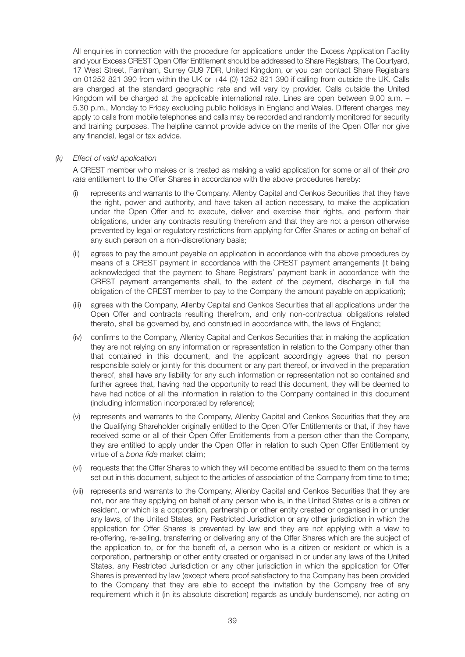All enquiries in connection with the procedure for applications under the Excess Application Facility and your Excess CREST Open Offer Entitlement should be addressed to Share Registrars, The Courtyard, 17 West Street, Farnham, Surrey GU9 7DR, United Kingdom, or you can contact Share Registrars on 01252 821 390 from within the UK or +44 (0) 1252 821 390 if calling from outside the UK. Calls are charged at the standard geographic rate and will vary by provider. Calls outside the United Kingdom will be charged at the applicable international rate. Lines are open between 9.00 a.m. -5.30 p.m., Monday to Friday excluding public holidays in England and Wales. Different charges may apply to calls from mobile telephones and calls may be recorded and randomly monitored for security and training purposes. The helpline cannot provide advice on the merits of the Open Offer nor give any financial, legal or tax advice.

#### *(k) Effect of valid application*

 A CREST member who makes or is treated as making a valid application for some or all of their *pro rata* entitlement to the Offer Shares in accordance with the above procedures hereby:

- (i) represents and warrants to the Company, Allenby Capital and Cenkos Securities that they have the right, power and authority, and have taken all action necessary, to make the application under the Open Offer and to execute, deliver and exercise their rights, and perform their obligations, under any contracts resulting therefrom and that they are not a person otherwise prevented by legal or regulatory restrictions from applying for Offer Shares or acting on behalf of any such person on a non-discretionary basis;
- (ii) agrees to pay the amount payable on application in accordance with the above procedures by means of a CREST payment in accordance with the CREST payment arrangements (it being acknowledged that the payment to Share Registrars' payment bank in accordance with the CREST payment arrangements shall, to the extent of the payment, discharge in full the obligation of the CREST member to pay to the Company the amount payable on application);
- (iii) agrees with the Company, Allenby Capital and Cenkos Securities that all applications under the Open Offer and contracts resulting therefrom, and only non-contractual obligations related thereto, shall be governed by, and construed in accordance with, the laws of England;
- (iv) confirms to the Company, Allenby Capital and Cenkos Securities that in making the application they are not relying on any information or representation in relation to the Company other than that contained in this document, and the applicant accordingly agrees that no person responsible solely or jointly for this document or any part thereof, or involved in the preparation thereof, shall have any liability for any such information or representation not so contained and further agrees that, having had the opportunity to read this document, they will be deemed to have had notice of all the information in relation to the Company contained in this document (including information incorporated by reference);
- (v) represents and warrants to the Company, Allenby Capital and Cenkos Securities that they are the Qualifying Shareholder originally entitled to the Open Offer Entitlements or that, if they have received some or all of their Open Offer Entitlements from a person other than the Company, they are entitled to apply under the Open Offer in relation to such Open Offer Entitlement by virtue of a *bona fide* market claim;
- (vi) requests that the Offer Shares to which they will become entitled be issued to them on the terms set out in this document, subject to the articles of association of the Company from time to time;
- (vii) represents and warrants to the Company, Allenby Capital and Cenkos Securities that they are not, nor are they applying on behalf of any person who is, in the United States or is a citizen or resident, or which is a corporation, partnership or other entity created or organised in or under any laws, of the United States, any Restricted Jurisdiction or any other jurisdiction in which the application for Offer Shares is prevented by law and they are not applying with a view to re-offering, re-selling, transferring or delivering any of the Offer Shares which are the subject of the application to, or for the benefit of, a person who is a citizen or resident or which is a corporation, partnership or other entity created or organised in or under any laws of the United States, any Restricted Jurisdiction or any other jurisdiction in which the application for Offer Shares is prevented by law (except where proof satisfactory to the Company has been provided to the Company that they are able to accept the invitation by the Company free of any requirement which it (in its absolute discretion) regards as unduly burdensome), nor acting on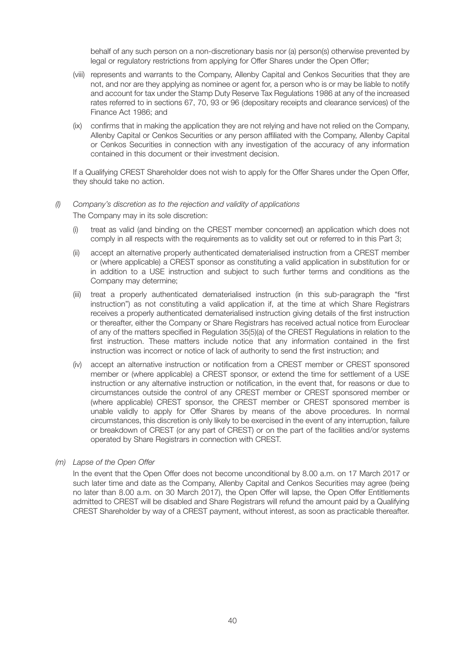behalf of any such person on a non-discretionary basis nor (a) person(s) otherwise prevented by legal or regulatory restrictions from applying for Offer Shares under the Open Offer;

- (viii) represents and warrants to the Company, Allenby Capital and Cenkos Securities that they are not, and nor are they applying as nominee or agent for, a person who is or may be liable to notify and account for tax under the Stamp Duty Reserve Tax Regulations 1986 at any of the increased rates referred to in sections 67, 70, 93 or 96 (depositary receipts and clearance services) of the Finance Act 1986; and
- (ix) confirms that in making the application they are not relying and have not relied on the Company, Allenby Capital or Cenkos Securities or any person affiliated with the Company, Allenby Capital or Cenkos Securities in connection with any investigation of the accuracy of any information contained in this document or their investment decision.

 If a Qualifying CREST Shareholder does not wish to apply for the Offer Shares under the Open Offer, they should take no action.

#### *(l) Company's discretion as to the rejection and validity of applications*

The Company may in its sole discretion:

- (i) treat as valid (and binding on the CREST member concerned) an application which does not comply in all respects with the requirements as to validity set out or referred to in this Part 3;
- (ii) accept an alternative properly authenticated dematerialised instruction from a CREST member or (where applicable) a CREST sponsor as constituting a valid application in substitution for or in addition to a USE instruction and subject to such further terms and conditions as the Company may determine;
- (iii) treat a properly authenticated dematerialised instruction (in this sub-paragraph the "first instruction") as not constituting a valid application if, at the time at which Share Registrars receives a properly authenticated dematerialised instruction giving details of the first instruction or thereafter, either the Company or Share Registrars has received actual notice from Euroclear of any of the matters specified in Regulation 35(5)(a) of the CREST Regulations in relation to the first instruction. These matters include notice that any information contained in the first instruction was incorrect or notice of lack of authority to send the first instruction; and
- (iv) accept an alternative instruction or notification from a CREST member or CREST sponsored member or (where applicable) a CREST sponsor, or extend the time for settlement of a USE instruction or any alternative instruction or notification, in the event that, for reasons or due to circumstances outside the control of any CREST member or CREST sponsored member or (where applicable) CREST sponsor, the CREST member or CREST sponsored member is unable validly to apply for Offer Shares by means of the above procedures. In normal circumstances, this discretion is only likely to be exercised in the event of any interruption, failure or breakdown of CREST (or any part of CREST) or on the part of the facilities and/or systems operated by Share Registrars in connection with CREST.

#### *(m) Lapse of the Open Offer*

 In the event that the Open Offer does not become unconditional by 8.00 a.m. on 17 March 2017 or such later time and date as the Company, Allenby Capital and Cenkos Securities may agree (being no later than 8.00 a.m. on 30 March 2017), the Open Offer will lapse, the Open Offer Entitlements admitted to CREST will be disabled and Share Registrars will refund the amount paid by a Qualifying CREST Shareholder by way of a CREST payment, without interest, as soon as practicable thereafter.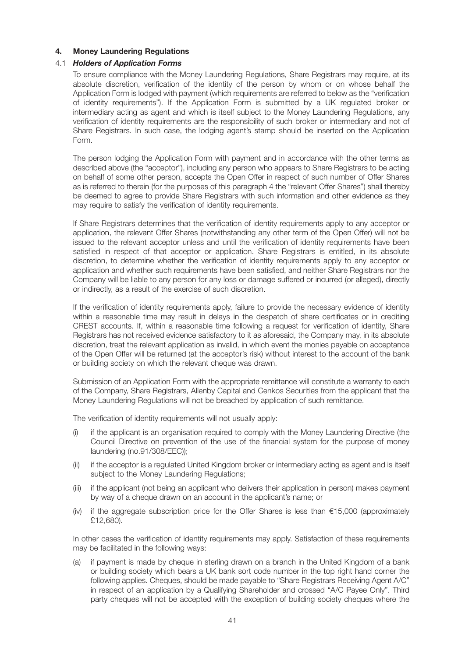#### **4. Money Laundering Regulations**

#### 4.1 *Holders of Application Forms*

 To ensure compliance with the Money Laundering Regulations, Share Registrars may require, at its absolute discretion, verification of the identity of the person by whom or on whose behalf the Application Form is lodged with payment (which requirements are referred to below as the "verification of identity requirements"). If the Application Form is submitted by a UK regulated broker or intermediary acting as agent and which is itself subject to the Money Laundering Regulations, any verification of identity requirements are the responsibility of such broker or intermediary and not of Share Registrars. In such case, the lodging agent's stamp should be inserted on the Application Form.

 The person lodging the Application Form with payment and in accordance with the other terms as described above (the "acceptor"), including any person who appears to Share Registrars to be acting on behalf of some other person, accepts the Open Offer in respect of such number of Offer Shares as is referred to therein (for the purposes of this paragraph 4 the "relevant Offer Shares") shall thereby be deemed to agree to provide Share Registrars with such information and other evidence as they may require to satisfy the verification of identity requirements.

 If Share Registrars determines that the verification of identity requirements apply to any acceptor or application, the relevant Offer Shares (notwithstanding any other term of the Open Offer) will not be issued to the relevant acceptor unless and until the verification of identity requirements have been satisfied in respect of that acceptor or application. Share Registrars is entitled, in its absolute discretion, to determine whether the verification of identity requirements apply to any acceptor or application and whether such requirements have been satisfied, and neither Share Registrars nor the Company will be liable to any person for any loss or damage suffered or incurred (or alleged), directly or indirectly, as a result of the exercise of such discretion.

 If the verification of identity requirements apply, failure to provide the necessary evidence of identity within a reasonable time may result in delays in the despatch of share certificates or in crediting CREST accounts. If, within a reasonable time following a request for verification of identity, Share Registrars has not received evidence satisfactory to it as aforesaid, the Company may, in its absolute discretion, treat the relevant application as invalid, in which event the monies payable on acceptance of the Open Offer will be returned (at the acceptor's risk) without interest to the account of the bank or building society on which the relevant cheque was drawn.

 Submission of an Application Form with the appropriate remittance will constitute a warranty to each of the Company, Share Registrars, Allenby Capital and Cenkos Securities from the applicant that the Money Laundering Regulations will not be breached by application of such remittance.

The verification of identity requirements will not usually apply:

- (i) if the applicant is an organisation required to comply with the Money Laundering Directive (the Council Directive on prevention of the use of the financial system for the purpose of money laundering (no.91/308/EEC));
- (ii) if the acceptor is a regulated United Kingdom broker or intermediary acting as agent and is itself subject to the Money Laundering Regulations:
- (iii) if the applicant (not being an applicant who delivers their application in person) makes payment by way of a cheque drawn on an account in the applicant's name; or
- (iv) if the aggregate subscription price for the Offer Shares is less than €15,000 (approximately £12,680).

 In other cases the verification of identity requirements may apply. Satisfaction of these requirements may be facilitated in the following ways:

 (a) if payment is made by cheque in sterling drawn on a branch in the United Kingdom of a bank or building society which bears a UK bank sort code number in the top right hand corner the following applies. Cheques, should be made payable to "Share Registrars Receiving Agent A/C" in respect of an application by a Qualifying Shareholder and crossed "A/C Payee Only". Third party cheques will not be accepted with the exception of building society cheques where the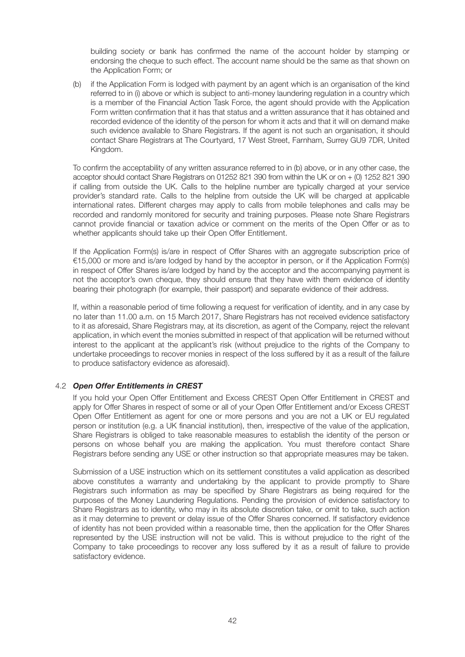building society or bank has confirmed the name of the account holder by stamping or endorsing the cheque to such effect. The account name should be the same as that shown on the Application Form; or

 (b) if the Application Form is lodged with payment by an agent which is an organisation of the kind referred to in (i) above or which is subject to anti-money laundering regulation in a country which is a member of the Financial Action Task Force, the agent should provide with the Application Form written confirmation that it has that status and a written assurance that it has obtained and recorded evidence of the identity of the person for whom it acts and that it will on demand make such evidence available to Share Registrars. If the agent is not such an organisation, it should contact Share Registrars at The Courtyard, 17 West Street, Farnham, Surrey GU9 7DR, United Kingdom.

 To confirm the acceptability of any written assurance referred to in (b) above, or in any other case, the acceptor should contact Share Registrars on 01252 821 390 from within the UK or on + (0) 1252 821 390 if calling from outside the UK. Calls to the helpline number are typically charged at your service provider's standard rate. Calls to the helpline from outside the UK will be charged at applicable international rates. Different charges may apply to calls from mobile telephones and calls may be recorded and randomly monitored for security and training purposes. Please note Share Registrars cannot provide financial or taxation advice or comment on the merits of the Open Offer or as to whether applicants should take up their Open Offer Entitlement.

 If the Application Form(s) is/are in respect of Offer Shares with an aggregate subscription price of €15,000 or more and is/are lodged by hand by the acceptor in person, or if the Application Form(s) in respect of Offer Shares is/are lodged by hand by the acceptor and the accompanying payment is not the acceptor's own cheque, they should ensure that they have with them evidence of identity bearing their photograph (for example, their passport) and separate evidence of their address.

 If, within a reasonable period of time following a request for verification of identity, and in any case by no later than 11.00 a.m. on 15 March 2017, Share Registrars has not received evidence satisfactory to it as aforesaid, Share Registrars may, at its discretion, as agent of the Company, reject the relevant application, in which event the monies submitted in respect of that application will be returned without interest to the applicant at the applicant's risk (without prejudice to the rights of the Company to undertake proceedings to recover monies in respect of the loss suffered by it as a result of the failure to produce satisfactory evidence as aforesaid).

#### 4.2 *Open Offer Entitlements in CREST*

 If you hold your Open Offer Entitlement and Excess CREST Open Offer Entitlement in CREST and apply for Offer Shares in respect of some or all of your Open Offer Entitlement and/or Excess CREST Open Offer Entitlement as agent for one or more persons and you are not a UK or EU regulated person or institution (e.g. a UK financial institution), then, irrespective of the value of the application, Share Registrars is obliged to take reasonable measures to establish the identity of the person or persons on whose behalf you are making the application. You must therefore contact Share Registrars before sending any USE or other instruction so that appropriate measures may be taken.

 Submission of a USE instruction which on its settlement constitutes a valid application as described above constitutes a warranty and undertaking by the applicant to provide promptly to Share Registrars such information as may be specified by Share Registrars as being required for the purposes of the Money Laundering Regulations. Pending the provision of evidence satisfactory to Share Registrars as to identity, who may in its absolute discretion take, or omit to take, such action as it may determine to prevent or delay issue of the Offer Shares concerned. If satisfactory evidence of identity has not been provided within a reasonable time, then the application for the Offer Shares represented by the USE instruction will not be valid. This is without prejudice to the right of the Company to take proceedings to recover any loss suffered by it as a result of failure to provide satisfactory evidence.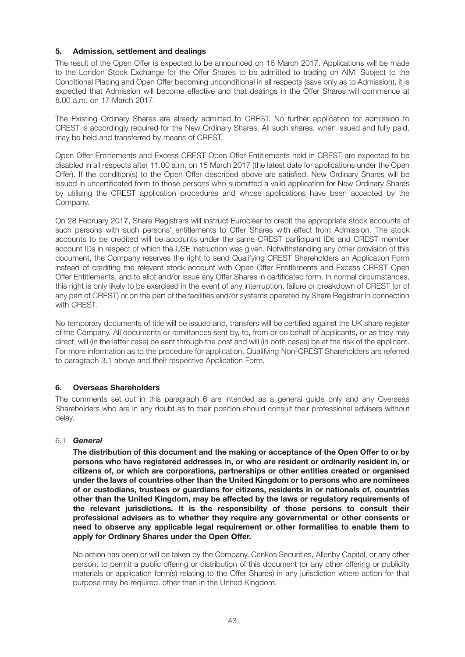#### **5. Admission, settlement and dealings**

The result of the Open Offer is expected to be announced on 16 March 2017. Applications will be made to the London Stock Exchange for the Offer Shares to be admitted to trading on AIM. Subject to the Conditional Placing and Open Offer becoming unconditional in all respects (save only as to Admission), it is expected that Admission will become effective and that dealings in the Offer Shares will commence at 8.00 a.m. on 17 March 2017.

The Existing Ordinary Shares are already admitted to CREST. No further application for admission to CREST is accordingly required for the New Ordinary Shares. All such shares, when issued and fully paid, may be held and transferred by means of CREST.

Open Offer Entitlements and Excess CREST Open Offer Entitlements held in CREST are expected to be disabled in all respects after 11.00 a.m. on 15 March 2017 (the latest date for applications under the Open Offer). If the condition(s) to the Open Offer described above are satisfied, New Ordinary Shares will be issued in uncertificated form to those persons who submitted a valid application for New Ordinary Shares by utilising the CREST application procedures and whose applications have been accepted by the Company.

On 28 February 2017, Share Registrars will instruct Euroclear to credit the appropriate stock accounts of such persons with such persons' entitlements to Offer Shares with effect from Admission. The stock accounts to be credited will be accounts under the same CREST participant IDs and CREST member account IDs in respect of which the USE instruction was given. Notwithstanding any other provision of this document, the Company reserves the right to send Qualifying CREST Shareholders an Application Form instead of crediting the relevant stock account with Open Offer Entitlements and Excess CREST Open Offer Entitlements, and to allot and/or issue any Offer Shares in certificated form. In normal circumstances, this right is only likely to be exercised in the event of any interruption, failure or breakdown of CREST (or of any part of CREST) or on the part of the facilities and/or systems operated by Share Registrar in connection with CREST.

No temporary documents of title will be issued and, transfers will be certified against the UK share register of the Company. All documents or remittances sent by, to, from or on behalf of applicants, or as they may direct, will (in the latter case) be sent through the post and will (in both cases) be at the risk of the applicant. For more information as to the procedure for application, Qualifying Non-CREST Shareholders are referred to paragraph 3.1 above and their respective Application Form.

#### **6. Overseas Shareholders**

The comments set out in this paragraph 6 are intended as a general guide only and any Overseas Shareholders who are in any doubt as to their position should consult their professional advisers without delay.

#### 6.1 *General*

 **The distribution of this document and the making or acceptance of the Open Offer to or by persons who have registered addresses in, or who are resident or ordinarily resident in, or citizens of, or which are corporations, partnerships or other entities created or organised under the laws of countries other than the United Kingdom or to persons who are nominees of or custodians, trustees or guardians for citizens, residents in or nationals of, countries other than the United Kingdom, may be affected by the laws or regulatory requirements of the relevant jurisdictions. It is the responsibility of those persons to consult their professional advisers as to whether they require any governmental or other consents or need to observe any applicable legal requirement or other formalities to enable them to apply for Ordinary Shares under the Open Offer.**

 No action has been or will be taken by the Company, Cenkos Securities, Allenby Capital, or any other person, to permit a public offering or distribution of this document (or any other offering or publicity materials or application form(s) relating to the Offer Shares) in any jurisdiction where action for that purpose may be required, other than in the United Kingdom.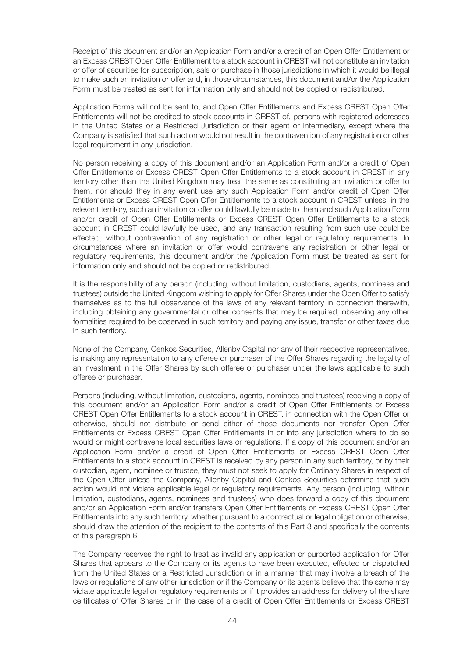Receipt of this document and/or an Application Form and/or a credit of an Open Offer Entitlement or an Excess CREST Open Offer Entitlement to a stock account in CREST will not constitute an invitation or offer of securities for subscription, sale or purchase in those jurisdictions in which it would be illegal to make such an invitation or offer and, in those circumstances, this document and/or the Application Form must be treated as sent for information only and should not be copied or redistributed.

 Application Forms will not be sent to, and Open Offer Entitlements and Excess CREST Open Offer Entitlements will not be credited to stock accounts in CREST of, persons with registered addresses in the United States or a Restricted Jurisdiction or their agent or intermediary, except where the Company is satisfied that such action would not result in the contravention of any registration or other legal requirement in any jurisdiction.

 No person receiving a copy of this document and/or an Application Form and/or a credit of Open Offer Entitlements or Excess CREST Open Offer Entitlements to a stock account in CREST in any territory other than the United Kingdom may treat the same as constituting an invitation or offer to them, nor should they in any event use any such Application Form and/or credit of Open Offer Entitlements or Excess CREST Open Offer Entitlements to a stock account in CREST unless, in the relevant territory, such an invitation or offer could lawfully be made to them and such Application Form and/or credit of Open Offer Entitlements or Excess CREST Open Offer Entitlements to a stock account in CREST could lawfully be used, and any transaction resulting from such use could be effected, without contravention of any registration or other legal or regulatory requirements. In circumstances where an invitation or offer would contravene any registration or other legal or regulatory requirements, this document and/or the Application Form must be treated as sent for information only and should not be copied or redistributed.

It is the responsibility of any person (including, without limitation, custodians, agents, nominees and trustees) outside the United Kingdom wishing to apply for Offer Shares under the Open Offer to satisfy themselves as to the full observance of the laws of any relevant territory in connection therewith, including obtaining any governmental or other consents that may be required, observing any other formalities required to be observed in such territory and paying any issue, transfer or other taxes due in such territory.

 None of the Company, Cenkos Securities, Allenby Capital nor any of their respective representatives, is making any representation to any offeree or purchaser of the Offer Shares regarding the legality of an investment in the Offer Shares by such offeree or purchaser under the laws applicable to such offeree or purchaser.

 Persons (including, without limitation, custodians, agents, nominees and trustees) receiving a copy of this document and/or an Application Form and/or a credit of Open Offer Entitlements or Excess CREST Open Offer Entitlements to a stock account in CREST, in connection with the Open Offer or otherwise, should not distribute or send either of those documents nor transfer Open Offer Entitlements or Excess CREST Open Offer Entitlements in or into any jurisdiction where to do so would or might contravene local securities laws or regulations. If a copy of this document and/or an Application Form and/or a credit of Open Offer Entitlements or Excess CREST Open Offer Entitlements to a stock account in CREST is received by any person in any such territory, or by their custodian, agent, nominee or trustee, they must not seek to apply for Ordinary Shares in respect of the Open Offer unless the Company, Allenby Capital and Cenkos Securities determine that such action would not violate applicable legal or regulatory requirements. Any person (including, without limitation, custodians, agents, nominees and trustees) who does forward a copy of this document and/or an Application Form and/or transfers Open Offer Entitlements or Excess CREST Open Offer Entitlements into any such territory, whether pursuant to a contractual or legal obligation or otherwise, should draw the attention of the recipient to the contents of this Part 3 and specifically the contents of this paragraph 6.

 The Company reserves the right to treat as invalid any application or purported application for Offer Shares that appears to the Company or its agents to have been executed, effected or dispatched from the United States or a Restricted Jurisdiction or in a manner that may involve a breach of the laws or regulations of any other jurisdiction or if the Company or its agents believe that the same may violate applicable legal or regulatory requirements or if it provides an address for delivery of the share certificates of Offer Shares or in the case of a credit of Open Offer Entitlements or Excess CREST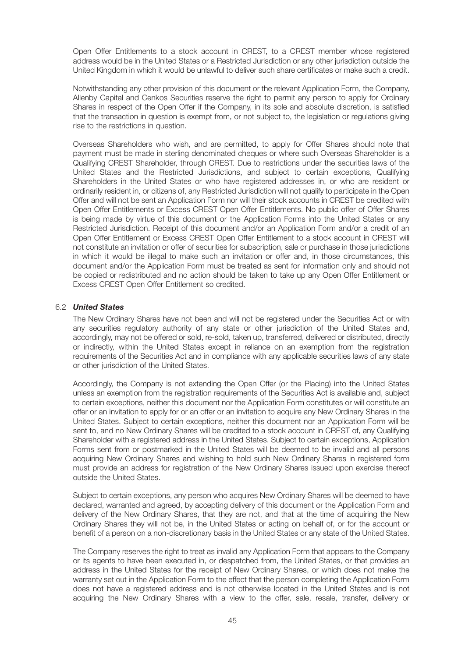Open Offer Entitlements to a stock account in CREST, to a CREST member whose registered address would be in the United States or a Restricted Jurisdiction or any other jurisdiction outside the United Kingdom in which it would be unlawful to deliver such share certificates or make such a credit.

 Notwithstanding any other provision of this document or the relevant Application Form, the Company, Allenby Capital and Cenkos Securities reserve the right to permit any person to apply for Ordinary Shares in respect of the Open Offer if the Company, in its sole and absolute discretion, is satisfied that the transaction in question is exempt from, or not subject to, the legislation or regulations giving rise to the restrictions in question.

 Overseas Shareholders who wish, and are permitted, to apply for Offer Shares should note that payment must be made in sterling denominated cheques or where such Overseas Shareholder is a Qualifying CREST Shareholder, through CREST. Due to restrictions under the securities laws of the United States and the Restricted Jurisdictions, and subject to certain exceptions, Qualifying Shareholders in the United States or who have registered addresses in, or who are resident or ordinarily resident in, or citizens of, any Restricted Jurisdiction will not qualify to participate in the Open Offer and will not be sent an Application Form nor will their stock accounts in CREST be credited with Open Offer Entitlements or Excess CREST Open Offer Entitlements. No public offer of Offer Shares is being made by virtue of this document or the Application Forms into the United States or any Restricted Jurisdiction. Receipt of this document and/or an Application Form and/or a credit of an Open Offer Entitlement or Excess CREST Open Offer Entitlement to a stock account in CREST will not constitute an invitation or offer of securities for subscription, sale or purchase in those jurisdictions in which it would be illegal to make such an invitation or offer and, in those circumstances, this document and/or the Application Form must be treated as sent for information only and should not be copied or redistributed and no action should be taken to take up any Open Offer Entitlement or Excess CREST Open Offer Entitlement so credited.

#### 6.2 *United States*

 The New Ordinary Shares have not been and will not be registered under the Securities Act or with any securities regulatory authority of any state or other jurisdiction of the United States and, accordingly, may not be offered or sold, re-sold, taken up, transferred, delivered or distributed, directly or indirectly, within the United States except in reliance on an exemption from the registration requirements of the Securities Act and in compliance with any applicable securities laws of any state or other jurisdiction of the United States.

 Accordingly, the Company is not extending the Open Offer (or the Placing) into the United States unless an exemption from the registration requirements of the Securities Act is available and, subject to certain exceptions, neither this document nor the Application Form constitutes or will constitute an offer or an invitation to apply for or an offer or an invitation to acquire any New Ordinary Shares in the United States. Subject to certain exceptions, neither this document nor an Application Form will be sent to, and no New Ordinary Shares will be credited to a stock account in CREST of, any Qualifying Shareholder with a registered address in the United States. Subject to certain exceptions, Application Forms sent from or postmarked in the United States will be deemed to be invalid and all persons acquiring New Ordinary Shares and wishing to hold such New Ordinary Shares in registered form must provide an address for registration of the New Ordinary Shares issued upon exercise thereof outside the United States.

 Subject to certain exceptions, any person who acquires New Ordinary Shares will be deemed to have declared, warranted and agreed, by accepting delivery of this document or the Application Form and delivery of the New Ordinary Shares, that they are not, and that at the time of acquiring the New Ordinary Shares they will not be, in the United States or acting on behalf of, or for the account or benefit of a person on a non-discretionary basis in the United States or any state of the United States.

 The Company reserves the right to treat as invalid any Application Form that appears to the Company or its agents to have been executed in, or despatched from, the United States, or that provides an address in the United States for the receipt of New Ordinary Shares, or which does not make the warranty set out in the Application Form to the effect that the person completing the Application Form does not have a registered address and is not otherwise located in the United States and is not acquiring the New Ordinary Shares with a view to the offer, sale, resale, transfer, delivery or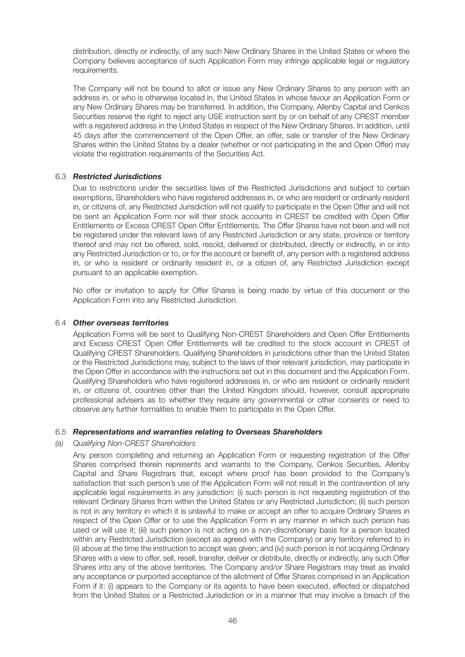distribution, directly or indirectly, of any such New Ordinary Shares in the United States or where the Company believes acceptance of such Application Form may infringe applicable legal or regulatory requirements.

 The Company will not be bound to allot or issue any New Ordinary Shares to any person with an address in, or who is otherwise located in, the United States in whose favour an Application Form or any New Ordinary Shares may be transferred. In addition, the Company, Allenby Capital and Cenkos Securities reserve the right to reject any USE instruction sent by or on behalf of any CREST member with a registered address in the United States in respect of the New Ordinary Shares. In addition, until 45 days after the commencement of the Open Offer, an offer, sale or transfer of the New Ordinary Shares within the United States by a dealer (whether or not participating in the and Open Offer) may violate the registration requirements of the Securities Act.

#### 6.3 *Restricted Jurisdictions*

 Due to restrictions under the securities laws of the Restricted Jurisdictions and subject to certain exemptions, Shareholders who have registered addresses in, or who are resident or ordinarily resident in, or citizens of, any Restricted Jurisdiction will not qualify to participate in the Open Offer and will not be sent an Application Form nor will their stock accounts in CREST be credited with Open Offer Entitlements or Excess CREST Open Offer Entitlements. The Offer Shares have not been and will not be registered under the relevant laws of any Restricted Jurisdiction or any state, province or territory thereof and may not be offered, sold, resold, delivered or distributed, directly or indirectly, in or into any Restricted Jurisdiction or to, or for the account or benefit of, any person with a registered address in, or who is resident or ordinarily resident in, or a citizen of, any Restricted Jurisdiction except pursuant to an applicable exemption.

 No offer or invitation to apply for Offer Shares is being made by virtue of this document or the Application Form into any Restricted Jurisdiction.

#### 6.4 *Other overseas territories*

 Application Forms will be sent to Qualifying Non-CREST Shareholders and Open Offer Entitlements and Excess CREST Open Offer Entitlements will be credited to the stock account in CREST of Qualifying CREST Shareholders. Qualifying Shareholders in jurisdictions other than the United States or the Restricted Jurisdictions may, subject to the laws of their relevant jurisdiction, may participate in the Open Offer in accordance with the instructions set out in this document and the Application Form. Qualifying Shareholders who have registered addresses in, or who are resident or ordinarily resident in, or citizens of, countries other than the United Kingdom should, however, consult appropriate professional advisers as to whether they require any governmental or other consents or need to observe any further formalities to enable them to participate in the Open Offer.

#### 6.5 *Representations and warranties relating to Overseas Shareholders*

#### *(a) Qualifying Non-CREST Shareholders*

 Any person completing and returning an Application Form or requesting registration of the Offer Shares comprised therein represents and warrants to the Company, Cenkos Securities, Allenby Capital and Share Registrars that, except where proof has been provided to the Company's satisfaction that such person's use of the Application Form will not result in the contravention of any applicable legal requirements in any jurisdiction: (i) such person is not requesting registration of the relevant Ordinary Shares from within the United States or any Restricted Jurisdiction; (ii) such person is not in any territory in which it is unlawful to make or accept an offer to acquire Ordinary Shares in respect of the Open Offer or to use the Application Form in any manner in which such person has used or will use it; (iii) such person is not acting on a non-discretionary basis for a person located within any Restricted Jurisdiction (except as agreed with the Company) or any territory referred to in (ii) above at the time the instruction to accept was given; and (iv) such person is not acquiring Ordinary Shares with a view to offer, sell, resell, transfer, deliver or distribute, directly or indirectly, any such Offer Shares into any of the above territories. The Company and/or Share Registrars may treat as invalid any acceptance or purported acceptance of the allotment of Offer Shares comprised in an Application Form if it: (i) appears to the Company or its agents to have been executed, effected or dispatched from the United States or a Restricted Jurisdiction or in a manner that may involve a breach of the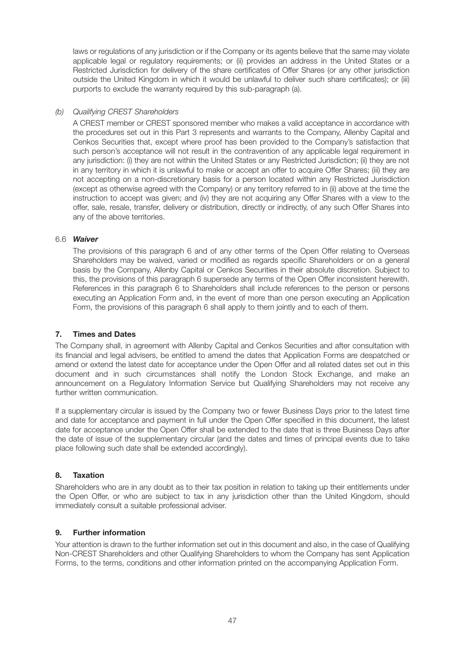laws or regulations of any jurisdiction or if the Company or its agents believe that the same may violate applicable legal or regulatory requirements; or (ii) provides an address in the United States or a Restricted Jurisdiction for delivery of the share certificates of Offer Shares (or any other jurisdiction outside the United Kingdom in which it would be unlawful to deliver such share certificates); or (iii) purports to exclude the warranty required by this sub-paragraph (a).

#### *(b) Qualifying CREST Shareholders*

 A CREST member or CREST sponsored member who makes a valid acceptance in accordance with the procedures set out in this Part 3 represents and warrants to the Company, Allenby Capital and Cenkos Securities that, except where proof has been provided to the Company's satisfaction that such person's acceptance will not result in the contravention of any applicable legal requirement in any jurisdiction: (i) they are not within the United States or any Restricted Jurisdiction; (ii) they are not in any territory in which it is unlawful to make or accept an offer to acquire Offer Shares; (iii) they are not accepting on a non-discretionary basis for a person located within any Restricted Jurisdiction (except as otherwise agreed with the Company) or any territory referred to in (ii) above at the time the instruction to accept was given; and (iv) they are not acquiring any Offer Shares with a view to the offer, sale, resale, transfer, delivery or distribution, directly or indirectly, of any such Offer Shares into any of the above territories.

#### 6.6 *Waiver*

 The provisions of this paragraph 6 and of any other terms of the Open Offer relating to Overseas Shareholders may be waived, varied or modified as regards specific Shareholders or on a general basis by the Company, Allenby Capital or Cenkos Securities in their absolute discretion. Subject to this, the provisions of this paragraph 6 supersede any terms of the Open Offer inconsistent herewith. References in this paragraph 6 to Shareholders shall include references to the person or persons executing an Application Form and, in the event of more than one person executing an Application Form, the provisions of this paragraph 6 shall apply to them jointly and to each of them.

#### **7. Times and Dates**

The Company shall, in agreement with Allenby Capital and Cenkos Securities and after consultation with its financial and legal advisers, be entitled to amend the dates that Application Forms are despatched or amend or extend the latest date for acceptance under the Open Offer and all related dates set out in this document and in such circumstances shall notify the London Stock Exchange, and make an announcement on a Regulatory Information Service but Qualifying Shareholders may not receive any further written communication.

If a supplementary circular is issued by the Company two or fewer Business Days prior to the latest time and date for acceptance and payment in full under the Open Offer specified in this document, the latest date for acceptance under the Open Offer shall be extended to the date that is three Business Days after the date of issue of the supplementary circular (and the dates and times of principal events due to take place following such date shall be extended accordingly).

#### **8. Taxation**

Shareholders who are in any doubt as to their tax position in relation to taking up their entitlements under the Open Offer, or who are subject to tax in any jurisdiction other than the United Kingdom, should immediately consult a suitable professional adviser.

#### **9. Further information**

Your attention is drawn to the further information set out in this document and also, in the case of Qualifying Non-CREST Shareholders and other Qualifying Shareholders to whom the Company has sent Application Forms, to the terms, conditions and other information printed on the accompanying Application Form.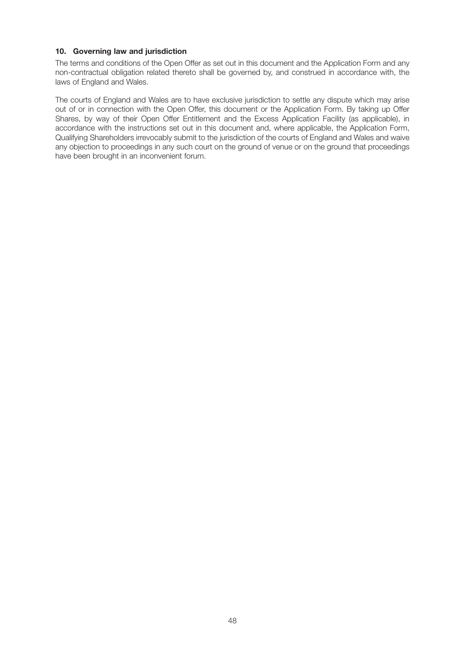#### **10. Governing law and jurisdiction**

The terms and conditions of the Open Offer as set out in this document and the Application Form and any non-contractual obligation related thereto shall be governed by, and construed in accordance with, the laws of England and Wales.

The courts of England and Wales are to have exclusive jurisdiction to settle any dispute which may arise out of or in connection with the Open Offer, this document or the Application Form. By taking up Offer Shares, by way of their Open Offer Entitlement and the Excess Application Facility (as applicable), in accordance with the instructions set out in this document and, where applicable, the Application Form, Qualifying Shareholders irrevocably submit to the jurisdiction of the courts of England and Wales and waive any objection to proceedings in any such court on the ground of venue or on the ground that proceedings have been brought in an inconvenient forum.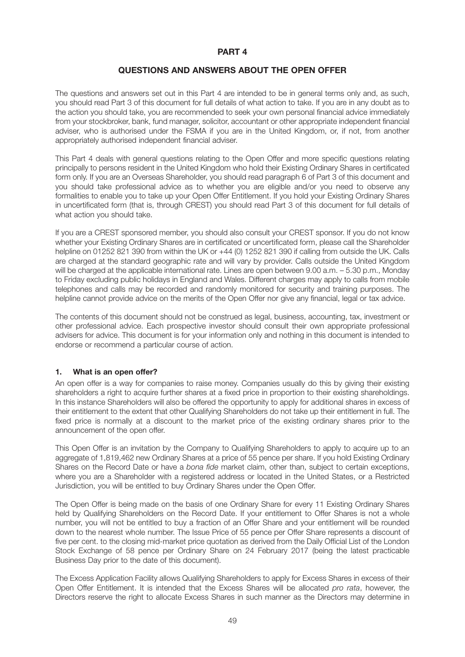#### **PART 4**

#### **QUESTIONS AND ANSWERS ABOUT THE OPEN OFFER**

The questions and answers set out in this Part 4 are intended to be in general terms only and, as such, you should read Part 3 of this document for full details of what action to take. If you are in any doubt as to the action you should take, you are recommended to seek your own personal financial advice immediately from your stockbroker, bank, fund manager, solicitor, accountant or other appropriate independent financial adviser, who is authorised under the FSMA if you are in the United Kingdom, or, if not, from another appropriately authorised independent financial adviser.

This Part 4 deals with general questions relating to the Open Offer and more specific questions relating principally to persons resident in the United Kingdom who hold their Existing Ordinary Shares in certificated form only. If you are an Overseas Shareholder, you should read paragraph 6 of Part 3 of this document and you should take professional advice as to whether you are eligible and/or you need to observe any formalities to enable you to take up your Open Offer Entitlement. If you hold your Existing Ordinary Shares in uncertificated form (that is, through CREST) you should read Part 3 of this document for full details of what action you should take.

If you are a CREST sponsored member, you should also consult your CREST sponsor. If you do not know whether your Existing Ordinary Shares are in certificated or uncertificated form, please call the Shareholder helpline on 01252 821 390 from within the UK or +44 (0) 1252 821 390 if calling from outside the UK. Calls are charged at the standard geographic rate and will vary by provider. Calls outside the United Kingdom will be charged at the applicable international rate. Lines are open between 9.00 a.m. - 5.30 p.m., Monday to Friday excluding public holidays in England and Wales. Different charges may apply to calls from mobile telephones and calls may be recorded and randomly monitored for security and training purposes. The helpline cannot provide advice on the merits of the Open Offer nor give any financial, legal or tax advice.

The contents of this document should not be construed as legal, business, accounting, tax, investment or other professional advice. Each prospective investor should consult their own appropriate professional advisers for advice. This document is for your information only and nothing in this document is intended to endorse or recommend a particular course of action.

#### **1. What is an open offer?**

An open offer is a way for companies to raise money. Companies usually do this by giving their existing shareholders a right to acquire further shares at a fixed price in proportion to their existing shareholdings. In this instance Shareholders will also be offered the opportunity to apply for additional shares in excess of their entitlement to the extent that other Qualifying Shareholders do not take up their entitlement in full. The fixed price is normally at a discount to the market price of the existing ordinary shares prior to the announcement of the open offer.

This Open Offer is an invitation by the Company to Qualifying Shareholders to apply to acquire up to an aggregate of 1,819,462 new Ordinary Shares at a price of 55 pence per share. If you hold Existing Ordinary Shares on the Record Date or have a *bona fide* market claim, other than, subject to certain exceptions, where you are a Shareholder with a registered address or located in the United States, or a Restricted Jurisdiction, you will be entitled to buy Ordinary Shares under the Open Offer.

The Open Offer is being made on the basis of one Ordinary Share for every 11 Existing Ordinary Shares held by Qualifying Shareholders on the Record Date. If your entitlement to Offer Shares is not a whole number, you will not be entitled to buy a fraction of an Offer Share and your entitlement will be rounded down to the nearest whole number. The Issue Price of 55 pence per Offer Share represents a discount of five per cent. to the closing mid-market price quotation as derived from the Daily Official List of the London Stock Exchange of 58 pence per Ordinary Share on 24 February 2017 (being the latest practicable Business Day prior to the date of this document).

The Excess Application Facility allows Qualifying Shareholders to apply for Excess Shares in excess of their Open Offer Entitlement. It is intended that the Excess Shares will be allocated *pro rata*, however, the Directors reserve the right to allocate Excess Shares in such manner as the Directors may determine in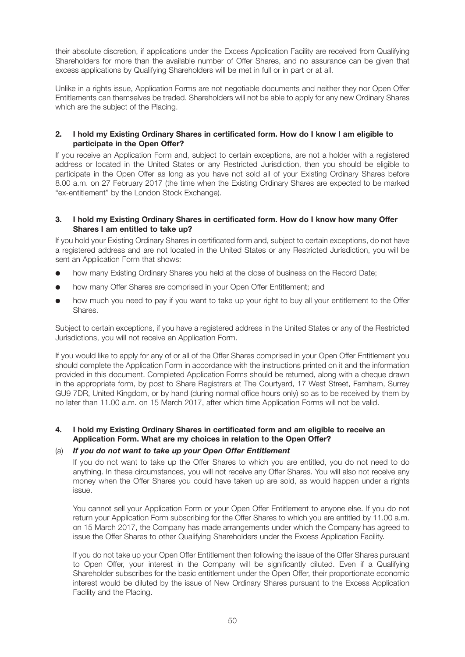their absolute discretion, if applications under the Excess Application Facility are received from Qualifying Shareholders for more than the available number of Offer Shares, and no assurance can be given that excess applications by Qualifying Shareholders will be met in full or in part or at all.

Unlike in a rights issue, Application Forms are not negotiable documents and neither they nor Open Offer Entitlements can themselves be traded. Shareholders will not be able to apply for any new Ordinary Shares which are the subject of the Placing.

#### **2. I hold my Existing Ordinary Shares in certificated form. How do I know I am eligible to participate in the Open Offer?**

If you receive an Application Form and, subject to certain exceptions, are not a holder with a registered address or located in the United States or any Restricted Jurisdiction, then you should be eligible to participate in the Open Offer as long as you have not sold all of your Existing Ordinary Shares before 8.00 a.m. on 27 February 2017 (the time when the Existing Ordinary Shares are expected to be marked "ex-entitlement" by the London Stock Exchange).

#### **3. I hold my Existing Ordinary Shares in certificated form. How do I know how many Offer Shares I am entitled to take up?**

If you hold your Existing Ordinary Shares in certificated form and, subject to certain exceptions, do not have a registered address and are not located in the United States or any Restricted Jurisdiction, you will be sent an Application Form that shows:

- how many Existing Ordinary Shares you held at the close of business on the Record Date;
- how many Offer Shares are comprised in your Open Offer Entitlement: and
- how much you need to pay if you want to take up your right to buy all your entitlement to the Offer Shares.

Subject to certain exceptions, if you have a registered address in the United States or any of the Restricted Jurisdictions, you will not receive an Application Form.

If you would like to apply for any of or all of the Offer Shares comprised in your Open Offer Entitlement you should complete the Application Form in accordance with the instructions printed on it and the information provided in this document. Completed Application Forms should be returned, along with a cheque drawn in the appropriate form, by post to Share Registrars at The Courtyard, 17 West Street, Farnham, Surrey GU9 7DR, United Kingdom, or by hand (during normal office hours only) so as to be received by them by no later than 11.00 a.m. on 15 March 2017, after which time Application Forms will not be valid.

#### **4. I hold my Existing Ordinary Shares in certificated form and am eligible to receive an Application Form. What are my choices in relation to the Open Offer?**

#### (a) *If you do not want to take up your Open Offer Entitlement*

 If you do not want to take up the Offer Shares to which you are entitled, you do not need to do anything. In these circumstances, you will not receive any Offer Shares. You will also not receive any money when the Offer Shares you could have taken up are sold, as would happen under a rights issue.

 You cannot sell your Application Form or your Open Offer Entitlement to anyone else. If you do not return your Application Form subscribing for the Offer Shares to which you are entitled by 11.00 a.m. on 15 March 2017, the Company has made arrangements under which the Company has agreed to issue the Offer Shares to other Qualifying Shareholders under the Excess Application Facility.

 If you do not take up your Open Offer Entitlement then following the issue of the Offer Shares pursuant to Open Offer, your interest in the Company will be significantly diluted. Even if a Qualifying Shareholder subscribes for the basic entitlement under the Open Offer, their proportionate economic interest would be diluted by the issue of New Ordinary Shares pursuant to the Excess Application Facility and the Placing.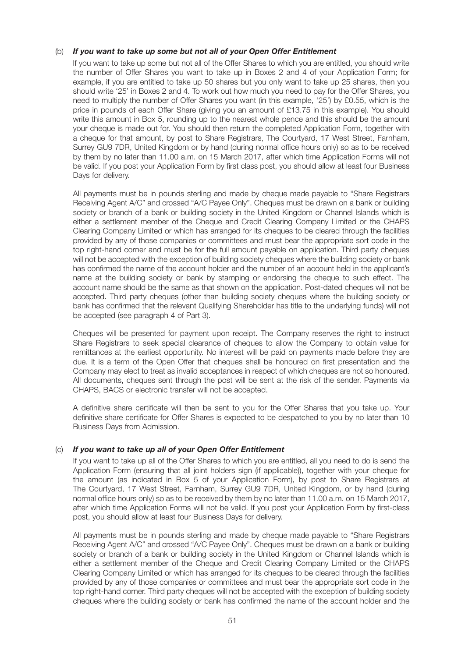#### (b) *If you want to take up some but not all of your Open Offer Entitlement*

 If you want to take up some but not all of the Offer Shares to which you are entitled, you should write the number of Offer Shares you want to take up in Boxes 2 and 4 of your Application Form; for example, if you are entitled to take up 50 shares but you only want to take up 25 shares, then you should write '25' in Boxes 2 and 4. To work out how much you need to pay for the Offer Shares, you need to multiply the number of Offer Shares you want (in this example, '25') by £0.55, which is the price in pounds of each Offer Share (giving you an amount of £13.75 in this example). You should write this amount in Box 5, rounding up to the nearest whole pence and this should be the amount your cheque is made out for. You should then return the completed Application Form, together with a cheque for that amount, by post to Share Registrars, The Courtyard, 17 West Street, Farnham, Surrey GU9 7DR, United Kingdom or by hand (during normal office hours only) so as to be received by them by no later than 11.00 a.m. on 15 March 2017, after which time Application Forms will not be valid. If you post your Application Form by first class post, you should allow at least four Business Days for delivery.

 All payments must be in pounds sterling and made by cheque made payable to "Share Registrars Receiving Agent A/C" and crossed "A/C Payee Only". Cheques must be drawn on a bank or building society or branch of a bank or building society in the United Kingdom or Channel Islands which is either a settlement member of the Cheque and Credit Clearing Company Limited or the CHAPS Clearing Company Limited or which has arranged for its cheques to be cleared through the facilities provided by any of those companies or committees and must bear the appropriate sort code in the top right-hand corner and must be for the full amount payable on application. Third party cheques will not be accepted with the exception of building society cheques where the building society or bank has confirmed the name of the account holder and the number of an account held in the applicant's name at the building society or bank by stamping or endorsing the cheque to such effect. The account name should be the same as that shown on the application. Post-dated cheques will not be accepted. Third party cheques (other than building society cheques where the building society or bank has confirmed that the relevant Qualifying Shareholder has title to the underlying funds) will not be accepted (see paragraph 4 of Part 3).

 Cheques will be presented for payment upon receipt. The Company reserves the right to instruct Share Registrars to seek special clearance of cheques to allow the Company to obtain value for remittances at the earliest opportunity. No interest will be paid on payments made before they are due. It is a term of the Open Offer that cheques shall be honoured on first presentation and the Company may elect to treat as invalid acceptances in respect of which cheques are not so honoured. All documents, cheques sent through the post will be sent at the risk of the sender. Payments via CHAPS, BACS or electronic transfer will not be accepted.

 A definitive share certificate will then be sent to you for the Offer Shares that you take up. Your definitive share certificate for Offer Shares is expected to be despatched to you by no later than 10 Business Days from Admission.

#### (c) *If you want to take up all of your Open Offer Entitlement*

 If you want to take up all of the Offer Shares to which you are entitled, all you need to do is send the Application Form (ensuring that all joint holders sign (if applicable)), together with your cheque for the amount (as indicated in Box 5 of your Application Form), by post to Share Registrars at The Courtyard, 17 West Street, Farnham, Surrey GU9 7DR, United Kingdom, or by hand (during normal office hours only) so as to be received by them by no later than 11.00 a.m. on 15 March 2017, after which time Application Forms will not be valid. If you post your Application Form by first-class post, you should allow at least four Business Days for delivery.

 All payments must be in pounds sterling and made by cheque made payable to "Share Registrars Receiving Agent A/C" and crossed "A/C Payee Only". Cheques must be drawn on a bank or building society or branch of a bank or building society in the United Kingdom or Channel Islands which is either a settlement member of the Cheque and Credit Clearing Company Limited or the CHAPS Clearing Company Limited or which has arranged for its cheques to be cleared through the facilities provided by any of those companies or committees and must bear the appropriate sort code in the top right-hand corner. Third party cheques will not be accepted with the exception of building society cheques where the building society or bank has confirmed the name of the account holder and the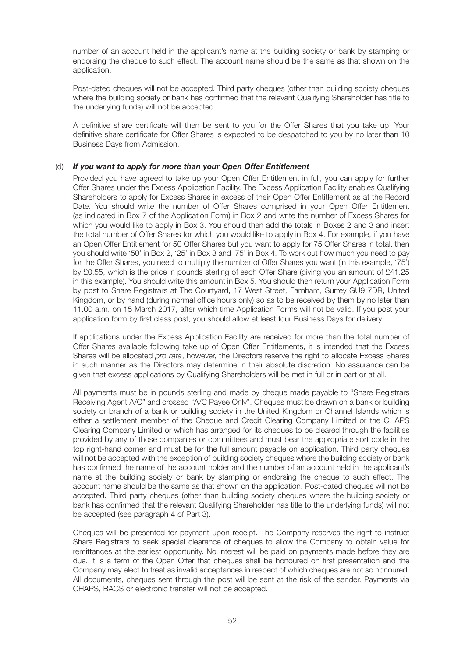number of an account held in the applicant's name at the building society or bank by stamping or endorsing the cheque to such effect. The account name should be the same as that shown on the application.

 Post-dated cheques will not be accepted. Third party cheques (other than building society cheques where the building society or bank has confirmed that the relevant Qualifying Shareholder has title to the underlying funds) will not be accepted.

 A definitive share certificate will then be sent to you for the Offer Shares that you take up. Your definitive share certificate for Offer Shares is expected to be despatched to you by no later than 10 Business Days from Admission.

#### (d) *If you want to apply for more than your Open Offer Entitlement*

 Provided you have agreed to take up your Open Offer Entitlement in full, you can apply for further Offer Shares under the Excess Application Facility. The Excess Application Facility enables Qualifying Shareholders to apply for Excess Shares in excess of their Open Offer Entitlement as at the Record Date. You should write the number of Offer Shares comprised in your Open Offer Entitlement (as indicated in Box 7 of the Application Form) in Box 2 and write the number of Excess Shares for which you would like to apply in Box 3. You should then add the totals in Boxes 2 and 3 and insert the total number of Offer Shares for which you would like to apply in Box 4. For example, if you have an Open Offer Entitlement for 50 Offer Shares but you want to apply for 75 Offer Shares in total, then you should write '50' in Box 2, '25' in Box 3 and '75' in Box 4. To work out how much you need to pay for the Offer Shares, you need to multiply the number of Offer Shares you want (in this example, '75') by £0.55, which is the price in pounds sterling of each Offer Share (giving you an amount of £41.25 in this example). You should write this amount in Box 5. You should then return your Application Form by post to Share Registrars at The Courtyard, 17 West Street, Farnham, Surrey GU9 7DR, United Kingdom, or by hand (during normal office hours only) so as to be received by them by no later than 11.00 a.m. on 15 March 2017, after which time Application Forms will not be valid. If you post your application form by first class post, you should allow at least four Business Days for delivery.

 If applications under the Excess Application Facility are received for more than the total number of Offer Shares available following take up of Open Offer Entitlements, it is intended that the Excess Shares will be allocated *pro rata*, however, the Directors reserve the right to allocate Excess Shares in such manner as the Directors may determine in their absolute discretion. No assurance can be given that excess applications by Qualifying Shareholders will be met in full or in part or at all.

 All payments must be in pounds sterling and made by cheque made payable to "Share Registrars Receiving Agent A/C" and crossed "A/C Payee Only". Cheques must be drawn on a bank or building society or branch of a bank or building society in the United Kingdom or Channel Islands which is either a settlement member of the Cheque and Credit Clearing Company Limited or the CHAPS Clearing Company Limited or which has arranged for its cheques to be cleared through the facilities provided by any of those companies or committees and must bear the appropriate sort code in the top right-hand corner and must be for the full amount payable on application. Third party cheques will not be accepted with the exception of building society cheques where the building society or bank has confirmed the name of the account holder and the number of an account held in the applicant's name at the building society or bank by stamping or endorsing the cheque to such effect. The account name should be the same as that shown on the application. Post-dated cheques will not be accepted. Third party cheques (other than building society cheques where the building society or bank has confirmed that the relevant Qualifying Shareholder has title to the underlying funds) will not be accepted (see paragraph 4 of Part 3).

 Cheques will be presented for payment upon receipt. The Company reserves the right to instruct Share Registrars to seek special clearance of cheques to allow the Company to obtain value for remittances at the earliest opportunity. No interest will be paid on payments made before they are due. It is a term of the Open Offer that cheques shall be honoured on first presentation and the Company may elect to treat as invalid acceptances in respect of which cheques are not so honoured. All documents, cheques sent through the post will be sent at the risk of the sender. Payments via CHAPS, BACS or electronic transfer will not be accepted.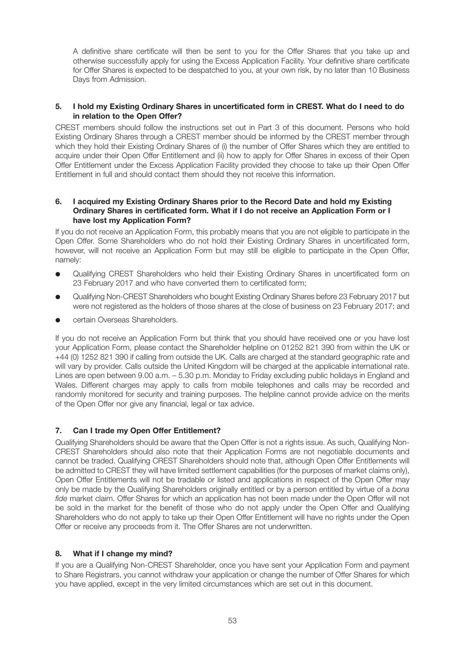A definitive share certificate will then be sent to you for the Offer Shares that you take up and otherwise successfully apply for using the Excess Application Facility. Your definitive share certificate for Offer Shares is expected to be despatched to you, at your own risk, by no later than 10 Business Days from Admission.

#### **5. I hold my Existing Ordinary Shares in uncertificated form in CREST. What do I need to do in relation to the Open Offer?**

CREST members should follow the instructions set out in Part 3 of this document. Persons who hold Existing Ordinary Shares through a CREST member should be informed by the CREST member through which they hold their Existing Ordinary Shares of (i) the number of Offer Shares which they are entitled to acquire under their Open Offer Entitlement and (ii) how to apply for Offer Shares in excess of their Open Offer Entitlement under the Excess Application Facility provided they choose to take up their Open Offer Entitlement in full and should contact them should they not receive this information.

#### **6. I acquired my Existing Ordinary Shares prior to the Record Date and hold my Existing Ordinary Shares in certificated form. What if I do not receive an Application Form or I have lost my Application Form?**

If you do not receive an Application Form, this probably means that you are not eligible to participate in the Open Offer. Some Shareholders who do not hold their Existing Ordinary Shares in uncertificated form, however, will not receive an Application Form but may still be eligible to participate in the Open Offer, namely:

- Qualifying CREST Shareholders who held their Existing Ordinary Shares in uncertificated form on 23 February 2017 and who have converted them to certificated form;
- Qualifying Non-CREST Shareholders who bought Existing Ordinary Shares before 23 February 2017 but were not registered as the holders of those shares at the close of business on 23 February 2017; and
- certain Overseas Shareholders.

If you do not receive an Application Form but think that you should have received one or you have lost your Application Form, please contact the Shareholder helpline on 01252 821 390 from within the UK or +44 (0) 1252 821 390 if calling from outside the UK. Calls are charged at the standard geographic rate and will vary by provider. Calls outside the United Kingdom will be charged at the applicable international rate. Lines are open between 9.00 a.m. – 5.30 p.m. Monday to Friday excluding public holidays in England and Wales. Different charges may apply to calls from mobile telephones and calls may be recorded and randomly monitored for security and training purposes. The helpline cannot provide advice on the merits of the Open Offer nor give any financial, legal or tax advice.

#### **7. Can I trade my Open Offer Entitlement?**

Qualifying Shareholders should be aware that the Open Offer is not a rights issue. As such, Qualifying Non-CREST Shareholders should also note that their Application Forms are not negotiable documents and cannot be traded. Qualifying CREST Shareholders should note that, although Open Offer Entitlements will be admitted to CREST they will have limited settlement capabilities (for the purposes of market claims only), Open Offer Entitlements will not be tradable or listed and applications in respect of the Open Offer may only be made by the Qualifying Shareholders originally entitled or by a person entitled by virtue of a *bona fide* market claim. Offer Shares for which an application has not been made under the Open Offer will not be sold in the market for the benefit of those who do not apply under the Open Offer and Qualifying Shareholders who do not apply to take up their Open Offer Entitlement will have no rights under the Open Offer or receive any proceeds from it. The Offer Shares are not underwritten.

#### **8. What if I change my mind?**

If you are a Qualifying Non-CREST Shareholder, once you have sent your Application Form and payment to Share Registrars, you cannot withdraw your application or change the number of Offer Shares for which you have applied, except in the very limited circumstances which are set out in this document.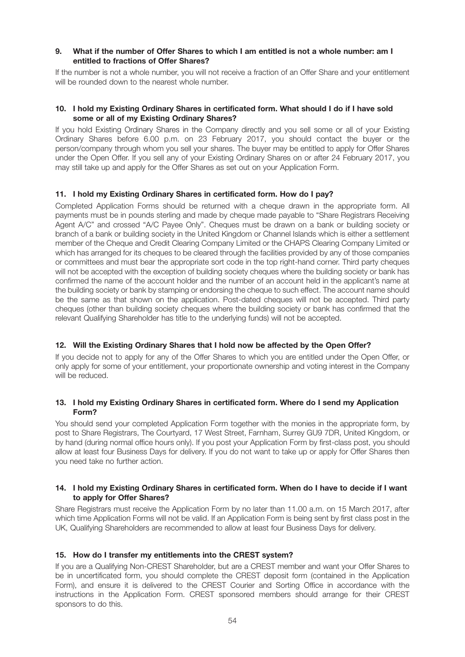#### **9. What if the number of Offer Shares to which I am entitled is not a whole number: am I entitled to fractions of Offer Shares?**

If the number is not a whole number, you will not receive a fraction of an Offer Share and your entitlement will be rounded down to the nearest whole number.

#### **10. I hold my Existing Ordinary Shares in certificated form. What should I do if I have sold some or all of my Existing Ordinary Shares?**

If you hold Existing Ordinary Shares in the Company directly and you sell some or all of your Existing Ordinary Shares before 6.00 p.m. on 23 February 2017, you should contact the buyer or the person/company through whom you sell your shares. The buyer may be entitled to apply for Offer Shares under the Open Offer. If you sell any of your Existing Ordinary Shares on or after 24 February 2017, you may still take up and apply for the Offer Shares as set out on your Application Form.

#### **11. I hold my Existing Ordinary Shares in certificated form. How do I pay?**

Completed Application Forms should be returned with a cheque drawn in the appropriate form. All payments must be in pounds sterling and made by cheque made payable to "Share Registrars Receiving Agent A/C" and crossed "A/C Payee Only". Cheques must be drawn on a bank or building society or branch of a bank or building society in the United Kingdom or Channel Islands which is either a settlement member of the Cheque and Credit Clearing Company Limited or the CHAPS Clearing Company Limited or which has arranged for its cheques to be cleared through the facilities provided by any of those companies or committees and must bear the appropriate sort code in the top right-hand corner. Third party cheques will not be accepted with the exception of building society cheques where the building society or bank has confirmed the name of the account holder and the number of an account held in the applicant's name at the building society or bank by stamping or endorsing the cheque to such effect. The account name should be the same as that shown on the application. Post-dated cheques will not be accepted. Third party cheques (other than building society cheques where the building society or bank has confirmed that the relevant Qualifying Shareholder has title to the underlying funds) will not be accepted.

#### **12. Will the Existing Ordinary Shares that I hold now be affected by the Open Offer?**

If you decide not to apply for any of the Offer Shares to which you are entitled under the Open Offer, or only apply for some of your entitlement, your proportionate ownership and voting interest in the Company will be reduced.

#### **13. I hold my Existing Ordinary Shares in certificated form. Where do I send my Application Form?**

You should send your completed Application Form together with the monies in the appropriate form, by post to Share Registrars, The Courtyard, 17 West Street, Farnham, Surrey GU9 7DR, United Kingdom, or by hand (during normal office hours only). If you post your Application Form by first-class post, you should allow at least four Business Days for delivery. If you do not want to take up or apply for Offer Shares then you need take no further action.

#### **14. I hold my Existing Ordinary Shares in certificated form. When do I have to decide if I want to apply for Offer Shares?**

Share Registrars must receive the Application Form by no later than 11.00 a.m. on 15 March 2017, after which time Application Forms will not be valid. If an Application Form is being sent by first class post in the UK, Qualifying Shareholders are recommended to allow at least four Business Days for delivery.

#### **15. How do I transfer my entitlements into the CREST system?**

If you are a Qualifying Non-CREST Shareholder, but are a CREST member and want your Offer Shares to be in uncertificated form, you should complete the CREST deposit form (contained in the Application Form), and ensure it is delivered to the CREST Courier and Sorting Office in accordance with the instructions in the Application Form. CREST sponsored members should arrange for their CREST sponsors to do this.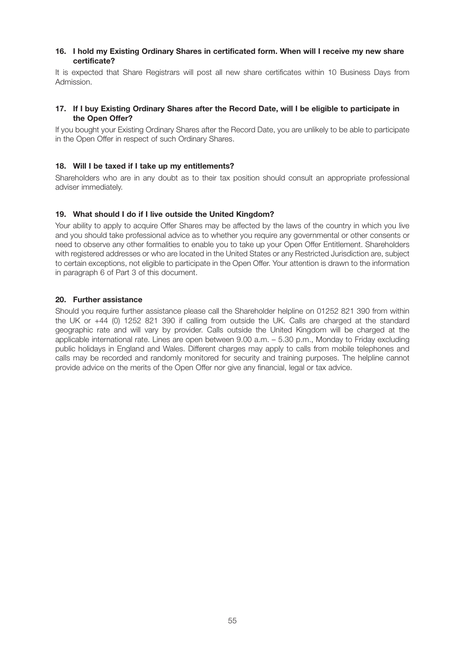#### **16. I hold my Existing Ordinary Shares in certificated form. When will I receive my new share certificate?**

It is expected that Share Registrars will post all new share certificates within 10 Business Days from Admission.

#### **17. If I buy Existing Ordinary Shares after the Record Date, will I be eligible to participate in the Open Offer?**

If you bought your Existing Ordinary Shares after the Record Date, you are unlikely to be able to participate in the Open Offer in respect of such Ordinary Shares.

#### **18. Will I be taxed if I take up my entitlements?**

Shareholders who are in any doubt as to their tax position should consult an appropriate professional adviser immediately.

#### **19. What should I do if I live outside the United Kingdom?**

Your ability to apply to acquire Offer Shares may be affected by the laws of the country in which you live and you should take professional advice as to whether you require any governmental or other consents or need to observe any other formalities to enable you to take up your Open Offer Entitlement. Shareholders with registered addresses or who are located in the United States or any Restricted Jurisdiction are, subject to certain exceptions, not eligible to participate in the Open Offer. Your attention is drawn to the information in paragraph 6 of Part 3 of this document.

#### **20. Further assistance**

Should you require further assistance please call the Shareholder helpline on 01252 821 390 from within the UK or +44 (0) 1252 821 390 if calling from outside the UK. Calls are charged at the standard geographic rate and will vary by provider. Calls outside the United Kingdom will be charged at the applicable international rate. Lines are open between 9.00 a.m. – 5.30 p.m., Monday to Friday excluding public holidays in England and Wales. Different charges may apply to calls from mobile telephones and calls may be recorded and randomly monitored for security and training purposes. The helpline cannot provide advice on the merits of the Open Offer nor give any financial, legal or tax advice.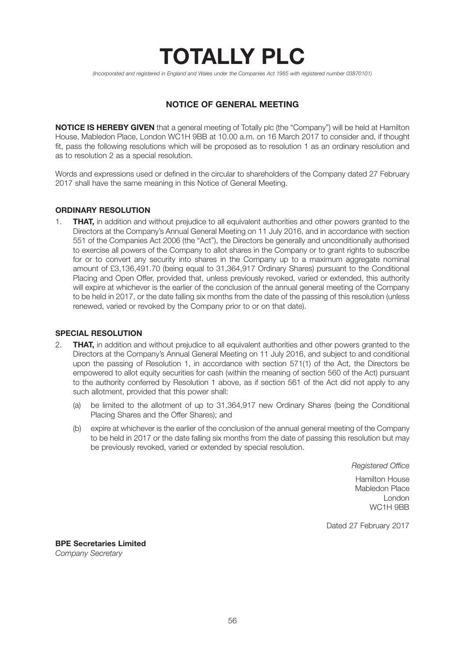# **TOTALLY PLC**

*(Incorporated and registered in England and Wales under the Companies Act 1985 with registered number 03870101)*

## **NOTICE OF GENERAL MEETING**

**NOTICE IS HEREBY GIVEN** that a general meeting of Totally plc (the "Company") will be held at Hamilton House, Mabledon Place, London WC1H 9BB at 10.00 a.m. on 16 March 2017 to consider and, if thought fit, pass the following resolutions which will be proposed as to resolution 1 as an ordinary resolution and as to resolution 2 as a special resolution.

Words and expressions used or defined in the circular to shareholders of the Company dated 27 February 2017 shall have the same meaning in this Notice of General Meeting.

#### **ORDINARY RESOLUTION**

1. **THAT,** in addition and without prejudice to all equivalent authorities and other powers granted to the Directors at the Company's Annual General Meeting on 11 July 2016, and in accordance with section 551 of the Companies Act 2006 (the "Act"), the Directors be generally and unconditionally authorised to exercise all powers of the Company to allot shares in the Company or to grant rights to subscribe for or to convert any security into shares in the Company up to a maximum aggregate nominal amount of £3,136,491.70 (being equal to 31,364,917 Ordinary Shares) pursuant to the Conditional Placing and Open Offer, provided that, unless previously revoked, varied or extended, this authority will expire at whichever is the earlier of the conclusion of the annual general meeting of the Company to be held in 2017, or the date falling six months from the date of the passing of this resolution (unless renewed, varied or revoked by the Company prior to or on that date).

#### **SPECIAL RESOLUTION**

- 2. **THAT,** in addition and without prejudice to all equivalent authorities and other powers granted to the Directors at the Company's Annual General Meeting on 11 July 2016, and subject to and conditional upon the passing of Resolution 1, in accordance with section 571(1) of the Act, the Directors be empowered to allot equity securities for cash (within the meaning of section 560 of the Act) pursuant to the authority conferred by Resolution 1 above, as if section 561 of the Act did not apply to any such allotment, provided that this power shall:
	- (a) be limited to the allotment of up to 31,364,917 new Ordinary Shares (being the Conditional Placing Shares and the Offer Shares); and
	- (b) expire at whichever is the earlier of the conclusion of the annual general meeting of the Company to be held in 2017 or the date falling six months from the date of passing this resolution but may be previously revoked, varied or extended by special resolution.

 *Registered Office*

 Hamilton House Mabledon Place London world between the control of the control of the control of the control of the control of the control of the control of the control of the control of the control of the control of the control of the control of the control o

Dated 27 February 2017

**BPE Secretaries Limited** *Company Secretary*